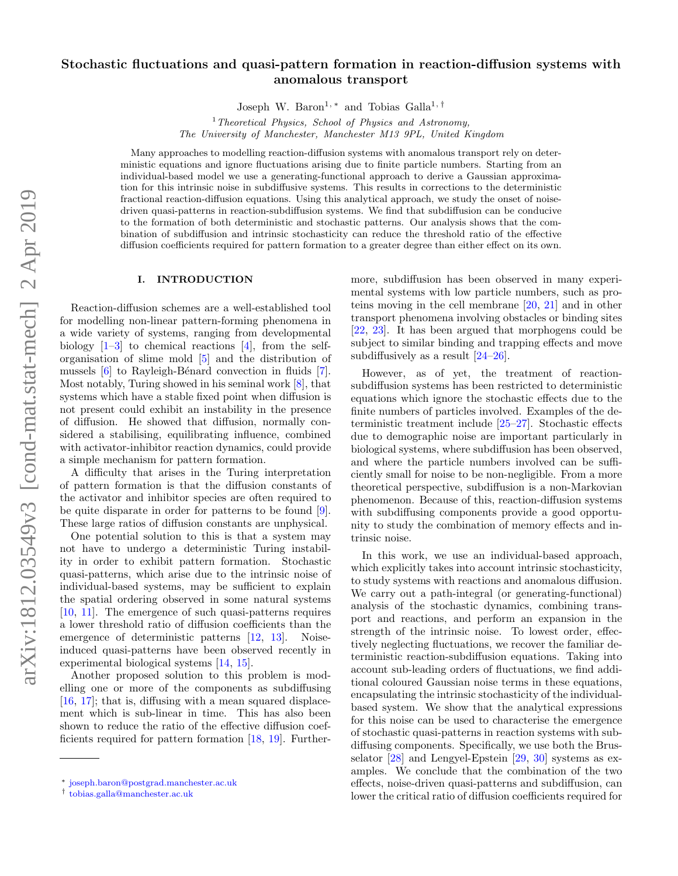# Stochastic fluctuations and quasi-pattern formation in reaction-diffusion systems with anomalous transport

Joseph W. Baron<sup>1, \*</sup> and Tobias Galla<sup>1, [†](#page-0-1)</sup>

<sup>1</sup> Theoretical Physics, School of Physics and Astronomy, The University of Manchester, Manchester M13 9PL, United Kingdom

Many approaches to modelling reaction-diffusion systems with anomalous transport rely on deterministic equations and ignore fluctuations arising due to finite particle numbers. Starting from an individual-based model we use a generating-functional approach to derive a Gaussian approximation for this intrinsic noise in subdiffusive systems. This results in corrections to the deterministic fractional reaction-diffusion equations. Using this analytical approach, we study the onset of noisedriven quasi-patterns in reaction-subdiffusion systems. We find that subdiffusion can be conducive to the formation of both deterministic and stochastic patterns. Our analysis shows that the combination of subdiffusion and intrinsic stochasticity can reduce the threshold ratio of the effective diffusion coefficients required for pattern formation to a greater degree than either effect on its own.

### I. INTRODUCTION

Reaction-diffusion schemes are a well-established tool for modelling non-linear pattern-forming phenomena in a wide variety of systems, ranging from developmental biology  $[1-3]$  to chemical reactions  $[4]$ , from the selforganisation of slime mold [\[5\]](#page-10-3) and the distribution of mussels  $[6]$  to Rayleigh-Bénard convection in fluids  $[7]$ . Most notably, Turing showed in his seminal work [\[8\]](#page-10-6), that systems which have a stable fixed point when diffusion is not present could exhibit an instability in the presence of diffusion. He showed that diffusion, normally considered a stabilising, equilibrating influence, combined with activator-inhibitor reaction dynamics, could provide a simple mechanism for pattern formation.

A difficulty that arises in the Turing interpretation of pattern formation is that the diffusion constants of the activator and inhibitor species are often required to be quite disparate in order for patterns to be found [\[9\]](#page-10-7). These large ratios of diffusion constants are unphysical.

One potential solution to this is that a system may not have to undergo a deterministic Turing instability in order to exhibit pattern formation. Stochastic quasi-patterns, which arise due to the intrinsic noise of individual-based systems, may be sufficient to explain the spatial ordering observed in some natural systems [\[10,](#page-10-8) [11\]](#page-10-9). The emergence of such quasi-patterns requires a lower threshold ratio of diffusion coefficients than the emergence of deterministic patterns [\[12,](#page-10-10) [13\]](#page-10-11). Noiseinduced quasi-patterns have been observed recently in experimental biological systems [\[14,](#page-10-12) [15\]](#page-10-13).

Another proposed solution to this problem is modelling one or more of the components as subdiffusing [\[16,](#page-10-14) [17\]](#page-10-15); that is, diffusing with a mean squared displacement which is sub-linear in time. This has also been shown to reduce the ratio of the effective diffusion coefficients required for pattern formation [\[18,](#page-10-16) [19\]](#page-11-0). Furthermore, subdiffusion has been observed in many experimental systems with low particle numbers, such as proteins moving in the cell membrane [\[20,](#page-11-1) [21\]](#page-11-2) and in other transport phenomena involving obstacles or binding sites [\[22,](#page-11-3) [23\]](#page-11-4). It has been argued that morphogens could be subject to similar binding and trapping effects and move subdiffusively as a result [\[24](#page-11-5)[–26\]](#page-11-6).

However, as of yet, the treatment of reactionsubdiffusion systems has been restricted to deterministic equations which ignore the stochastic effects due to the finite numbers of particles involved. Examples of the deterministic treatment include [\[25](#page-11-7)[–27\]](#page-11-8). Stochastic effects due to demographic noise are important particularly in biological systems, where subdiffusion has been observed, and where the particle numbers involved can be sufficiently small for noise to be non-negligible. From a more theoretical perspective, subdiffusion is a non-Markovian phenomenon. Because of this, reaction-diffusion systems with subdiffusing components provide a good opportunity to study the combination of memory effects and intrinsic noise.

In this work, we use an individual-based approach, which explicitly takes into account intrinsic stochasticity, to study systems with reactions and anomalous diffusion. We carry out a path-integral (or generating-functional) analysis of the stochastic dynamics, combining transport and reactions, and perform an expansion in the strength of the intrinsic noise. To lowest order, effectively neglecting fluctuations, we recover the familiar deterministic reaction-subdiffusion equations. Taking into account sub-leading orders of fluctuations, we find additional coloured Gaussian noise terms in these equations, encapsulating the intrinsic stochasticity of the individualbased system. We show that the analytical expressions for this noise can be used to characterise the emergence of stochastic quasi-patterns in reaction systems with subdiffusing components. Specifically, we use both the Brusselator [\[28\]](#page-11-9) and Lengyel-Epstein [\[29,](#page-11-10) [30\]](#page-11-11) systems as examples. We conclude that the combination of the two effects, noise-driven quasi-patterns and subdiffusion, can lower the critical ratio of diffusion coefficients required for

<span id="page-0-0"></span><sup>∗</sup> [joseph.baron@postgrad.manchester.ac.uk](mailto:joseph.baron@postgrad.manchester.ac.uk)

<span id="page-0-1"></span><sup>†</sup> [tobias.galla@manchester.ac.uk](mailto:tobias.galla@manchester.ac.uk)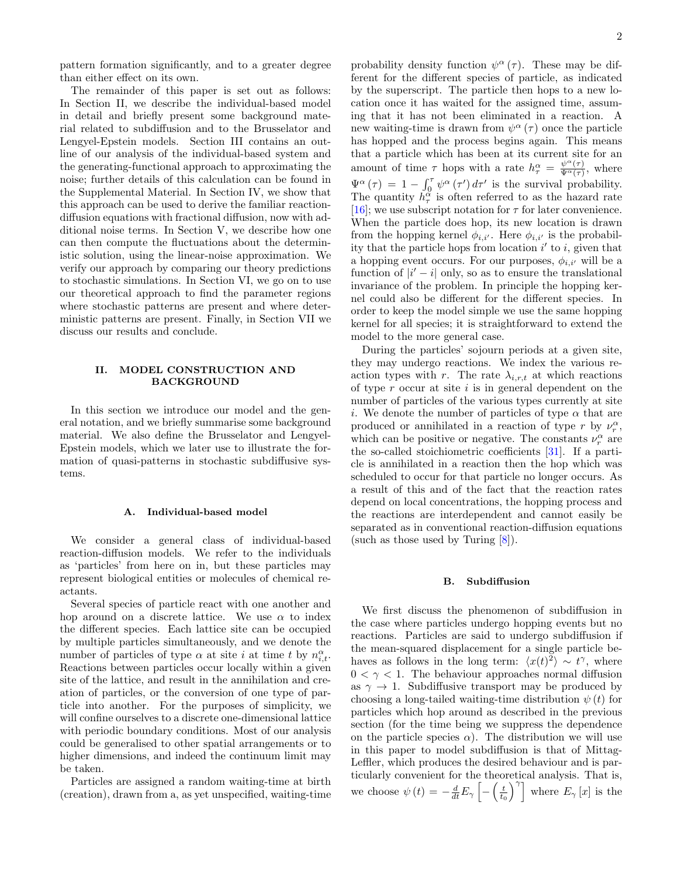pattern formation significantly, and to a greater degree than either effect on its own.

The remainder of this paper is set out as follows: In Section [II,](#page-1-0) we describe the individual-based model in detail and briefly present some background material related to subdiffusion and to the Brusselator and Lengyel-Epstein models. Section [III](#page-2-0) contains an outline of our analysis of the individual-based system and the generating-functional approach to approximating the noise; further details of this calculation can be found in the Supplemental Material. In Section [IV,](#page-4-0) we show that this approach can be used to derive the familiar reactiondiffusion equations with fractional diffusion, now with additional noise terms. In Section [V,](#page-5-0) we describe how one can then compute the fluctuations about the deterministic solution, using the linear-noise approximation. We verify our approach by comparing our theory predictions to stochastic simulations. In Section [VI,](#page-7-0) we go on to use our theoretical approach to find the parameter regions where stochastic patterns are present and where deterministic patterns are present. Finally, in Section [VII](#page-10-17) we discuss our results and conclude.

## <span id="page-1-0"></span>II. MODEL CONSTRUCTION AND BACKGROUND

In this section we introduce our model and the general notation, and we briefly summarise some background material. We also define the Brusselator and Lengyel-Epstein models, which we later use to illustrate the formation of quasi-patterns in stochastic subdiffusive systems.

## <span id="page-1-1"></span>A. Individual-based model

We consider a general class of individual-based reaction-diffusion models. We refer to the individuals as 'particles' from here on in, but these particles may represent biological entities or molecules of chemical reactants.

Several species of particle react with one another and hop around on a discrete lattice. We use  $\alpha$  to index the different species. Each lattice site can be occupied by multiple particles simultaneously, and we denote the number of particles of type  $\alpha$  at site *i* at time *t* by  $n_{i,t}^{\alpha}$ . Reactions between particles occur locally within a given site of the lattice, and result in the annihilation and creation of particles, or the conversion of one type of particle into another. For the purposes of simplicity, we will confine ourselves to a discrete one-dimensional lattice with periodic boundary conditions. Most of our analysis could be generalised to other spatial arrangements or to higher dimensions, and indeed the continuum limit may be taken.

Particles are assigned a random waiting-time at birth (creation), drawn from a, as yet unspecified, waiting-time

probability density function  $\psi^{\alpha}(\tau)$ . These may be different for the different species of particle, as indicated by the superscript. The particle then hops to a new location once it has waited for the assigned time, assuming that it has not been eliminated in a reaction. A new waiting-time is drawn from  $\psi^{\alpha}(\tau)$  once the particle has hopped and the process begins again. This means that a particle which has been at its current site for an amount of time  $\tau$  hops with a rate  $h_{\tau}^{\alpha} = \frac{\psi^{\alpha}(\tau)}{\Psi^{\alpha}(\tau)}$  $\frac{\psi^{\alpha}(\tau)}{\Psi^{\alpha}(\tau)},$  where  $\Psi^{\alpha}(\tau) = 1 - \int_0^{\tau} \psi^{\alpha}(\tau') d\tau'$  is the survival probability. The quantity  $\tilde{h}_{\tau}^{\alpha}$  is often referred to as the hazard rate [\[16\]](#page-10-14); we use subscript notation for  $\tau$  for later convenience. When the particle does hop, its new location is drawn from the hopping kernel  $\phi_{i,i'}$ . Here  $\phi_{i,i'}$  is the probability that the particle hops from location  $i'$  to i, given that a hopping event occurs. For our purposes,  $\phi_{i,i'}$  will be a function of  $|i'-i|$  only, so as to ensure the translational invariance of the problem. In principle the hopping kernel could also be different for the different species. In order to keep the model simple we use the same hopping kernel for all species; it is straightforward to extend the model to the more general case.

During the particles' sojourn periods at a given site, they may undergo reactions. We index the various reaction types with r. The rate  $\lambda_{i,r,t}$  at which reactions of type  $r$  occur at site  $i$  is in general dependent on the number of particles of the various types currently at site i. We denote the number of particles of type  $\alpha$  that are produced or annihilated in a reaction of type r by  $\nu_r^{\alpha}$ , which can be positive or negative. The constants  $\nu_r^{\alpha}$  are the so-called stoichiometric coefficients [\[31\]](#page-11-12). If a particle is annihilated in a reaction then the hop which was scheduled to occur for that particle no longer occurs. As a result of this and of the fact that the reaction rates depend on local concentrations, the hopping process and the reactions are interdependent and cannot easily be separated as in conventional reaction-diffusion equations (such as those used by Turing [\[8\]](#page-10-6)).

### <span id="page-1-2"></span>B. Subdiffusion

We first discuss the phenomenon of subdiffusion in the case where particles undergo hopping events but no reactions. Particles are said to undergo subdiffusion if the mean-squared displacement for a single particle behaves as follows in the long term:  $\langle x(t)^2 \rangle \sim t^{\gamma}$ , where  $0 < \gamma < 1$ . The behaviour approaches normal diffusion as  $\gamma \to 1$ . Subdiffusive transport may be produced by choosing a long-tailed waiting-time distribution  $\psi(t)$  for particles which hop around as described in the previous section (for the time being we suppress the dependence on the particle species  $\alpha$ ). The distribution we will use in this paper to model subdiffusion is that of Mittag-Leffler, which produces the desired behaviour and is particularly convenient for the theoretical analysis. That is, we choose  $\psi(t) = -\frac{d}{dt} E_{\gamma} \left[ -\left(\frac{t}{t_0}\right)^{\gamma} \right]$  where  $E_{\gamma} [x]$  is the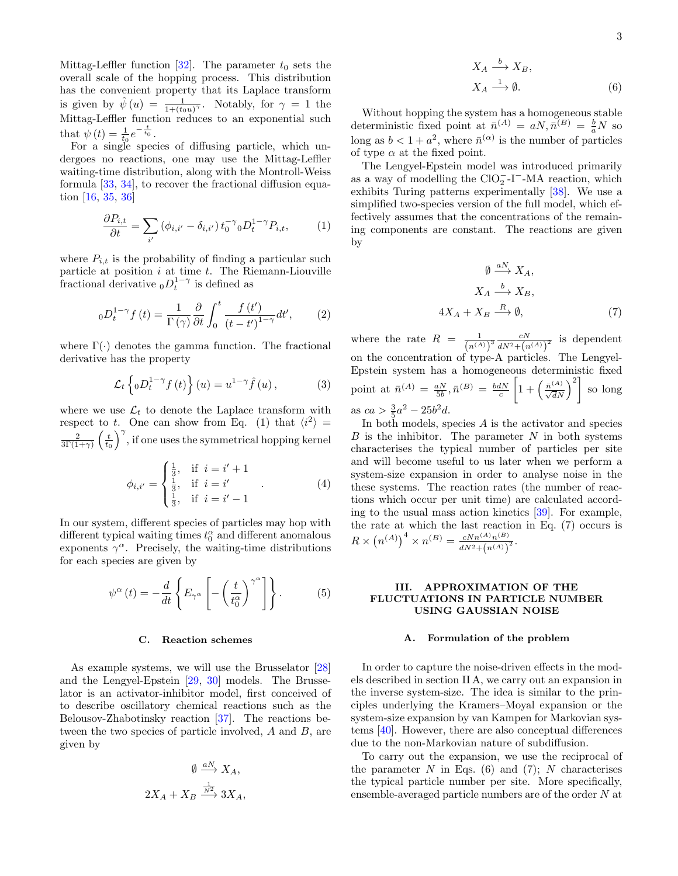Mittag-Leffler function [\[32\]](#page-11-13). The parameter  $t_0$  sets the overall scale of the hopping process. This distribution has the convenient property that its Laplace transform is given by  $\hat{\psi}(u) = \frac{1}{1 + (t_0 u)^{\gamma}}$ . Notably, for  $\gamma = 1$  the Mittag-Leffler function reduces to an exponential such that  $\psi(t) = \frac{1}{t_0} e^{-\frac{t}{t_0}}$ .

For a single species of diffusing particle, which undergoes no reactions, one may use the Mittag-Leffler waiting-time distribution, along with the Montroll-Weiss formula [\[33,](#page-11-14) [34\]](#page-11-15), to recover the fractional diffusion equation [\[16,](#page-10-14) [35,](#page-11-16) [36\]](#page-11-17)

$$
\frac{\partial P_{i,t}}{\partial t} = \sum_{i'} \left( \phi_{i,i'} - \delta_{i,i'} \right) t_0^{-\gamma} {}_{0}D_t^{1-\gamma} P_{i,t},\tag{1}
$$

where  $P_{i,t}$  is the probability of finding a particular such particle at position  $i$  at time  $t$ . The Riemann-Liouville fractional derivative  $_0D_t^{1-\gamma}$  is defined as

$$
{}_{0}D_{t}^{1-\gamma}f(t) = \frac{1}{\Gamma(\gamma)}\frac{\partial}{\partial t}\int_{0}^{t}\frac{f(t')}{\left(t-t'\right)^{1-\gamma}}dt',\qquad(2)
$$

where  $\Gamma(\cdot)$  denotes the gamma function. The fractional derivative has the property

$$
\mathcal{L}_t \left\{ {}_0D_t^{1-\gamma} f(t) \right\}(u) = u^{1-\gamma} \hat{f}(u) , \qquad (3)
$$

where we use  $\mathcal{L}_t$  to denote the Laplace transform with respect to t. One can show from Eq. [\(1\)](#page-2-1) that  $\langle i^2 \rangle =$  $rac{2}{3\Gamma(1+\gamma)}\left(\frac{t}{t_0}\right)^{\gamma}$ , if one uses the symmetrical hopping kernel

$$
\phi_{i,i'} = \begin{cases} \frac{1}{3}, & \text{if } i = i' + 1 \\ \frac{1}{3}, & \text{if } i = i' \\ \frac{1}{3}, & \text{if } i = i' - 1 \end{cases}
$$
 (4)

In our system, different species of particles may hop with different typical waiting times  $t_0^{\alpha}$  and different anomalous exponents  $\gamma^{\alpha}$ . Precisely, the waiting-time distributions for each species are given by

$$
\psi^{\alpha}(t) = -\frac{d}{dt} \left\{ E_{\gamma^{\alpha}} \left[ -\left(\frac{t}{t_0^{\alpha}}\right)^{\gamma^{\alpha}} \right] \right\}.
$$
 (5)

### C. Reaction schemes

As example systems, we will use the Brusselator [\[28\]](#page-11-9) and the Lengyel-Epstein [\[29,](#page-11-10) [30\]](#page-11-11) models. The Brusselator is an activator-inhibitor model, first conceived of to describe oscillatory chemical reactions such as the Belousov-Zhabotinsky reaction [\[37\]](#page-11-18). The reactions between the two species of particle involved, A and B, are given by

$$
\emptyset \xrightarrow{aN} X_A,
$$
  

$$
2X_A + X_B \xrightarrow{\frac{1}{N^2}} 3X_A,
$$

<span id="page-2-3"></span>3

$$
X_A \xrightarrow{b} X_B,
$$
  
\n
$$
X_A \xrightarrow{1} \emptyset.
$$
\n(6)

Without hopping the system has a homogeneous stable deterministic fixed point at  $\bar{n}^{(A)} = aN, \bar{n}^{(B)} = \frac{b}{a}N$  so long as  $b < 1 + a^2$ , where  $\bar{n}^{(\alpha)}$  is the number of particles of type  $\alpha$  at the fixed point.

<span id="page-2-1"></span>The Lengyel-Epstein model was introduced primarily as a way of modelling the  $ClO_2^-$ -I<sup>-</sup>-MA reaction, which exhibits Turing patterns experimentally [\[38\]](#page-11-19). We use a simplified two-species version of the full model, which effectively assumes that the concentrations of the remaining components are constant. The reactions are given by

<span id="page-2-2"></span>
$$
\emptyset \xrightarrow{aN} X_A,
$$
  
\n
$$
X_A \xrightarrow{b} X_B,
$$
  
\n
$$
4X_A + X_B \xrightarrow{R} \emptyset,
$$
\n(7)

where the rate  $R = \frac{1}{(n^{(A)})^3} \frac{cN}{dN^2 + (n^{(A)})^2}$  is dependent on the concentration of type-A particles. The Lengyel-Epstein system has a homogeneous deterministic fixed point at  $\bar{n}^{(A)} = \frac{aN}{5b}, \bar{n}^{(B)} = \frac{bdN}{c}$  $\left[1+\left(\frac{\bar{n}^{(A)}}{\sqrt{dN}}\right)^2\right]$  so long as  $ca > \frac{3}{5}a^2 - 25b^2d$ .

In both models, species  $A$  is the activator and species  $B$  is the inhibitor. The parameter  $N$  in both systems characterises the typical number of particles per site and will become useful to us later when we perform a system-size expansion in order to analyse noise in the these systems. The reaction rates (the number of reactions which occur per unit time) are calculated according to the usual mass action kinetics [\[39\]](#page-11-20). For example, the rate at which the last reaction in Eq. [\(7\)](#page-2-2) occurs is  $R \times (n^{(A)})^4 \times n^{(B)} = \frac{cNn^{(A)}n^{(B)}}{dN^2 + (n^{(A)})}$  $\frac{cN n^{(A)} n^{(B)}}{dN^2 + (n^{(A)})^2}.$ 

## <span id="page-2-4"></span><span id="page-2-0"></span>III. APPROXIMATION OF THE FLUCTUATIONS IN PARTICLE NUMBER USING GAUSSIAN NOISE

### A. Formulation of the problem

In order to capture the noise-driven effects in the models described in section [II A,](#page-1-1) we carry out an expansion in the inverse system-size. The idea is similar to the principles underlying the Kramers–Moyal expansion or the system-size expansion by van Kampen for Markovian systems [\[40\]](#page-11-21). However, there are also conceptual differences due to the non-Markovian nature of subdiffusion.

To carry out the expansion, we use the reciprocal of the parameter N in Eqs.  $(6)$  and  $(7)$ ; N characterises the typical particle number per site. More specifically, ensemble-averaged particle numbers are of the order N at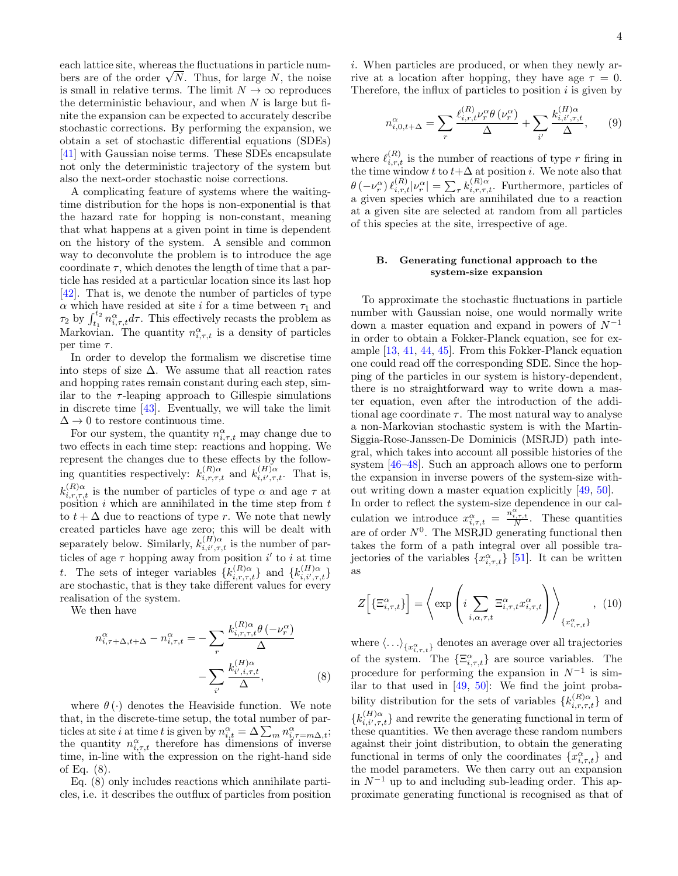each lattice site, whereas the fluctuations in particle numbers are of the order  $\sqrt{N}$ . Thus, for large N, the noise is small in relative terms. The limit  $N \to \infty$  reproduces the deterministic behaviour, and when  $N$  is large but finite the expansion can be expected to accurately describe stochastic corrections. By performing the expansion, we obtain a set of stochastic differential equations (SDEs) [\[41\]](#page-11-22) with Gaussian noise terms. These SDEs encapsulate not only the deterministic trajectory of the system but also the next-order stochastic noise corrections.

A complicating feature of systems where the waitingtime distribution for the hops is non-exponential is that the hazard rate for hopping is non-constant, meaning that what happens at a given point in time is dependent on the history of the system. A sensible and common way to deconvolute the problem is to introduce the age coordinate  $\tau$ , which denotes the length of time that a particle has resided at a particular location since its last hop [\[42\]](#page-11-23). That is, we denote the number of particles of type  $\alpha$  which have resided at site *i* for a time between  $\tau_1$  and  $\tau_2$  by  $\int_{t_1}^{t_2} n_{i,\tau,t}^{\alpha} d\tau$ . This effectively recasts the problem as Markovian. The quantity  $n_{i,\tau,t}^{\alpha}$  is a density of particles per time  $\tau$ .

In order to develop the formalism we discretise time into steps of size  $\Delta$ . We assume that all reaction rates and hopping rates remain constant during each step, similar to the  $\tau$ -leaping approach to Gillespie simulations in discrete time [\[43\]](#page-11-24). Eventually, we will take the limit  $\Delta \rightarrow 0$  to restore continuous time.

For our system, the quantity  $n_{i,\tau,t}^{\alpha}$  may change due to two effects in each time step: reactions and hopping. We represent the changes due to these effects by the following quantities respectively:  $k_{i,r,\tau,t}^{(R)\alpha}$  and  $k_{i,i',\tau,t}^{(H)\alpha}$ . That is,  $k_{i,r,\tau,t}^{(R)\alpha}$  is the number of particles of type  $\alpha$  and age  $\tau$  at position  $i$  which are annihilated in the time step from  $t$ to  $t + \Delta$  due to reactions of type r. We note that newly created particles have age zero; this will be dealt with separately below. Similarly,  $k_{i,i',\tau,t}^{(H)\alpha}$  is the number of particles of age  $\tau$  hopping away from position i' to i at time t. The sets of integer variables  $\{k_{i,r,\tau,t}^{(R)\alpha}\}$  and  $\{k_{i,i',\tau,t}^{(H)\alpha}\}$ are stochastic, that is they take different values for every realisation of the system.

We then have

$$
n_{i,\tau+\Delta,t+\Delta}^{\alpha} - n_{i,\tau,t}^{\alpha} = -\sum_{r} \frac{k_{i,r,\tau,t}^{(R)\alpha} \theta(-\nu_r^{\alpha})}{\Delta}
$$

$$
-\sum_{i'} \frac{k_{i',i,\tau,t}^{(H)\alpha}}{\Delta}, \qquad (8)
$$

where  $\theta(\cdot)$  denotes the Heaviside function. We note that, in the discrete-time setup, the total number of particles at site *i* at time *t* is given by  $n_{i,t}^{\alpha} = \Delta \sum_{m} n_{i,\tau=m\Delta,t}^{\alpha}$ ; the quantity  $n_{i,\tau,t}^{\alpha}$  therefore has dimensions of inverse time, in-line with the expression on the right-hand side of Eq. [\(8\)](#page-3-0).

Eq. [\(8\)](#page-3-0) only includes reactions which annihilate particles, i.e. it describes the outflux of particles from position i. When particles are produced, or when they newly arrive at a location after hopping, they have age  $\tau = 0$ . Therefore, the influx of particles to position  $i$  is given by

<span id="page-3-1"></span>
$$
n_{i,0,t+\Delta}^{\alpha} = \sum_{r} \frac{\ell_{i,r,t}^{(R)} \nu_r^{\alpha} \theta \left(\nu_r^{\alpha}\right)}{\Delta} + \sum_{i'} \frac{k_{i,i',\tau,t}^{(H)\alpha}}{\Delta},\qquad(9)
$$

where  $\ell_{i,r,t}^{(R)}$  is the number of reactions of type r firing in the time window t to  $t+\Delta$  at position i. We note also that  $\theta\left(-\nu_r^{\alpha}\right)\ell_{i,r,t}^{(R)}|\nu_r^{\alpha}|=\sum_{\tau}k_{i,r,\tau,t}^{(R)\alpha}$ . Furthermore, particles of a given species which are annihilated due to a reaction at a given site are selected at random from all particles of this species at the site, irrespective of age.

## B. Generating functional approach to the system-size expansion

To approximate the stochastic fluctuations in particle number with Gaussian noise, one would normally write down a master equation and expand in powers of  $N^{-1}$ in order to obtain a Fokker-Planck equation, see for example [\[13,](#page-10-11) [41,](#page-11-22) [44,](#page-11-25) [45\]](#page-11-26). From this Fokker-Planck equation one could read off the corresponding SDE. Since the hopping of the particles in our system is history-dependent, there is no straightforward way to write down a master equation, even after the introduction of the additional age coordinate  $\tau$ . The most natural way to analyse a non-Markovian stochastic system is with the Martin-Siggia-Rose-Janssen-De Dominicis (MSRJD) path integral, which takes into account all possible histories of the system [\[46–](#page-11-27)[48\]](#page-11-28). Such an approach allows one to perform the expansion in inverse powers of the system-size without writing down a master equation explicitly [\[49,](#page-11-29) [50\]](#page-11-30). In order to reflect the system-size dependence in our calculation we introduce  $x_{i,\tau,t}^{\alpha} = \frac{n_{i,\tau,t}^{\alpha}}{N}$ . These quantities are of order  $N^0$ . The MSRJD generating functional then takes the form of a path integral over all possible trajectories of the variables  $\{x_{i, \tau, t}^{\alpha}\}$  [\[51\]](#page-11-31). It can be written

$$
Z\left[\left\{\Xi_{i,\tau,t}^{\alpha}\right\}\right] = \left\langle \exp\left(i \sum_{i,\alpha,\tau,t} \Xi_{i,\tau,t}^{\alpha} x_{i,\tau,t}^{\alpha}\right)\right\rangle_{\left\{x_{i,\tau,t}^{\alpha}\right\}} , \quad (10)
$$

as

<span id="page-3-0"></span>where  $\langle \ldots \rangle_{\{x_{i,\tau,t}^{\alpha}\}}$  denotes an average over all trajectories of the system. The  $\{\Xi_{i,\tau,t}^{\alpha}\}\)$  are source variables. The procedure for performing the expansion in  $N^{-1}$  is similar to that used in  $[49, 50]$  $[49, 50]$ : We find the joint probability distribution for the sets of variables  $\{k_{i,r,\tau,t}^{(R)\alpha}\}$  and  ${k_{i,i',\tau,t}^{(H)} }$  and rewrite the generating functional in term of these quantities. We then average these random numbers against their joint distribution, to obtain the generating functional in terms of only the coordinates  $\{x_{i,\tau,t}^{\alpha}\}\$  and the model parameters. We then carry out an expansion in  $N^{-1}$  up to and including sub-leading order. This approximate generating functional is recognised as that of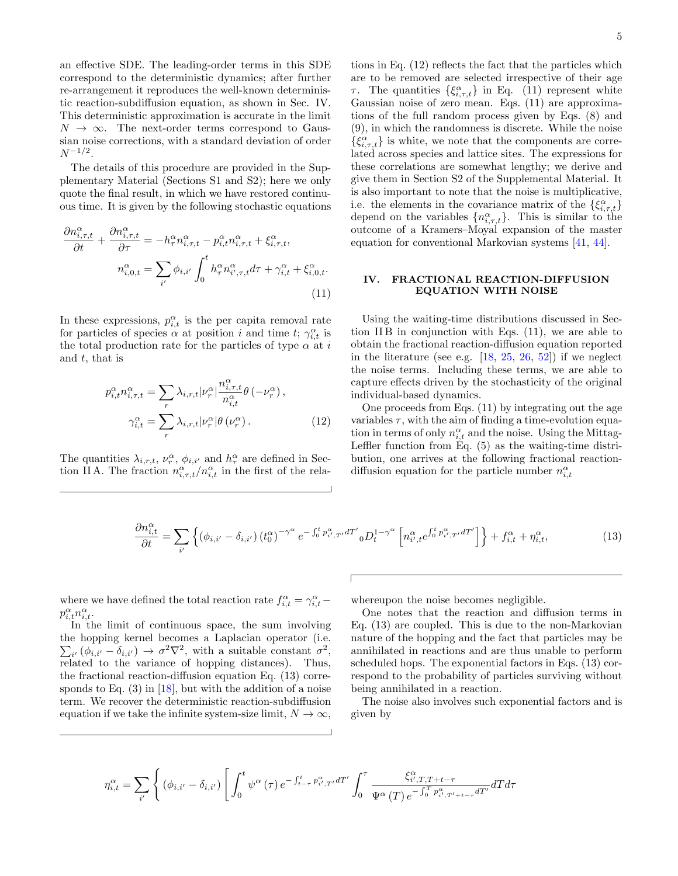an effective SDE. The leading-order terms in this SDE correspond to the deterministic dynamics; after further re-arrangement it reproduces the well-known deterministic reaction-subdiffusion equation, as shown in Sec. [IV.](#page-4-0) This deterministic approximation is accurate in the limit  $N \rightarrow \infty$ . The next-order terms correspond to Gaussian noise corrections, with a standard deviation of order  $N^{-1/2}$ .

The details of this procedure are provided in the Supplementary Material (Sections S1 and S2); here we only quote the final result, in which we have restored continuous time. It is given by the following stochastic equations

$$
\frac{\partial n_{i,\tau,t}^{\alpha}}{\partial t} + \frac{\partial n_{i,\tau,t}^{\alpha}}{\partial \tau} = -h_{\tau}^{\alpha} n_{i,\tau,t}^{\alpha} - p_{i,t}^{\alpha} n_{i,\tau,t}^{\alpha} + \xi_{i,\tau,t}^{\alpha},
$$

$$
n_{i,0,t}^{\alpha} = \sum_{i'} \phi_{i,i'} \int_{0}^{t} h_{\tau}^{\alpha} n_{i',\tau,t}^{\alpha} d\tau + \gamma_{i,t}^{\alpha} + \xi_{i,0,t}^{\alpha}.
$$
(11)

In these expressions,  $p_{i,t}^{\alpha}$  is the per capita removal rate for particles of species  $\alpha$  at position i and time t;  $\gamma_{i,t}^{\alpha}$  is the total production rate for the particles of type  $\alpha$  at  $i$ and  $t$ , that is

$$
p_{i,t}^{\alpha} n_{i,\tau,t}^{\alpha} = \sum_{r} \lambda_{i,r,t} |\nu_r^{\alpha}| \frac{n_{i,\tau,t}^{\alpha}}{n_{i,t}^{\alpha}} \theta(-\nu_r^{\alpha}),
$$

$$
\gamma_{i,t}^{\alpha} = \sum_{r} \lambda_{i,r,t} |\nu_r^{\alpha}| \theta(\nu_r^{\alpha}). \tag{12}
$$

The quantities  $\lambda_{i,r,t}, \nu_r^{\alpha}, \phi_{i,i'}$  and  $h_{\tau}^{\alpha}$  are defined in Sec-tion [II A.](#page-1-1) The fraction  $n_{i,\tau,t}^{\alpha}/n_{i,t}^{\alpha}$  in the first of the rela-

tions in Eq. [\(12\)](#page-4-1) reflects the fact that the particles which are to be removed are selected irrespective of their age  $\tau$ . The quantities  $\{\xi_{i,\tau,t}^{\alpha}\}\$  in Eq. [\(11\)](#page-4-2) represent white Gaussian noise of zero mean. Eqs. [\(11\)](#page-4-2) are approximations of the full random process given by Eqs. [\(8\)](#page-3-0) and [\(9\)](#page-3-1), in which the randomness is discrete. While the noise  $\{\xi^{\alpha}_{i,\tau,t}\}\$  is white, we note that the components are correlated across species and lattice sites. The expressions for these correlations are somewhat lengthy; we derive and give them in Section S2 of the Supplemental Material. It is also important to note that the noise is multiplicative, i.e. the elements in the covariance matrix of the  $\{\xi^{\alpha}_{i,\tau,t}\}$ depend on the variables  $\{n_{i,\tau,t}^{\alpha}\}$ . This is similar to the outcome of a Kramers–Moyal expansion of the master equation for conventional Markovian systems [\[41,](#page-11-22) [44\]](#page-11-25).

## <span id="page-4-0"></span>IV. FRACTIONAL REACTION-DIFFUSION EQUATION WITH NOISE

<span id="page-4-2"></span>Using the waiting-time distributions discussed in Section [II B](#page-1-2) in conjunction with Eqs. [\(11\)](#page-4-2), we are able to obtain the fractional reaction-diffusion equation reported in the literature (see e.g.  $[18, 25, 26, 52]$  $[18, 25, 26, 52]$  $[18, 25, 26, 52]$  $[18, 25, 26, 52]$  $[18, 25, 26, 52]$  $[18, 25, 26, 52]$ ) if we neglect the noise terms. Including these terms, we are able to capture effects driven by the stochasticity of the original individual-based dynamics.

<span id="page-4-1"></span>One proceeds from Eqs. [\(11\)](#page-4-2) by integrating out the age variables  $\tau$ , with the aim of finding a time-evolution equation in terms of only  $n_{i,t}^{\alpha}$  and the noise. Using the Mittag-Leffler function from Eq. [\(5\)](#page-2-4) as the waiting-time distribution, one arrives at the following fractional reactiondiffusion equation for the particle number  $n_{i,t}^{\alpha}$ 

$$
\frac{\partial n_{i,t}^{\alpha}}{\partial t} = \sum_{i'} \left\{ (\phi_{i,i'} - \delta_{i,i'}) \left( t_0^{\alpha} \right)^{-\gamma^{\alpha}} e^{-\int_0^t p_{i',T'}^{\alpha} dT'} {}_0 D_t^{1-\gamma^{\alpha}} \left[ n_{i',t}^{\alpha} e^{\int_0^t p_{i',T'}^{\alpha} dT'} \right] \right\} + f_{i,t}^{\alpha} + \eta_{i,t}^{\alpha},\tag{13}
$$

where we have defined the total reaction rate  $f_{i,t}^{\alpha} = \gamma_{i,t}^{\alpha}$  –  $p_{i,t}^{\alpha}n_{i,t}^{\alpha}$ .

whereupon the noise becomes negligible.

In the limit of continuous space, the sum involving the hopping kernel becomes a Laplacian operator (i.e.  $\sum_{i'} (\phi_{i,i'} - \delta_{i,i'}) \rightarrow \sigma^2 \nabla^2$ , with a suitable constant  $\sigma^2$ , related to the variance of hopping distances). Thus, the fractional reaction-diffusion equation Eq. [\(13\)](#page-4-3) corresponds to Eq.  $(3)$  in [\[18\]](#page-10-16), but with the addition of a noise term. We recover the deterministic reaction-subdiffusion equation if we take the infinite system-size limit,  $N \to \infty$ ,

<span id="page-4-3"></span>One notes that the reaction and diffusion terms in Eq. [\(13\)](#page-4-3) are coupled. This is due to the non-Markovian nature of the hopping and the fact that particles may be annihilated in reactions and are thus unable to perform scheduled hops. The exponential factors in Eqs. [\(13\)](#page-4-3) correspond to the probability of particles surviving without being annihilated in a reaction.

The noise also involves such exponential factors and is given by

$$
\eta_{i,t}^{\alpha} = \sum_{i'} \left\{ (\phi_{i,i'} - \delta_{i,i'}) \left[ \int_0^t \psi^{\alpha}(\tau) e^{-\int_{t-\tau}^t p_{i',T'}^{\alpha} dT'} \int_0^{\tau} \frac{\xi_{i',T,T+t-\tau}^{\alpha}}{\Psi^{\alpha}(T) e^{-\int_0^T p_{i',T'+t-\tau}^{\alpha} dT'}} dT d\tau \right. \right\}
$$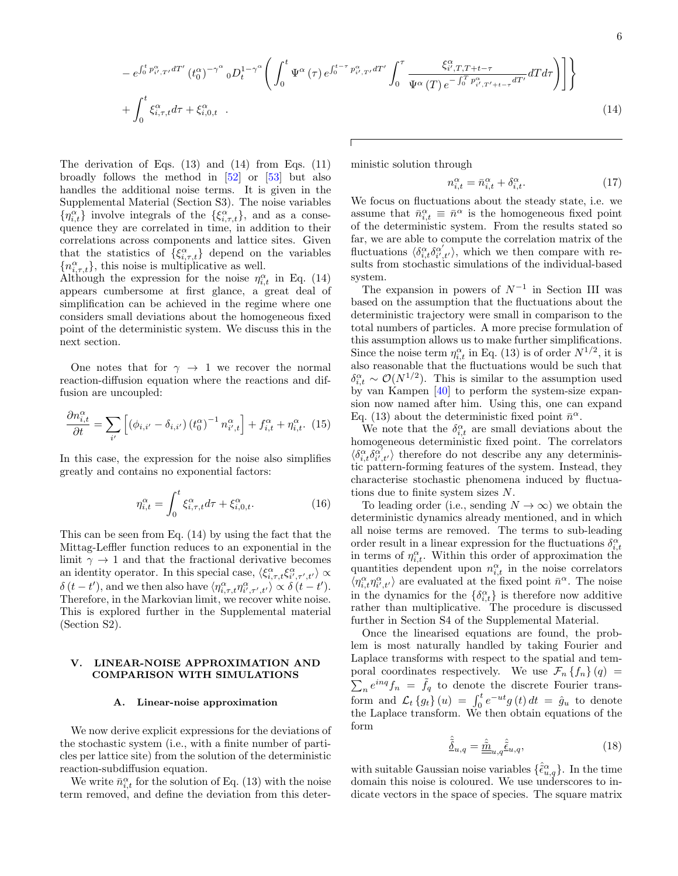$$
-e^{\int_0^t p_{i',T'}^{\alpha} dT'} (t_0^{\alpha})^{-\gamma^{\alpha}} {}_{0}D_t^{1-\gamma^{\alpha}} \left( \int_0^t \Psi^{\alpha}(\tau) e^{\int_0^{t-\tau} p_{i',T'}^{\alpha} dT'} \int_0^{\tau} \frac{\xi_{i',T,T+t-\tau}^{\alpha}}{\Psi^{\alpha}(T) e^{-\int_0^T p_{i',T'+t-\tau}^{\alpha} dT'}} dT d\tau \right) \right] \Bigg\}
$$
  
+ 
$$
\int_0^t \xi_{i,\tau,t}^{\alpha} d\tau + \xi_{i,0,t}^{\alpha} . \tag{14}
$$

The derivation of Eqs. [\(13\)](#page-4-3) and [\(14\)](#page-5-1) from Eqs. [\(11\)](#page-4-2) broadly follows the method in [\[52\]](#page-11-32) or [\[53\]](#page-11-33) but also handles the additional noise terms. It is given in the Supplemental Material (Section S3). The noise variables  $\{\eta_{i,t}^{\alpha}\}\$  involve integrals of the  $\{\xi_{i,\tau,t}^{\alpha}\}\)$ , and as a consequence they are correlated in time, in addition to their correlations across components and lattice sites. Given that the statistics of  $\{\xi_{i,\tau,t}^{\alpha}\}\)$  depend on the variables  ${n_{i,\tau,t}^{\alpha}}$ , this noise is multiplicative as well.

Although the expression for the noise  $\eta_{i,t}^{\alpha}$  in Eq. [\(14\)](#page-5-1) appears cumbersome at first glance, a great deal of simplification can be achieved in the regime where one considers small deviations about the homogeneous fixed point of the deterministic system. We discuss this in the next section.

One notes that for  $\gamma \rightarrow 1$  we recover the normal reaction-diffusion equation where the reactions and diffusion are uncoupled:

$$
\frac{\partial n_{i,t}^{\alpha}}{\partial t} = \sum_{i'} \left[ (\phi_{i,i'} - \delta_{i,i'}) \left( t_0^{\alpha} \right)^{-1} n_{i',t}^{\alpha} \right] + f_{i,t}^{\alpha} + \eta_{i,t}^{\alpha}.
$$
 (15)

In this case, the expression for the noise also simplifies greatly and contains no exponential factors:

$$
\eta_{i,t}^{\alpha} = \int_0^t \xi_{i,\tau,t}^{\alpha} d\tau + \xi_{i,0,t}^{\alpha}.
$$
 (16)

This can be seen from Eq. [\(14\)](#page-5-1) by using the fact that the Mittag-Leffler function reduces to an exponential in the limit  $\gamma \to 1$  and that the fractional derivative becomes an identity operator. In this special case,  $\langle \xi_{i,\tau,t}^\alpha \xi_{i',\tau',t'}^\alpha \rangle \propto$  $\delta(t-t')$ , and we then also have  $\langle \eta_{i,\tau,t}^{\alpha} \eta_{i',\tau',t'}^{\alpha} \rangle \propto \delta(t-t')$ . Therefore, in the Markovian limit, we recover white noise. This is explored further in the Supplemental material (Section S2).

### <span id="page-5-0"></span>V. LINEAR-NOISE APPROXIMATION AND COMPARISON WITH SIMULATIONS

#### A. Linear-noise approximation

We now derive explicit expressions for the deviations of the stochastic system (i.e., with a finite number of particles per lattice site) from the solution of the deterministic reaction-subdiffusion equation.

We write  $\bar{n}_{i,t}^{\alpha}$  for the solution of Eq. [\(13\)](#page-4-3) with the noise term removed, and define the deviation from this deterministic solution through

<span id="page-5-1"></span>
$$
n_{i,t}^{\alpha} = \bar{n}_{i,t}^{\alpha} + \delta_{i,t}^{\alpha}.
$$
 (17)

We focus on fluctuations about the steady state, i.e. we assume that  $\bar{n}_{i,t}^{\alpha} \equiv \bar{n}^{\alpha}$  is the homogeneous fixed point of the deterministic system. From the results stated so far, we are able to compute the correlation matrix of the fluctuations  $\langle \delta_{i,t}^{\alpha} \delta_{i',t'}^{\alpha'} \rangle$ , which we then compare with results from stochastic simulations of the individual-based system.

The expansion in powers of  $N^{-1}$  in Section [III](#page-2-0) was based on the assumption that the fluctuations about the deterministic trajectory were small in comparison to the total numbers of particles. A more precise formulation of this assumption allows us to make further simplifications. Since the noise term  $\eta_{i,t}^{\alpha}$  in Eq. [\(13\)](#page-4-3) is of order  $N^{1/2}$ , it is also reasonable that the fluctuations would be such that  $\delta_{i,t}^{\alpha} \sim \mathcal{O}(N^{1/2})$ . This is similar to the assumption used by van Kampen [\[40\]](#page-11-21) to perform the system-size expansion now named after him. Using this, one can expand Eq. [\(13\)](#page-4-3) about the deterministic fixed point  $\bar{n}^{\alpha}$ .

We note that the  $\delta_{i,t}^{\alpha}$  are small deviations about the homogeneous deterministic fixed point. The correlators  $\langle \delta^{\alpha}_{i,t}\delta^{\alpha'}_{i',t'}\rangle$  therefore do not describe any any deterministic pattern-forming features of the system. Instead, they characterise stochastic phenomena induced by fluctuations due to finite system sizes N.

To leading order (i.e., sending  $N \to \infty$ ) we obtain the deterministic dynamics already mentioned, and in which all noise terms are removed. The terms to sub-leading order result in a linear expression for the fluctuations  $\delta_{i,t}^{\alpha}$ in terms of  $\eta_{i,t}^{\alpha}$ . Within this order of approximation the quantities dependent upon  $n_{i,t}^{\alpha}$  in the noise correlators  $\langle \eta^{\alpha}_{i,t}\eta^{\alpha}_{i',t'} \rangle$  are evaluated at the fixed point  $\bar{n}^{\alpha}.$  The noise in the dynamics for the  $\{\delta_{i,t}^{\alpha}\}$  is therefore now additive rather than multiplicative. The procedure is discussed further in Section S4 of the Supplemental Material.

Once the linearised equations are found, the problem is most naturally handled by taking Fourier and Laplace transforms with respect to the spatial and temporal coordinates respectively. We use  $\mathcal{F}_n \{f_n\}(q) =$  $\sum_{n} e^{inq} f_n = \tilde{f}_q$  to denote the discrete Fourier transform and  $\mathcal{L}_t \{g_t\}(u) = \int_0^t e^{-ut} g(t) dt = \hat{g}_u$  to denote the Laplace transform. We then obtain equations of the form

$$
\hat{\underline{\delta}}_{u,q} = \underline{\hat{m}}_{u,q} \hat{\underline{\epsilon}}_{u,q}, \qquad (18)
$$

with suitable Gaussian noise variables  $\{\hat{\epsilon}_{u,q}^{\alpha}\}$ . In the time domain this noise is coloured. We use underscores to indicate vectors in the space of species. The square matrix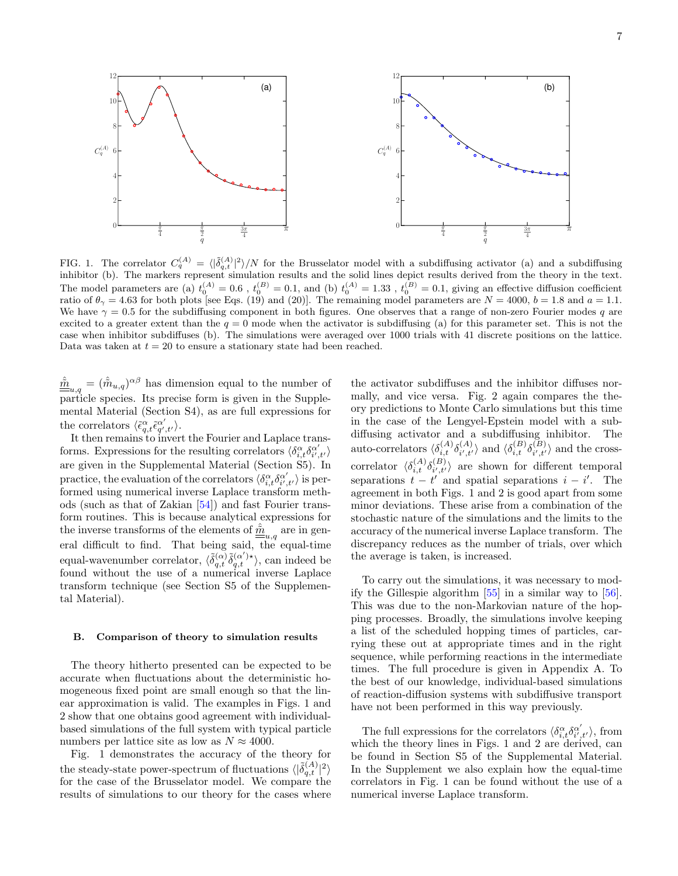

<span id="page-6-0"></span>FIG. 1. The correlator  $C_q^{(A)} = \langle |\tilde{\delta}_{q,t}^{(A)}|^2 \rangle/N$  for the Brusselator model with a subdiffusing activator (a) and a subdiffusing inhibitor (b). The markers represent simulation results and the solid lines depict results derived from the theory in the text. The model parameters are (a)  $t_0^{(A)} = 0.6$ ,  $t_0^{(B)} = 0.1$ , and (b)  $t_0^{(A)} = 1.33$ ,  $t_0^{(B)} = 0.1$ , giving an effective diffusion coefficient ratio of  $\theta_{\gamma} = 4.63$  for both plots [see Eqs. [\(19\)](#page-8-0) and [\(20\)](#page-8-1)]. The remaining model parameters are  $N = 4000$ ,  $b = 1.8$  and  $a = 1.1$ . We have  $\gamma = 0.5$  for the subdiffusing component in both figures. One observes that a range of non-zero Fourier modes q are excited to a greater extent than the  $q = 0$  mode when the activator is subdiffusing (a) for this parameter set. This is not the case when inhibitor subdiffuses (b). The simulations were averaged over 1000 trials with 41 discrete positions on the lattice. Data was taken at  $t = 20$  to ensure a stationary state had been reached.

 $\hat{\underline{\hat{m}}}_{u,q} = (\hat{\hat{m}}_{u,q})^{\alpha\beta}$  has dimension equal to the number of particle species. Its precise form is given in the Supplemental Material (Section S4), as are full expressions for the correlators  $\langle \tilde{\epsilon}_{q,t}^{\alpha} \tilde{\epsilon}_{q',t'}^{\alpha'} \rangle$ .

It then remains to invert the Fourier and Laplace transforms. Expressions for the resulting correlators  $\langle \delta^{\alpha}_{i,t} \delta^{\alpha'}_{i',t'} \rangle$ are given in the Supplemental Material (Section S5). In practice, the evaluation of the correlators  $\langle \delta^\alpha_{i,t} \delta^{\alpha'}_{i',t'} \rangle$  is performed using numerical inverse Laplace transform methods (such as that of Zakian [\[54\]](#page-11-34)) and fast Fourier transform routines. This is because analytical expressions for the inverse transforms of the elements of  $\hat{\underline{\hat{m}}}_{u,q}$  are in general difficult to find. That being said, the equal-time equal-wavenumber correlator,  $\langle \tilde{\delta}^{(\alpha)}_{q,t} \tilde{\delta}^{(\alpha')}_{q,t} \rangle$ , can indeed be found without the use of a numerical inverse Laplace transform technique (see Section S5 of the Supplemental Material).

## B. Comparison of theory to simulation results

The theory hitherto presented can be expected to be accurate when fluctuations about the deterministic homogeneous fixed point are small enough so that the linear approximation is valid. The examples in Figs. [1](#page-6-0) and [2](#page-7-1) show that one obtains good agreement with individualbased simulations of the full system with typical particle numbers per lattice site as low as  $N \approx 4000$ .

Fig. [1](#page-6-0) demonstrates the accuracy of the theory for the steady-state power-spectrum of fluctuations  $\langle |\tilde{\delta}_{q,t}^{(A)}|^2 \rangle$ for the case of the Brusselator model. We compare the results of simulations to our theory for the cases where

the activator subdiffuses and the inhibitor diffuses normally, and vice versa. Fig. [2](#page-7-1) again compares the theory predictions to Monte Carlo simulations but this time in the case of the Lengyel-Epstein model with a subdiffusing activator and a subdiffusing inhibitor. The auto-correlators  $\langle \delta^{(A)}_{i,t} \delta^{(A)}_{i',t'} \rangle$  $\langle A \rangle_{i',t'} \rangle$  and  $\langle \delta_{i,t}^{(B)} \delta_{i',t'}^{(B)} \rangle$  $\binom{B}{i',t'}$  and the crosscorrelator  $\langle \delta_{i,t}^{(A)} \delta_{i',t'}^{(B)} \rangle$  $\langle B \rangle_{i',t'}$  are shown for different temporal separations  $t - t'$  and spatial separations  $i - i'$ . The agreement in both Figs. [1](#page-6-0) and [2](#page-7-1) is good apart from some minor deviations. These arise from a combination of the stochastic nature of the simulations and the limits to the accuracy of the numerical inverse Laplace transform. The discrepancy reduces as the number of trials, over which the average is taken, is increased.

To carry out the simulations, it was necessary to modify the Gillespie algorithm [\[55\]](#page-11-35) in a similar way to [\[56\]](#page-11-36). This was due to the non-Markovian nature of the hopping processes. Broadly, the simulations involve keeping a list of the scheduled hopping times of particles, carrying these out at appropriate times and in the right sequence, while performing reactions in the intermediate times. The full procedure is given in Appendix [A.](#page-11-37) To the best of our knowledge, individual-based simulations of reaction-diffusion systems with subdiffusive transport have not been performed in this way previously.

The full expressions for the correlators  $\langle \delta_{i,t}^{\alpha} \delta_{i',t'}^{\alpha'} \rangle$ , from which the theory lines in Figs. [1](#page-6-0) and [2](#page-7-1) are derived, can be found in Section S5 of the Supplemental Material. In the Supplement we also explain how the equal-time correlators in Fig. [1](#page-6-0) can be found without the use of a numerical inverse Laplace transform.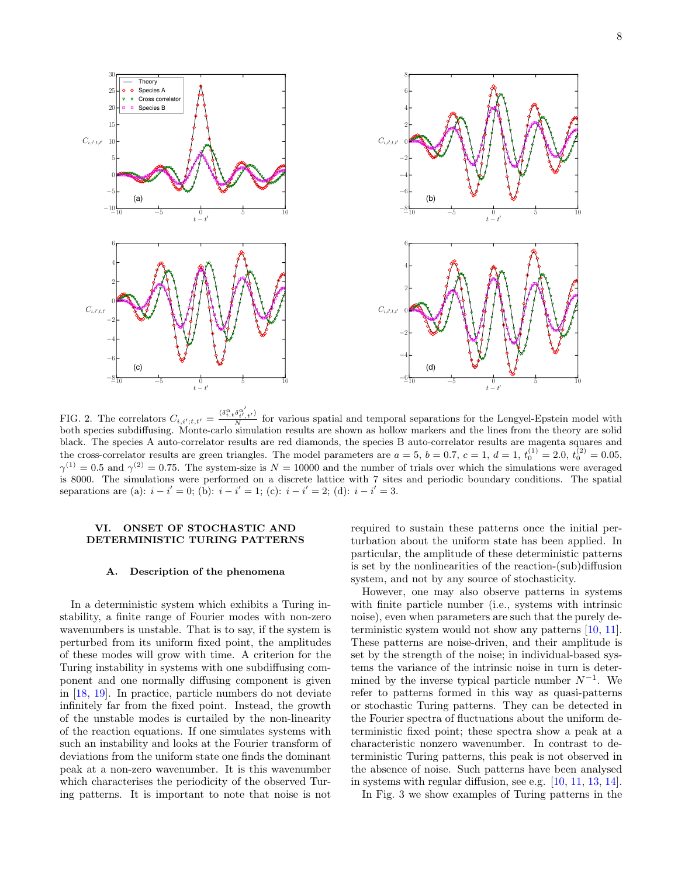

<span id="page-7-1"></span>FIG. 2. The correlators  $C_{i,i',t,t'} = \frac{\langle \delta_{i,t}^{\alpha} \delta_{i',t'}^{\alpha'} \rangle}{N}$  for various spatial and temporal separations for the Lengyel-Epstein model with both species subdiffusing. Monte-carlo simulation results are shown as hollow markers and the lines from the theory are solid black. The species A auto-correlator results are red diamonds, the species B auto-correlator results are magenta squares and the cross-correlator results are green triangles. The model parameters are  $a = 5$ ,  $b = 0.7$ ,  $c = 1$ ,  $d = 1$ ,  $t_0^{(1)} = 2.0$ ,  $t_0^{(2)} = 0.05$ ,  $\gamma^{(1)} = 0.5$  and  $\gamma^{(2)} = 0.75$ . The system-size is  $N = 10000$  and the number of trials over which the simulations were averaged is 8000. The simulations were performed on a discrete lattice with 7 sites and periodic boundary conditions. The spatial separations are (a):  $i - i' = 0$ ; (b):  $i - i' = 1$ ; (c):  $i - i' = 2$ ; (d):  $i - i' = 3$ .

### <span id="page-7-0"></span>VI. ONSET OF STOCHASTIC AND DETERMINISTIC TURING PATTERNS

#### A. Description of the phenomena

In a deterministic system which exhibits a Turing instability, a finite range of Fourier modes with non-zero wavenumbers is unstable. That is to say, if the system is perturbed from its uniform fixed point, the amplitudes of these modes will grow with time. A criterion for the Turing instability in systems with one subdiffusing component and one normally diffusing component is given in [\[18,](#page-10-16) [19\]](#page-11-0). In practice, particle numbers do not deviate infinitely far from the fixed point. Instead, the growth of the unstable modes is curtailed by the non-linearity of the reaction equations. If one simulates systems with such an instability and looks at the Fourier transform of deviations from the uniform state one finds the dominant peak at a non-zero wavenumber. It is this wavenumber which characterises the periodicity of the observed Turing patterns. It is important to note that noise is not

required to sustain these patterns once the initial perturbation about the uniform state has been applied. In particular, the amplitude of these deterministic patterns is set by the nonlinearities of the reaction-(sub)diffusion system, and not by any source of stochasticity.

However, one may also observe patterns in systems with finite particle number (i.e., systems with intrinsic noise), even when parameters are such that the purely deterministic system would not show any patterns [\[10,](#page-10-8) [11\]](#page-10-9). These patterns are noise-driven, and their amplitude is set by the strength of the noise; in individual-based systems the variance of the intrinsic noise in turn is determined by the inverse typical particle number  $N^{-1}$ . We refer to patterns formed in this way as quasi-patterns or stochastic Turing patterns. They can be detected in the Fourier spectra of fluctuations about the uniform deterministic fixed point; these spectra show a peak at a characteristic nonzero wavenumber. In contrast to deterministic Turing patterns, this peak is not observed in the absence of noise. Such patterns have been analysed in systems with regular diffusion, see e.g. [\[10,](#page-10-8) [11,](#page-10-9) [13,](#page-10-11) [14\]](#page-10-12).

In Fig. [3](#page-8-2) we show examples of Turing patterns in the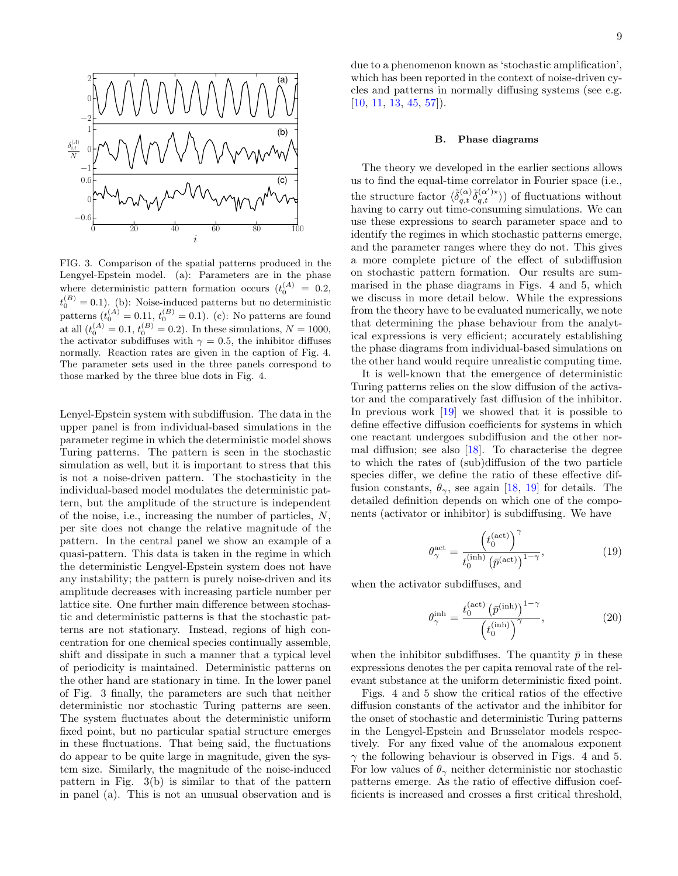

<span id="page-8-2"></span>FIG. 3. Comparison of the spatial patterns produced in the Lengyel-Epstein model. (a): Parameters are in the phase where deterministic pattern formation occurs  $(t_0^{(A)} = 0.2,$  $t_0^{(B)} = 0.1$ . (b): Noise-induced patterns but no deterministic patterns  $(t_0^{(A)} = 0.11, t_0^{(B)} = 0.1)$ . (c): No patterns are found at all  $(t_0^{(A)} = 0.1, t_0^{(B)} = 0.2)$ . In these simulations,  $N = 1000$ , the activator subdiffuses with  $\gamma = 0.5$ , the inhibitor diffuses normally. Reaction rates are given in the caption of Fig. [4.](#page-9-0) The parameter sets used in the three panels correspond to those marked by the three blue dots in Fig. [4.](#page-9-0)

Lenyel-Epstein system with subdiffusion. The data in the upper panel is from individual-based simulations in the parameter regime in which the deterministic model shows Turing patterns. The pattern is seen in the stochastic simulation as well, but it is important to stress that this is not a noise-driven pattern. The stochasticity in the individual-based model modulates the deterministic pattern, but the amplitude of the structure is independent of the noise, i.e., increasing the number of particles, N, per site does not change the relative magnitude of the pattern. In the central panel we show an example of a quasi-pattern. This data is taken in the regime in which the deterministic Lengyel-Epstein system does not have any instability; the pattern is purely noise-driven and its amplitude decreases with increasing particle number per lattice site. One further main difference between stochastic and deterministic patterns is that the stochastic patterns are not stationary. Instead, regions of high concentration for one chemical species continually assemble, shift and dissipate in such a manner that a typical level of periodicity is maintained. Deterministic patterns on the other hand are stationary in time. In the lower panel of Fig. [3](#page-8-2) finally, the parameters are such that neither deterministic nor stochastic Turing patterns are seen. The system fluctuates about the deterministic uniform fixed point, but no particular spatial structure emerges in these fluctuations. That being said, the fluctuations do appear to be quite large in magnitude, given the system size. Similarly, the magnitude of the noise-induced pattern in Fig. [3\(](#page-8-2)b) is similar to that of the pattern in panel (a). This is not an unusual observation and is due to a phenomenon known as 'stochastic amplification', which has been reported in the context of noise-driven cycles and patterns in normally diffusing systems (see e.g.  $[10, 11, 13, 45, 57]$  $[10, 11, 13, 45, 57]$  $[10, 11, 13, 45, 57]$  $[10, 11, 13, 45, 57]$  $[10, 11, 13, 45, 57]$  $[10, 11, 13, 45, 57]$  $[10, 11, 13, 45, 57]$  $[10, 11, 13, 45, 57]$  $[10, 11, 13, 45, 57]$ .

### B. Phase diagrams

The theory we developed in the earlier sections allows us to find the equal-time correlator in Fourier space (i.e., the structure factor  $\langle \tilde{\delta}^{(\alpha)}_{q,t} \tilde{\delta}^{(\alpha')\star}_{q,t} \rangle$  of fluctuations without having to carry out time-consuming simulations. We can use these expressions to search parameter space and to identify the regimes in which stochastic patterns emerge, and the parameter ranges where they do not. This gives a more complete picture of the effect of subdiffusion on stochastic pattern formation. Our results are summarised in the phase diagrams in Figs. [4](#page-9-0) and [5,](#page-9-1) which we discuss in more detail below. While the expressions from the theory have to be evaluated numerically, we note that determining the phase behaviour from the analytical expressions is very efficient; accurately establishing the phase diagrams from individual-based simulations on the other hand would require unrealistic computing time.

It is well-known that the emergence of deterministic Turing patterns relies on the slow diffusion of the activator and the comparatively fast diffusion of the inhibitor. In previous work [\[19\]](#page-11-0) we showed that it is possible to define effective diffusion coefficients for systems in which one reactant undergoes subdiffusion and the other normal diffusion; see also [\[18\]](#page-10-16). To characterise the degree to which the rates of (sub)diffusion of the two particle species differ, we define the ratio of these effective diffusion constants,  $\theta_{\gamma}$ , see again [\[18,](#page-10-16) [19\]](#page-11-0) for details. The detailed definition depends on which one of the components (activator or inhibitor) is subdiffusing. We have

<span id="page-8-0"></span>
$$
\theta_{\gamma}^{\text{act}} = \frac{\left(t_0^{(\text{act})}\right)^{\gamma}}{t_0^{(\text{inh})} \left(\bar{p}^{(\text{act})}\right)^{1-\gamma}},\tag{19}
$$

when the activator subdiffuses, and

<span id="page-8-1"></span>
$$
\theta_{\gamma}^{\text{inh}} = \frac{t_0^{(\text{act})} \left(\bar{p}^{(\text{inh})}\right)^{1-\gamma}}{\left(t_0^{(\text{inh})}\right)^{\gamma}},\tag{20}
$$

when the inhibitor subdiffuses. The quantity  $\bar{p}$  in these expressions denotes the per capita removal rate of the relevant substance at the uniform deterministic fixed point.

Figs. [4](#page-9-0) and [5](#page-9-1) show the critical ratios of the effective diffusion constants of the activator and the inhibitor for the onset of stochastic and deterministic Turing patterns in the Lengyel-Epstein and Brusselator models respectively. For any fixed value of the anomalous exponent  $\gamma$  the following behaviour is observed in Figs. [4](#page-9-0) and [5.](#page-9-1) For low values of  $\theta_{\gamma}$  neither deterministic nor stochastic patterns emerge. As the ratio of effective diffusion coefficients is increased and crosses a first critical threshold,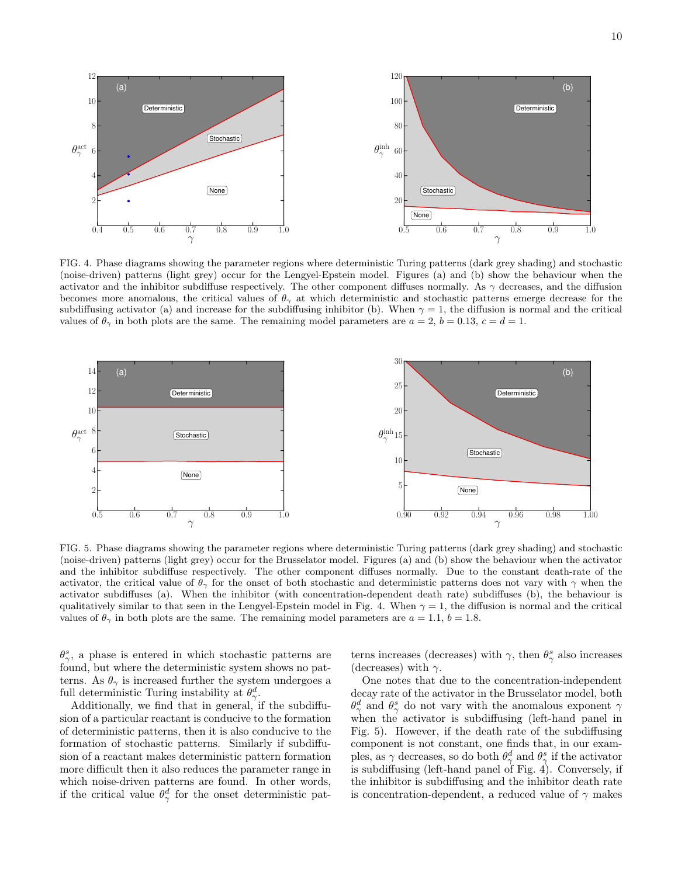



<span id="page-9-0"></span>FIG. 4. Phase diagrams showing the parameter regions where deterministic Turing patterns (dark grey shading) and stochastic (noise-driven) patterns (light grey) occur for the Lengyel-Epstein model. Figures (a) and (b) show the behaviour when the activator and the inhibitor subdiffuse respectively. The other component diffuses normally. As  $\gamma$  decreases, and the diffusion becomes more anomalous, the critical values of  $\theta_{\gamma}$  at which deterministic and stochastic patterns emerge decrease for the subdiffusing activator (a) and increase for the subdiffusing inhibitor (b). When  $\gamma = 1$ , the diffusion is normal and the critical values of  $\theta_{\gamma}$  in both plots are the same. The remaining model parameters are  $a = 2$ ,  $b = 0.13$ ,  $c = d = 1$ .



<span id="page-9-1"></span>FIG. 5. Phase diagrams showing the parameter regions where deterministic Turing patterns (dark grey shading) and stochastic (noise-driven) patterns (light grey) occur for the Brusselator model. Figures (a) and (b) show the behaviour when the activator and the inhibitor subdiffuse respectively. The other component diffuses normally. Due to the constant death-rate of the activator, the critical value of  $\theta_{\gamma}$  for the onset of both stochastic and deterministic patterns does not vary with  $\gamma$  when the activator subdiffuses (a). When the inhibitor (with concentration-dependent death rate) subdiffuses (b), the behaviour is qualitatively similar to that seen in the Lengyel-Epstein model in Fig. [4.](#page-9-0) When  $\gamma = 1$ , the diffusion is normal and the critical values of  $\theta_{\gamma}$  in both plots are the same. The remaining model parameters are  $a = 1.1, b = 1.8$ .

 $\theta_{\gamma}^{s}$ , a phase is entered in which stochastic patterns are found, but where the deterministic system shows no patterns. As  $\theta_{\gamma}$  is increased further the system undergoes a full deterministic Turing instability at  $\theta_{\gamma}^d$ .

Additionally, we find that in general, if the subdiffusion of a particular reactant is conducive to the formation of deterministic patterns, then it is also conducive to the formation of stochastic patterns. Similarly if subdiffusion of a reactant makes deterministic pattern formation more difficult then it also reduces the parameter range in which noise-driven patterns are found. In other words, if the critical value  $\theta_{\gamma}^{d}$  for the onset deterministic pat-

terns increases (decreases) with  $\gamma$ , then  $\theta^s_{\gamma}$  also increases (decreases) with  $\gamma$ .

One notes that due to the concentration-independent decay rate of the activator in the Brusselator model, both  $\theta_{\gamma}^{d}$  and  $\theta_{\gamma}^{s}$  do not vary with the anomalous exponent  $\gamma$ when the activator is subdiffusing (left-hand panel in Fig. [5\)](#page-9-1). However, if the death rate of the subdiffusing component is not constant, one finds that, in our examples, as  $\gamma$  decreases, so do both  $\theta_{\gamma}^{d}$  and  $\theta_{\gamma}^{s}$  if the activator is subdiffusing (left-hand panel of Fig. [4\)](#page-9-0). Conversely, if the inhibitor is subdiffusing and the inhibitor death rate is concentration-dependent, a reduced value of  $\gamma$  makes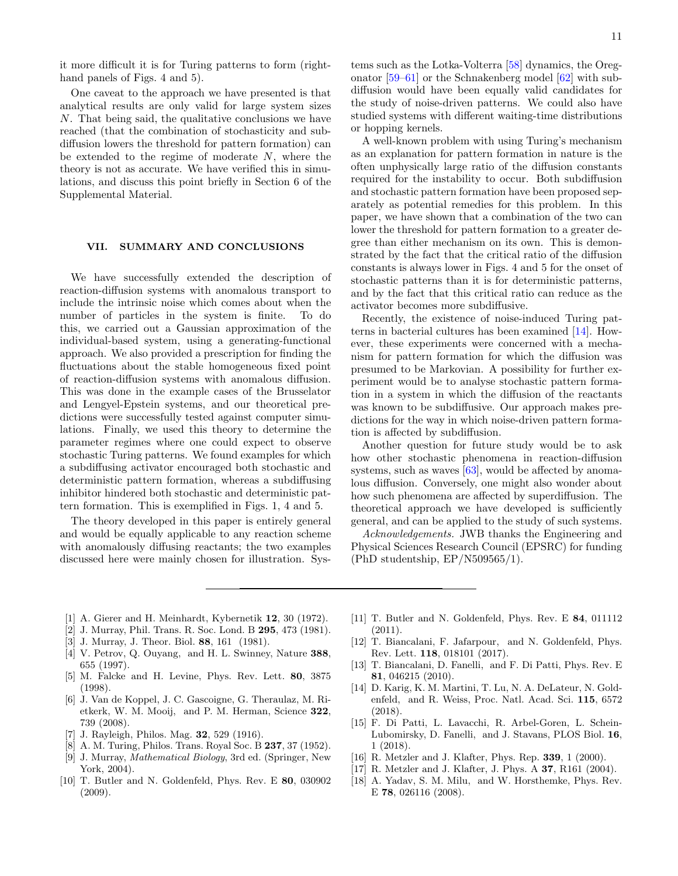it more difficult it is for Turing patterns to form (right-hand panels of Figs. [4](#page-9-0) and [5\)](#page-9-1).

One caveat to the approach we have presented is that analytical results are only valid for large system sizes N. That being said, the qualitative conclusions we have reached (that the combination of stochasticity and subdiffusion lowers the threshold for pattern formation) can be extended to the regime of moderate  $N$ , where the theory is not as accurate. We have verified this in simulations, and discuss this point briefly in Section 6 of the Supplemental Material.

## <span id="page-10-17"></span>VII. SUMMARY AND CONCLUSIONS

We have successfully extended the description of reaction-diffusion systems with anomalous transport to include the intrinsic noise which comes about when the number of particles in the system is finite. To do this, we carried out a Gaussian approximation of the individual-based system, using a generating-functional approach. We also provided a prescription for finding the fluctuations about the stable homogeneous fixed point of reaction-diffusion systems with anomalous diffusion. This was done in the example cases of the Brusselator and Lengyel-Epstein systems, and our theoretical predictions were successfully tested against computer simulations. Finally, we used this theory to determine the parameter regimes where one could expect to observe stochastic Turing patterns. We found examples for which a subdiffusing activator encouraged both stochastic and deterministic pattern formation, whereas a subdiffusing inhibitor hindered both stochastic and deterministic pattern formation. This is exemplified in Figs. [1,](#page-6-0) [4](#page-9-0) and [5.](#page-9-1)

The theory developed in this paper is entirely general and would be equally applicable to any reaction scheme with anomalously diffusing reactants; the two examples discussed here were mainly chosen for illustration. Systems such as the Lotka-Volterra [\[58\]](#page-11-39) dynamics, the Oregonator [\[59](#page-11-40)[–61\]](#page-11-41) or the Schnakenberg model [\[62\]](#page-11-42) with subdiffusion would have been equally valid candidates for the study of noise-driven patterns. We could also have studied systems with different waiting-time distributions or hopping kernels.

A well-known problem with using Turing's mechanism as an explanation for pattern formation in nature is the often unphysically large ratio of the diffusion constants required for the instability to occur. Both subdiffusion and stochastic pattern formation have been proposed separately as potential remedies for this problem. In this paper, we have shown that a combination of the two can lower the threshold for pattern formation to a greater degree than either mechanism on its own. This is demonstrated by the fact that the critical ratio of the diffusion constants is always lower in Figs. [4](#page-9-0) and [5](#page-9-1) for the onset of stochastic patterns than it is for deterministic patterns, and by the fact that this critical ratio can reduce as the activator becomes more subdiffusive.

Recently, the existence of noise-induced Turing patterns in bacterial cultures has been examined [\[14\]](#page-10-12). However, these experiments were concerned with a mechanism for pattern formation for which the diffusion was presumed to be Markovian. A possibility for further experiment would be to analyse stochastic pattern formation in a system in which the diffusion of the reactants was known to be subdiffusive. Our approach makes predictions for the way in which noise-driven pattern formation is affected by subdiffusion.

Another question for future study would be to ask how other stochastic phenomena in reaction-diffusion systems, such as waves [\[63\]](#page-11-43), would be affected by anomalous diffusion. Conversely, one might also wonder about how such phenomena are affected by superdiffusion. The theoretical approach we have developed is sufficiently general, and can be applied to the study of such systems.

Acknowledgements. JWB thanks the Engineering and Physical Sciences Research Council (EPSRC) for funding (PhD studentship, EP/N509565/1).

- <span id="page-10-0"></span>[1] A. Gierer and H. Meinhardt, Kybernetik 12, 30 (1972).
- [2] J. Murray, Phil. Trans. R. Soc. Lond. B 295, 473 (1981).
- <span id="page-10-1"></span>[3] J. Murray, J. Theor. Biol. 88, 161 (1981).
- <span id="page-10-2"></span>[4] V. Petrov, Q. Ouyang, and H. L. Swinney, Nature 388, 655 (1997).
- <span id="page-10-3"></span>[5] M. Falcke and H. Levine, Phys. Rev. Lett. 80, 3875 (1998).
- <span id="page-10-4"></span>[6] J. Van de Koppel, J. C. Gascoigne, G. Theraulaz, M. Rietkerk, W. M. Mooij, and P. M. Herman, Science 322, 739 (2008).
- <span id="page-10-5"></span>[7] J. Rayleigh, Philos. Mag. 32, 529 (1916).
- <span id="page-10-6"></span>[8] A. M. Turing, Philos. Trans. Royal Soc. B 237, 37 (1952).
- <span id="page-10-7"></span>[9] J. Murray, Mathematical Biology, 3rd ed. (Springer, New York, 2004).
- <span id="page-10-8"></span>[10] T. Butler and N. Goldenfeld, Phys. Rev. E 80, 030902 (2009).
- <span id="page-10-9"></span>[11] T. Butler and N. Goldenfeld, Phys. Rev. E 84, 011112 (2011).
- <span id="page-10-10"></span>[12] T. Biancalani, F. Jafarpour, and N. Goldenfeld, Phys. Rev. Lett. 118, 018101 (2017).
- <span id="page-10-11"></span>[13] T. Biancalani, D. Fanelli, and F. Di Patti, Phys. Rev. E 81, 046215 (2010).
- <span id="page-10-12"></span>[14] D. Karig, K. M. Martini, T. Lu, N. A. DeLateur, N. Goldenfeld, and R. Weiss, Proc. Natl. Acad. Sci. 115, 6572  $(2018)$
- <span id="page-10-13"></span>[15] F. Di Patti, L. Lavacchi, R. Arbel-Goren, L. Schein-Lubomirsky, D. Fanelli, and J. Stavans, PLOS Biol. 16, 1 (2018).
- <span id="page-10-14"></span>[16] R. Metzler and J. Klafter, Phys. Rep. **339**, 1 (2000).
- <span id="page-10-15"></span>[17] R. Metzler and J. Klafter, J. Phys. A 37, R161 (2004).
- <span id="page-10-16"></span>[18] A. Yadav, S. M. Milu, and W. Horsthemke, Phys. Rev. E 78, 026116 (2008).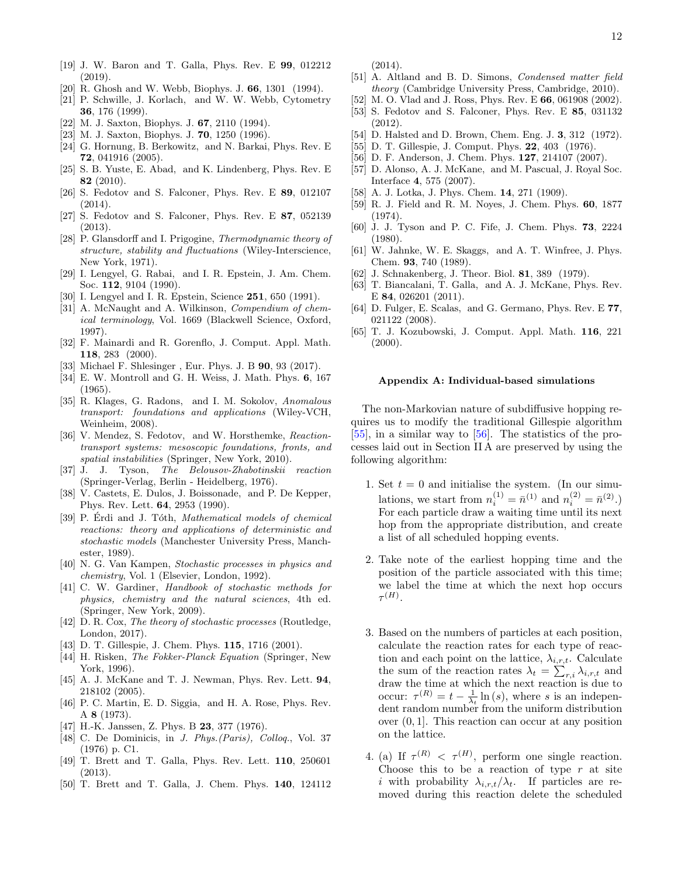- <span id="page-11-0"></span>[19] J. W. Baron and T. Galla, Phys. Rev. E 99, 012212 (2019).
- <span id="page-11-1"></span>[20] R. Ghosh and W. Webb, Biophys. J. 66, 1301 (1994).
- <span id="page-11-2"></span>[21] P. Schwille, J. Korlach, and W. W. Webb, Cytometry 36, 176 (1999).
- <span id="page-11-3"></span>[22] M. J. Saxton, Biophys. J. 67, 2110 (1994).
- <span id="page-11-4"></span>[23] M. J. Saxton, Biophys. J. **70**, 1250 (1996).
- <span id="page-11-5"></span>[24] G. Hornung, B. Berkowitz, and N. Barkai, Phys. Rev. E 72, 041916 (2005).
- <span id="page-11-7"></span>[25] S. B. Yuste, E. Abad, and K. Lindenberg, Phys. Rev. E 82 (2010).
- <span id="page-11-6"></span>[26] S. Fedotov and S. Falconer, Phys. Rev. E 89, 012107  $(2014)$ .
- <span id="page-11-8"></span>[27] S. Fedotov and S. Falconer, Phys. Rev. E 87, 052139 (2013).
- <span id="page-11-9"></span>[28] P. Glansdorff and I. Prigogine, Thermodynamic theory of structure, stability and fluctuations (Wiley-Interscience, New York, 1971).
- <span id="page-11-10"></span>[29] I. Lengyel, G. Rabai, and I. R. Epstein, J. Am. Chem. Soc. 112, 9104 (1990).
- <span id="page-11-11"></span>[30] I. Lengyel and I. R. Epstein, Science **251**, 650 (1991).
- <span id="page-11-12"></span>[31] A. McNaught and A. Wilkinson, *Compendium of chem*ical terminology, Vol. 1669 (Blackwell Science, Oxford, 1997).
- <span id="page-11-13"></span>[32] F. Mainardi and R. Gorenflo, J. Comput. Appl. Math. 118, 283 (2000).
- <span id="page-11-14"></span>[33] Michael F. Shlesinger, Eur. Phys. J. B **90**, 93 (2017).
- <span id="page-11-15"></span>[34] E. W. Montroll and G. H. Weiss, J. Math. Phys. 6, 167  $(1965)$
- <span id="page-11-16"></span>[35] R. Klages, G. Radons, and I. M. Sokolov, Anomalous transport: foundations and applications (Wiley-VCH, Weinheim, 2008).
- <span id="page-11-17"></span>[36] V. Mendez, S. Fedotov, and W. Horsthemke, Reactiontransport systems: mesoscopic foundations, fronts, and spatial instabilities (Springer, New York, 2010).
- <span id="page-11-18"></span>[37] J. J. Tyson, The Belousov-Zhabotinskii reaction (Springer-Verlag, Berlin - Heidelberg, 1976).
- <span id="page-11-19"></span>[38] V. Castets, E. Dulos, J. Boissonade, and P. De Kepper, Phys. Rev. Lett. 64, 2953 (1990).
- <span id="page-11-20"></span>[39] P. Érdi and J. Tóth, *Mathematical models of chemical* reactions: theory and applications of deterministic and stochastic models (Manchester University Press, Manchester, 1989).
- <span id="page-11-21"></span>[40] N. G. Van Kampen, Stochastic processes in physics and chemistry, Vol. 1 (Elsevier, London, 1992).
- <span id="page-11-22"></span>[41] C. W. Gardiner, Handbook of stochastic methods for physics, chemistry and the natural sciences, 4th ed. (Springer, New York, 2009).
- <span id="page-11-23"></span>[42] D. R. Cox, The theory of stochastic processes (Routledge, London, 2017).
- <span id="page-11-24"></span>[43] D. T. Gillespie, J. Chem. Phys. **115**, 1716 (2001).
- <span id="page-11-25"></span>[44] H. Risken, The Fokker-Planck Equation (Springer, New York, 1996).
- <span id="page-11-26"></span>[45] A. J. McKane and T. J. Newman, Phys. Rev. Lett. 94, 218102 (2005).
- <span id="page-11-27"></span>[46] P. C. Martin, E. D. Siggia, and H. A. Rose, Phys. Rev. A 8 (1973).
- [47] H.-K. Janssen, Z. Phys. B **23**, 377 (1976).
- <span id="page-11-28"></span>[48] C. De Dominicis, in J. Phys. (Paris), Collog., Vol. 37 (1976) p. C1.
- <span id="page-11-29"></span>[49] T. Brett and T. Galla, Phys. Rev. Lett. 110, 250601 (2013).
- <span id="page-11-30"></span>[50] T. Brett and T. Galla, J. Chem. Phys. 140, 124112

(2014).

- <span id="page-11-31"></span>[51] A. Altland and B. D. Simons, Condensed matter field theory (Cambridge University Press, Cambridge, 2010).
- <span id="page-11-32"></span>[52] M. O. Vlad and J. Ross, Phys. Rev. E 66, 061908 (2002).
- <span id="page-11-33"></span>[53] S. Fedotov and S. Falconer, Phys. Rev. E 85, 031132 (2012).
- <span id="page-11-34"></span>[54] D. Halsted and D. Brown, Chem. Eng. J. **3**, 312 (1972).
- <span id="page-11-35"></span>[55] D. T. Gillespie, J. Comput. Phys. 22, 403 (1976).
- <span id="page-11-36"></span>[56] D. F. Anderson, J. Chem. Phys. **127**, 214107 (2007).
- <span id="page-11-38"></span>[57] D. Alonso, A. J. McKane, and M. Pascual, J. Royal Soc. Interface 4, 575 (2007).
- <span id="page-11-39"></span>[58] A. J. Lotka, J. Phys. Chem. **14**, 271 (1909).
- <span id="page-11-40"></span>[59] R. J. Field and R. M. Noyes, J. Chem. Phys. 60, 1877 (1974).
- [60] J. J. Tyson and P. C. Fife, J. Chem. Phys. 73, 2224 (1980).
- <span id="page-11-41"></span>[61] W. Jahnke, W. E. Skaggs, and A. T. Winfree, J. Phys. Chem. 93, 740 (1989).
- <span id="page-11-42"></span>[62] J. Schnakenberg, J. Theor. Biol. **81**, 389 (1979).
- <span id="page-11-43"></span>[63] T. Biancalani, T. Galla, and A. J. McKane, Phys. Rev. E 84, 026201 (2011).
- <span id="page-11-44"></span>[64] D. Fulger, E. Scalas, and G. Germano, Phys. Rev. E 77, 021122 (2008).
- <span id="page-11-45"></span>[65] T. J. Kozubowski, J. Comput. Appl. Math. 116, 221  $(2000).$

### <span id="page-11-37"></span>Appendix A: Individual-based simulations

The non-Markovian nature of subdiffusive hopping requires us to modify the traditional Gillespie algorithm [\[55\]](#page-11-35), in a similar way to [\[56\]](#page-11-36). The statistics of the processes laid out in Section [II A](#page-1-1) are preserved by using the following algorithm:

- 1. Set  $t = 0$  and initialise the system. (In our simulations, we start from  $n_i^{(1)} = \bar{n}^{(1)}$  and  $n_i^{(2)} = \bar{n}^{(2)}$ .) For each particle draw a waiting time until its next hop from the appropriate distribution, and create a list of all scheduled hopping events.
- 2. Take note of the earliest hopping time and the position of the particle associated with this time; we label the time at which the next hop occurs  $\tau^{(H)}.$
- 3. Based on the numbers of particles at each position, calculate the reaction rates for each type of reaction and each point on the lattice,  $\lambda_{i,r,t}$ . Calculate the sum of the reaction rates  $\lambda_t = \sum_{r,i} \lambda_{i,r,t}$  and draw the time at which the next reaction is due to occur:  $\tau^{(R)} = t - \frac{1}{\lambda_t} \ln(s)$ , where s is an independent random number from the uniform distribution over (0, 1]. This reaction can occur at any position on the lattice.
- 4. (a) If  $\tau^{(R)} < \tau^{(H)}$ , perform one single reaction. Choose this to be a reaction of type  $r$  at site i with probability  $\lambda_{i,r,t}/\lambda_t$ . If particles are removed during this reaction delete the scheduled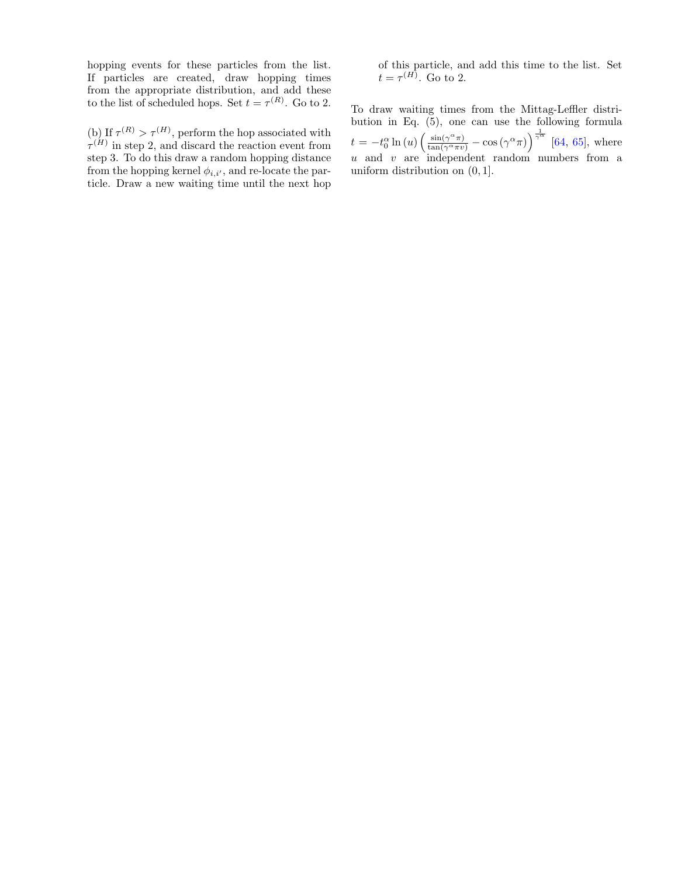hopping events for these particles from the list. If particles are created, draw hopping times from the appropriate distribution, and add these to the list of scheduled hops. Set  $t = \tau^{(R)}$ . Go to 2.

(b) If  $\tau^{(R)} > \tau^{(H)}$ , perform the hop associated with  $\tau^{(H)}$  in step 2, and discard the reaction event from step 3. To do this draw a random hopping distance from the hopping kernel  $\phi_{i,i'}$ , and re-locate the particle. Draw a new waiting time until the next hop of this particle, and add this time to the list. Set  $t = \tau^{(H)}$ . Go to 2.

To draw waiting times from the Mittag-Leffler distribution in Eq.  $(5)$ , one can use the following formula  $t = -t_0^{\alpha} \ln(u) \left( \frac{\sin(\gamma^{\alpha} \pi)}{\tan(\gamma^{\alpha} \pi v)} - \cos(\gamma^{\alpha} \pi) \right)^{\frac{1}{\gamma^{\alpha}}}$  [\[64,](#page-11-44) [65\]](#page-11-45), where  $u$  and  $v$  are independent random numbers from a uniform distribution on (0, 1].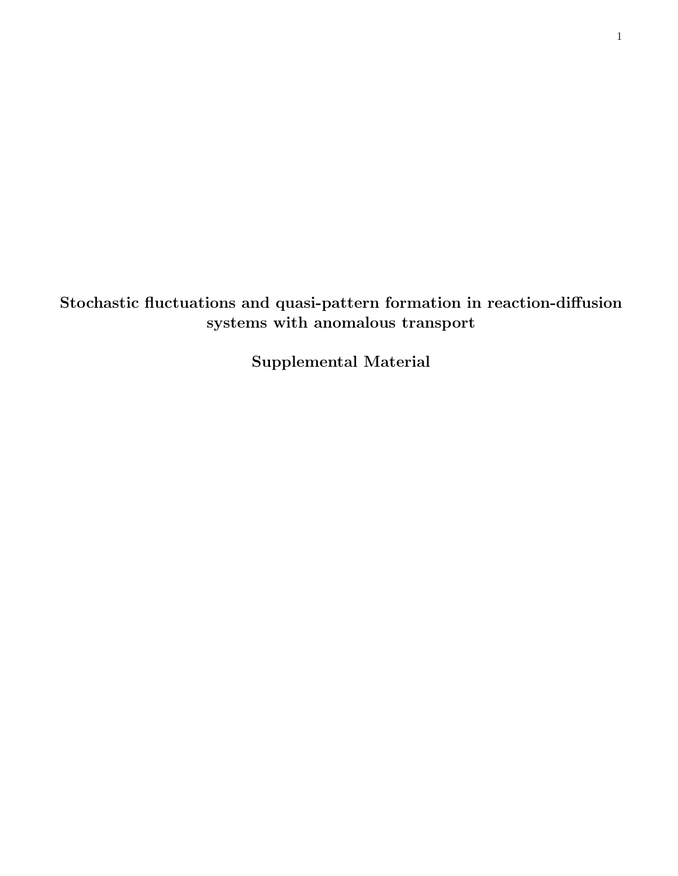Stochastic fluctuations and quasi-pattern formation in reaction-diffusion systems with anomalous transport

Supplemental Material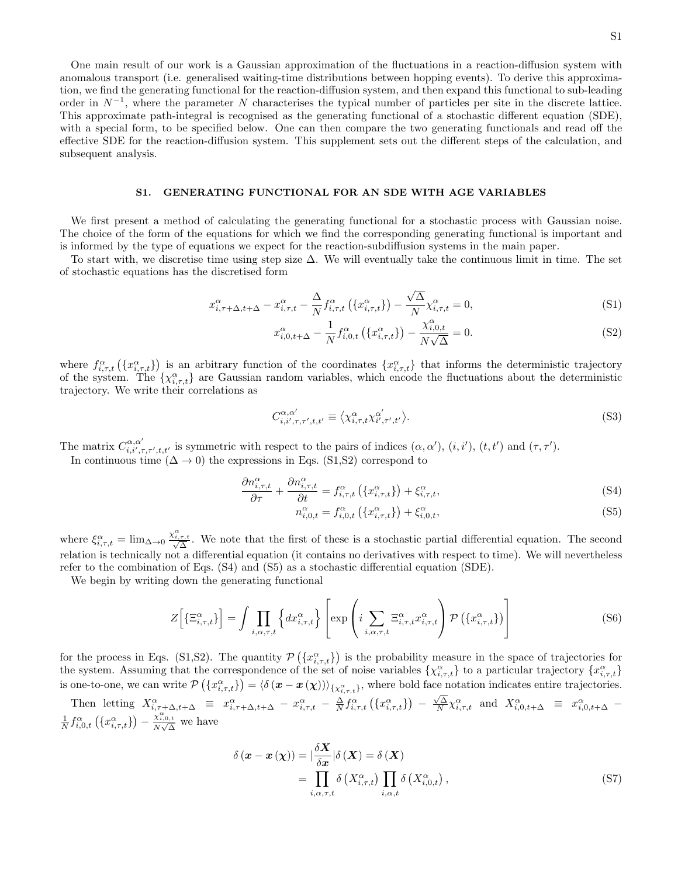One main result of our work is a Gaussian approximation of the fluctuations in a reaction-diffusion system with anomalous transport (i.e. generalised waiting-time distributions between hopping events). To derive this approximation, we find the generating functional for the reaction-diffusion system, and then expand this functional to sub-leading order in  $N^{-1}$ , where the parameter N characterises the typical number of particles per site in the discrete lattice. This approximate path-integral is recognised as the generating functional of a stochastic different equation (SDE), with a special form, to be specified below. One can then compare the two generating functionals and read off the effective SDE for the reaction-diffusion system. This supplement sets out the different steps of the calculation, and subsequent analysis.

### <span id="page-14-3"></span>S1. GENERATING FUNCTIONAL FOR AN SDE WITH AGE VARIABLES

We first present a method of calculating the generating functional for a stochastic process with Gaussian noise. The choice of the form of the equations for which we find the corresponding generating functional is important and is informed by the type of equations we expect for the reaction-subdiffusion systems in the main paper.

To start with, we discretise time using step size ∆. We will eventually take the continuous limit in time. The set of stochastic equations has the discretised form

$$
x_{i,\tau+\Delta,t+\Delta}^{\alpha} - x_{i,\tau,t}^{\alpha} - \frac{\Delta}{N} f_{i,\tau,t}^{\alpha} \left( \{ x_{i,\tau,t}^{\alpha} \} \right) - \frac{\sqrt{\Delta}}{N} \chi_{i,\tau,t}^{\alpha} = 0, \tag{S1}
$$

<span id="page-14-1"></span><span id="page-14-0"></span>
$$
x_{i,0,t+\Delta}^{\alpha} - \frac{1}{N} f_{i,0,t}^{\alpha} (\{x_{i,\tau,t}^{\alpha}\}) - \frac{\chi_{i,0,t}^{\alpha}}{N\sqrt{\Delta}} = 0.
$$
 (S2)

where  $f_{i,\tau,t}^{\alpha}(\lbrace x_{i,\tau,t}^{\alpha}\rbrace)$  is an arbitrary function of the coordinates  $\lbrace x_{i,\tau,t}^{\alpha}\rbrace$  that informs the deterministic trajectory of the system. The  $\{\chi_{i,\tau,t}^{\alpha}\}\$  are Gaussian random variables, which encode the fluctuations about the deterministic trajectory. We write their correlations as

$$
C^{\alpha,\alpha'}_{i,i',\tau,\tau',t,t'} \equiv \langle \chi^{\alpha}_{i,\tau,t} \chi^{\alpha'}_{i',\tau',t'} \rangle.
$$
\n(S3)

The matrix  $C^{\alpha,\alpha'}_{i,i',\tau,\tau',t,t'}$  is symmetric with respect to the pairs of indices  $(\alpha,\alpha')$ ,  $(i,i')$ ,  $(t,t')$  and  $(\tau,\tau')$ .

In continuous time  $(\Delta \to 0)$  the expressions in Eqs. [\(S1,](#page-14-0)[S2\)](#page-14-1) correspond to

<span id="page-14-2"></span>
$$
\frac{\partial n_{i,\tau,t}^{\alpha}}{\partial \tau} + \frac{\partial n_{i,\tau,t}^{\alpha}}{\partial t} = f_{i,\tau,t}^{\alpha} \left( \{ x_{i,\tau,t}^{\alpha} \} \right) + \xi_{i,\tau,t}^{\alpha}, \tag{S4}
$$

$$
n_{i,0,t}^{\alpha} = f_{i,0,t}^{\alpha} (\{x_{i,\tau,t}^{\alpha}\}) + \xi_{i,0,t}^{\alpha}, \qquad (S5)
$$

where  $\xi_{i,\tau,t}^{\alpha} = \lim_{\Delta \to 0} \frac{\chi_{i,\tau,t}^{\alpha}}{\sqrt{\Delta}}$ . We note that the first of these is a stochastic partial differential equation. The second relation is technically not a differential equation (it contains no derivatives with respect to time). We will nevertheless refer to the combination of Eqs. [\(S4\)](#page-14-2) and [\(S5\)](#page-14-2) as a stochastic differential equation (SDE).

We begin by writing down the generating functional

<span id="page-14-4"></span>
$$
Z\Big[\{\Xi_{i,\tau,t}^{\alpha}\}\Big] = \int \prod_{i,\alpha,\tau,t} \left\{ dx_{i,\tau,t}^{\alpha} \right\} \left[ \exp\left(i \sum_{i,\alpha,\tau,t} \Xi_{i,\tau,t}^{\alpha} x_{i,\tau,t}^{\alpha} \right) \mathcal{P}\left(\{x_{i,\tau,t}^{\alpha}\}\right) \right] \tag{S6}
$$

for the process in Eqs. [\(S1](#page-14-0)[,S2\)](#page-14-1). The quantity  $\mathcal{P}(\{x_i^{\alpha}, \tau, t\})$  is the probability measure in the space of trajectories for the system. Assuming that the correspondence of the set of noise variables  $\{\chi^{\alpha}_{i,\tau,t}\}\;$  to a particular trajectory  $\{x^{\alpha}_{i,\tau,t}\}$ is one-to-one, we can write  $\mathcal{P}(\{x_{i,\tau,t}^{\alpha}\}) = \langle \delta(\mathbf{x}-\mathbf{x}(\chi)) \rangle_{\{\chi_{i,\tau,t}^{\alpha}\}},$  where bold face notation indicates entire trajectories.

Then letting  $X^{\alpha}_{i,\tau+\Delta,t+\Delta} \equiv x^{\alpha}_{i,\tau+\Delta,t+\Delta} - x^{\alpha}_{i,\tau,t} - \frac{\Delta}{N} f^{\alpha}_{i,\tau,t} (\{x^{\alpha}_{i,\tau,t}\})$  $\frac{\sqrt{\Delta}}{N} \chi_{i,\tau,t}^{\alpha}$  and  $X_{i,0,t+\Delta}^{\alpha} \equiv x_{i,0,t+\Delta}^{\alpha}$  - $\frac{1}{N} f_{i,0,t}^{\alpha} (\{x_{i,\tau,t}^{\alpha}\}) - \frac{\chi_{i,0,t}^{\alpha}}{N\sqrt{\Delta}}$  we have

$$
\delta\left(\mathbf{x} - \mathbf{x}\left(\mathbf{\chi}\right)\right) = \left| \frac{\delta \mathbf{X}}{\delta \mathbf{x}} \right| \delta\left(\mathbf{X}\right) = \delta\left(\mathbf{X}\right)
$$
\n
$$
= \prod_{i, \alpha, \tau, t} \delta\left(X_{i, \tau, t}^{\alpha}\right) \prod_{i, \alpha, t} \delta\left(X_{i, 0, t}^{\alpha}\right), \tag{S7}
$$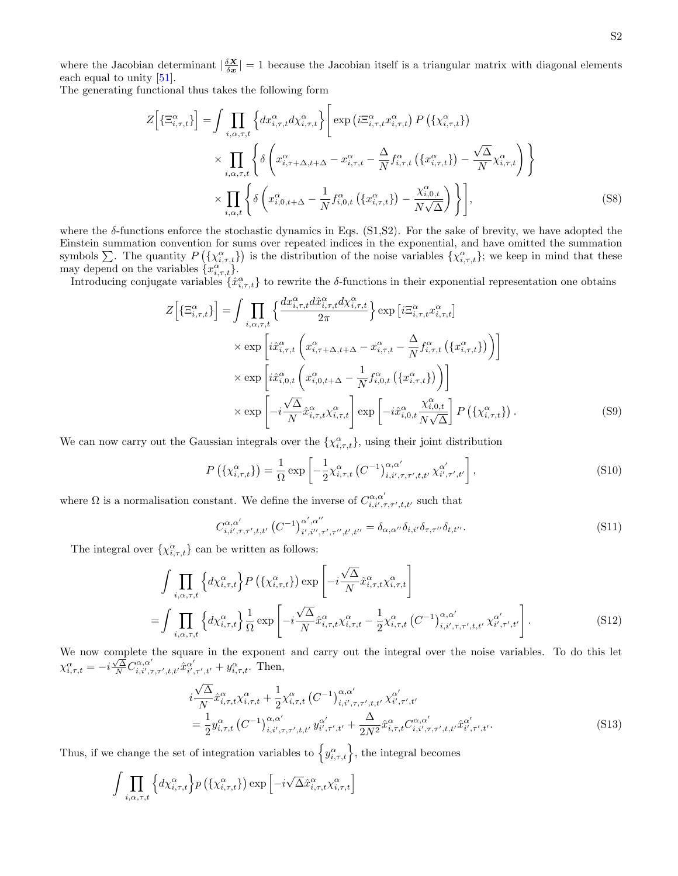where the Jacobian determinant  $\left|\frac{\delta X}{\delta x}\right|=1$  because the Jacobian itself is a triangular matrix with diagonal elements each equal to unity [\[51\]](#page-11-31).

The generating functional thus takes the following form

$$
Z\left[\left\{\Xi_{i,\tau,t}^{\alpha}\right\}\right] = \int \prod_{i,\alpha,\tau,t} \left\{ dx_{i,\tau,t}^{\alpha} dx_{i,\tau,t}^{\alpha}\right\} \left[\exp\left(i\Xi_{i,\tau,t}^{\alpha} x_{i,\tau,t}^{\alpha}\right) P\left(\left\{\chi_{i,\tau,t}^{\alpha}\right\}\right) \right] \times \prod_{i,\alpha,\tau,t} \left\{ \delta\left(x_{i,\tau+\Delta,t+\Delta}^{\alpha} - x_{i,\tau,t}^{\alpha} - \frac{\Delta}{N} f_{i,\tau,t}^{\alpha}\left(\left\{x_{i,\tau,t}^{\alpha}\right\}\right) - \frac{\sqrt{\Delta}}{N} \chi_{i,\tau,t}^{\alpha}\right) \right\} \right\} \times \prod_{i,\alpha,t} \left\{ \delta\left(x_{i,0,t+\Delta}^{\alpha} - \frac{1}{N} f_{i,0,t}^{\alpha}\left(\left\{x_{i,\tau,t}^{\alpha}\right\}\right) - \frac{\chi_{i,0,t}^{\alpha}}{N\sqrt{\Delta}}\right) \right\},\tag{S8}
$$

where the  $\delta$ -functions enforce the stochastic dynamics in Eqs. [\(S1,](#page-14-0)[S2\)](#page-14-1). For the sake of brevity, we have adopted the Einstein summation convention for sums over repeated indices in the exponential, and have omitted the summation symbols  $\sum$ . The quantity  $P(\lbrace \chi_{i,\tau,t}^{\alpha}\rbrace)$  is the distribution of the noise variables  $\lbrace \chi_{i,\tau,t}^{\alpha}\rbrace$ ; we keep in mind that these may depend on the variables  $\{x_{i,\tau,t}^{\alpha}\}.$ 

Introducing conjugate variables  $\{\hat{x}^{\alpha}_{i,\tau,t}\}$  to rewrite the δ-functions in their exponential representation one obtains

$$
Z\left[\left\{\Xi_{i,\tau,t}^{\alpha}\right\}\right] = \int \prod_{i,\alpha,\tau,t} \left\{\frac{dx_{i,\tau,t}^{\alpha}d\hat{x}_{i,\tau,t}^{\alpha}d\chi_{i,\tau,t}^{\alpha}}{2\pi}\right\} \exp\left[i\Xi_{i,\tau,t}^{\alpha}x_{i,\tau,t}^{\alpha}\right] \times \exp\left[i\hat{x}_{i,\tau,t}^{\alpha}\left(x_{i,\tau+\Delta,t+\Delta}^{\alpha}-x_{i,\tau,t}^{\alpha}-\frac{\Delta}{N}f_{i,\tau,t}^{\alpha}\left(\left\{x_{i,\tau,t}^{\alpha}\right\}\right)\right)\right] \times \exp\left[i\hat{x}_{i,0,t}^{\alpha}\left(x_{i,0,t+\Delta}^{\alpha}-\frac{1}{N}f_{i,0,t}^{\alpha}\left(\left\{x_{i,\tau,t}^{\alpha}\right\}\right)\right)\right] \times \exp\left[-i\frac{\sqrt{\Delta}}{N}\hat{x}_{i,\tau,t}^{\alpha}\chi_{i,\tau,t}^{\alpha}\right] \exp\left[-i\hat{x}_{i,0,t}^{\alpha}\frac{\chi_{i,0,t}^{\alpha}}{N\sqrt{\Delta}}\right]P\left(\left\{\chi_{i,\tau,t}^{\alpha}\right\}\right). \tag{S9}
$$

We can now carry out the Gaussian integrals over the  $\{\chi_{i,\tau,t}^{\alpha}\}$ , using their joint distribution

$$
P\left(\{\chi_{i,\tau,t}^{\alpha}\}\right) = \frac{1}{\Omega} \exp\left[-\frac{1}{2}\chi_{i,\tau,t}^{\alpha}\left(C^{-1}\right)_{i,i',\tau,\tau',t,t'}^{\alpha,\alpha'}\chi_{i',\tau',t'}^{\alpha'}\right],\tag{S10}
$$

where  $\Omega$  is a normalisation constant. We define the inverse of  $C^{\alpha,\alpha'}_{i,i',\tau,\tau',t,t'}$  such that

$$
C^{\alpha,\alpha'}_{i,i',\tau,\tau',t,t'} (C^{-1})^{\alpha',\alpha''}_{i',i'',\tau',\tau'',t',t''} = \delta_{\alpha,\alpha''}\delta_{i,i'}\delta_{\tau,\tau''}\delta_{t,t''}.
$$
 (S11)

The integral over  $\{\chi_{i,\tau,t}^{\alpha}\}$  can be written as follows:

$$
\int \prod_{i,\alpha,\tau,t} \left\{ d\chi_{i,\tau,t}^{\alpha} \right\} P\left(\{\chi_{i,\tau,t}^{\alpha}\}\right) \exp\left[-i\frac{\sqrt{\Delta}}{N} \hat{x}_{i,\tau,t}^{\alpha} \chi_{i,\tau,t}^{\alpha}\right] \n= \int \prod_{i,\alpha,\tau,t} \left\{ d\chi_{i,\tau,t}^{\alpha} \right\} \frac{1}{\Omega} \exp\left[-i\frac{\sqrt{\Delta}}{N} \hat{x}_{i,\tau,t}^{\alpha} \chi_{i,\tau,t}^{\alpha} - \frac{1}{2} \chi_{i,\tau,t}^{\alpha} \left(C^{-1}\right)_{i,i',\tau,\tau',t,t'}^{\alpha,\alpha'} \chi_{i',\tau',t'}^{\alpha'}\right].
$$
\n(S12)

We now complete the square in the exponent and carry out the integral over the noise variables. To do this let we now complete one square in the exponent<br>  $\chi_{i,\tau,t}^{\alpha} = -i \frac{\sqrt{\Delta}}{N} C_{i,i',\tau,\tau',t,t'}^{\alpha'} \hat{x}_{i',\tau',t'}^{\alpha'} + y_{i,\tau,t}^{\alpha}$ . Then,

$$
i\frac{\sqrt{\Delta}}{N}\hat{x}_{i,\tau,t}^{\alpha}\chi_{i,\tau,t}^{\alpha} + \frac{1}{2}\chi_{i,\tau,t}^{\alpha} (C^{-1})_{i,i',\tau,\tau',t,t'}^{\alpha,\alpha'} \chi_{i',\tau',t'}^{\alpha'} = \frac{1}{2}y_{i,\tau,t}^{\alpha} (C^{-1})_{i,i',\tau,\tau',t,t'}^{\alpha,\alpha'} y_{i',\tau',t'}^{\alpha'} + \frac{\Delta}{2N^2}\hat{x}_{i,\tau,t}^{\alpha} C_{i,i',\tau,\tau',t,t'}^{\alpha,\alpha'} \hat{x}_{i',\tau',t'}^{\alpha'}.
$$
(S13)

Thus, if we change the set of integration variables to  $\left\{y_{i,\tau,t}^{\alpha}\right\}$ , the integral becomes

$$
\int \prod_{i,\alpha,\tau,t} \left\{ d\chi_{i,\tau,t}^{\alpha} \right\} p\left(\{\chi_{i,\tau,t}^{\alpha}\}\right) \exp\left[-i\sqrt{\Delta} \hat{x}_{i,\tau,t}^{\alpha} \chi_{i,\tau,t}^{\alpha}\right]
$$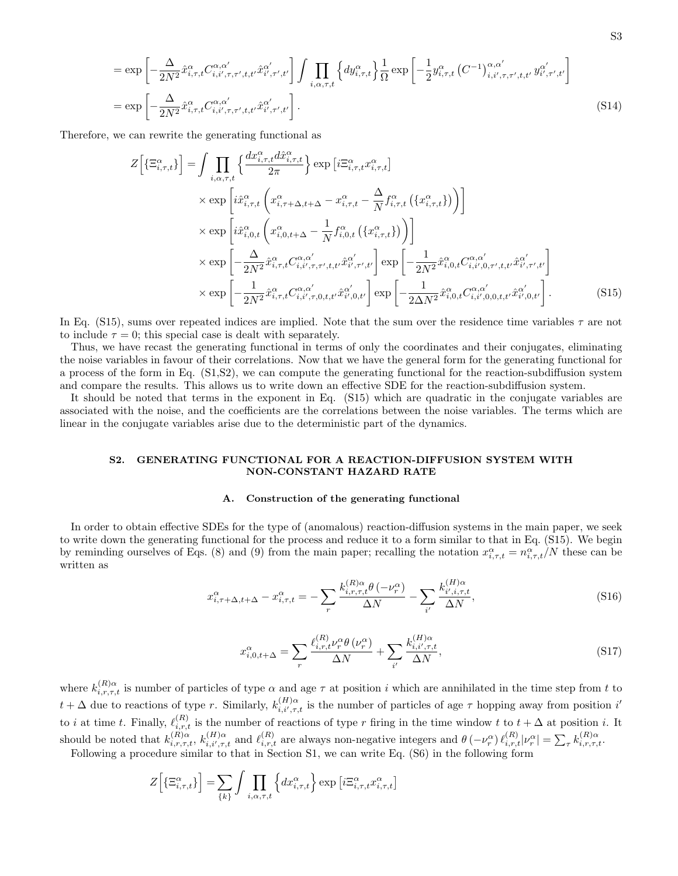$$
= \exp\left[-\frac{\Delta}{2N^2}\hat{x}_{i,\tau,t}^{\alpha}C_{i,i',\tau,\tau',t,t'}^{\alpha,\alpha'}\hat{x}_{i',\tau',t'}^{\alpha'}\right]\int\prod_{i,\alpha,\tau,t}\left\{dy_{i,\tau,t}^{\alpha}\right\}\frac{1}{\Omega}\exp\left[-\frac{1}{2}y_{i,\tau,t}^{\alpha}(C^{-1})_{i,i',\tau,\tau',t,t'}^{\alpha,\alpha'}y_{i',\tau',t'}^{\alpha'}\right]
$$

$$
= \exp\left[-\frac{\Delta}{2N^2}\hat{x}_{i,\tau,t}^{\alpha}C_{i,i',\tau,\tau',t,t'}^{\alpha,\alpha'}\hat{x}_{i',\tau',t'}^{\alpha'}\right].
$$
(S14)

Therefore, we can rewrite the generating functional as

$$
Z\left[\left\{\Xi_{i,\tau,t}^{\alpha}\right\}\right] = \int \prod_{i,\alpha,\tau,t} \left\{\frac{dx_{i,\tau,t}^{\alpha}d\hat{x}_{i,\tau,t}^{\alpha}}{2\pi}\right\} \exp\left[i\Xi_{i,\tau,t}^{\alpha}x_{i,\tau,t}^{\alpha}\right] \times \exp\left[i\hat{x}_{i,\tau,t}^{\alpha}\left(x_{i,\tau+\Delta,t+\Delta}^{\alpha} - x_{i,\tau,t}^{\alpha} - \frac{\Delta}{N}f_{i,\tau,t}^{\alpha}\left(\left\{x_{i,\tau,t}^{\alpha}\right\}\right)\right)\right] \times \exp\left[i\hat{x}_{i,0,t}^{\alpha}\left(x_{i,0,t+\Delta}^{\alpha} - \frac{1}{N}f_{i,0,t}^{\alpha}\left(\left\{x_{i,\tau,t}^{\alpha}\right\}\right)\right)\right] \times \exp\left[-\frac{\Delta}{2N^{2}}\hat{x}_{i,\tau,t}^{\alpha}C_{i,i',\tau,\tau',t,t'}^{\alpha,\alpha'}\hat{x}_{i',\tau',t'}^{\alpha'}\right] \exp\left[-\frac{1}{2N^{2}}\hat{x}_{i,0,t}^{\alpha}C_{i,i',0,\tau',t,t'}^{\alpha,\alpha'}\hat{x}_{i',\tau',t'}^{\alpha'}\right] \times \exp\left[-\frac{1}{2N^{2}}\hat{x}_{i,\tau,t}^{\alpha}C_{i,i',\tau,0,t,t'}^{\alpha,\alpha'}\hat{x}_{i',0,t'}^{\alpha'}\right] \exp\left[-\frac{1}{2\Delta N^{2}}\hat{x}_{i,0,t}^{\alpha}C_{i,i',0,0,t,t'}^{\alpha,\alpha'}\hat{x}_{i',0,t'}^{\alpha'}\right].
$$
\n(S15)

In Eq. [\(S15\)](#page-16-0), sums over repeated indices are implied. Note that the sum over the residence time variables  $\tau$  are not to include  $\tau = 0$ ; this special case is dealt with separately.

Thus, we have recast the generating functional in terms of only the coordinates and their conjugates, eliminating the noise variables in favour of their correlations. Now that we have the general form for the generating functional for a process of the form in Eq. [\(S1,](#page-14-0)[S2\)](#page-14-1), we can compute the generating functional for the reaction-subdiffusion system and compare the results. This allows us to write down an effective SDE for the reaction-subdiffusion system.

It should be noted that terms in the exponent in Eq. [\(S15\)](#page-16-0) which are quadratic in the conjugate variables are associated with the noise, and the coefficients are the correlations between the noise variables. The terms which are linear in the conjugate variables arise due to the deterministic part of the dynamics.

## <span id="page-16-1"></span>S2. GENERATING FUNCTIONAL FOR A REACTION-DIFFUSION SYSTEM WITH NON-CONSTANT HAZARD RATE

### <span id="page-16-0"></span>A. Construction of the generating functional

In order to obtain effective SDEs for the type of (anomalous) reaction-diffusion systems in the main paper, we seek to write down the generating functional for the process and reduce it to a form similar to that in Eq. [\(S15\)](#page-16-0). We begin by reminding ourselves of Eqs. (8) and (9) from the main paper; recalling the notation  $x_{i,\tau,t}^{\alpha} = n_{i,\tau,t}^{\alpha}/N$  these can be written as

$$
x_{i,\tau+\Delta,t+\Delta}^{\alpha} - x_{i,\tau,t}^{\alpha} = -\sum_{r} \frac{k_{i,r,\tau,t}^{(R)\alpha} \theta(-\nu_r^{\alpha})}{\Delta N} - \sum_{i'} \frac{k_{i',i,\tau,t}^{(H)\alpha}}{\Delta N},\tag{S16}
$$

$$
x_{i,0,t+\Delta}^{\alpha} = \sum_{r} \frac{\ell_{i,r,t}^{(R)} \nu_r^{\alpha} \theta(\nu_r^{\alpha})}{\Delta N} + \sum_{i'} \frac{k_{i,i',\tau,t}^{(H)\alpha}}{\Delta N},\tag{S17}
$$

where  $k_{i,r,\tau,t}^{(R)\alpha}$  is number of particles of type  $\alpha$  and age  $\tau$  at position i which are annihilated in the time step from t to  $t + \Delta$  due to reactions of type r. Similarly,  $k_{i,i',\tau,t}^{(H)\alpha}$  is the number of particles of age  $\tau$  hopping away from position i' to *i* at time t. Finally,  $\ell_{i,r,t}^{(R)}$  is the number of reactions of type r firing in the time window t to  $t + \Delta$  at position *i*. It should be noted that  $k_{i,r,\tau,t}^{(R)\alpha}$ ,  $k_{i,i',\tau,t}^{(H)\alpha}$  and  $\ell_{i,r,t}^{(R)}$  are always non-negative integers and  $\theta$  (- $\nu_r^{\alpha}$ ) $\ell_{i,r,t}^{(R)}|\nu_r^{\alpha}| = \sum_{\tau} k_{i,r,\tau,t}^{(R)\alpha}$ .

Following a procedure similar to that in Section [S1,](#page-14-3) we can write Eq. [\(S6\)](#page-14-4) in the following form

$$
Z\Big[\{\Xi_{i,\tau,t}^{\alpha}\}\Big] = \sum_{\{k\}} \int \prod_{i,\alpha,\tau,t} \left\{ dx_{i,\tau,t}^{\alpha} \right\} \exp\left[i \Xi_{i,\tau,t}^{\alpha} x_{i,\tau,t}^{\alpha}\right]
$$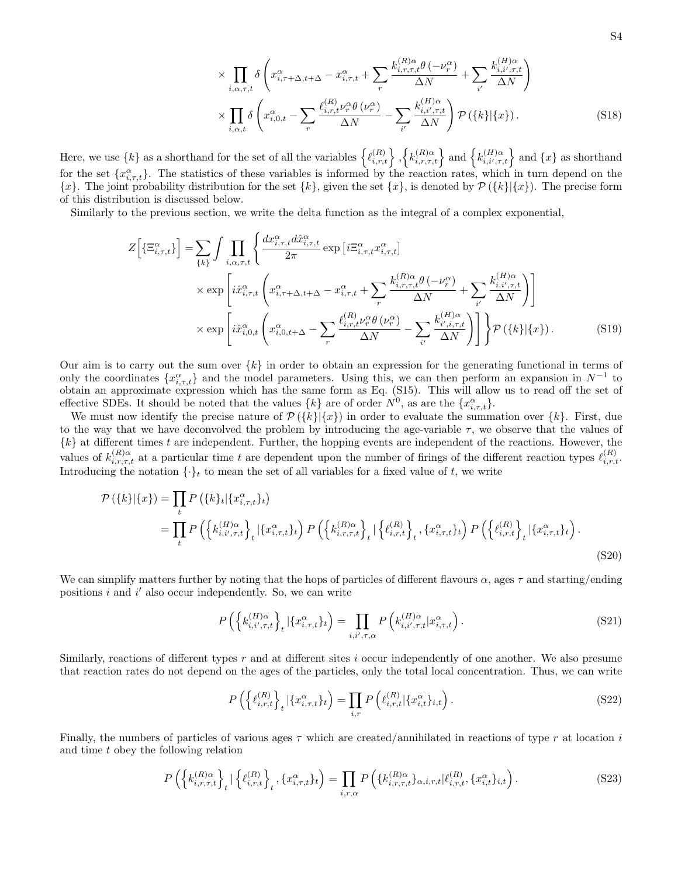<span id="page-17-2"></span>
$$
\times \prod_{i,\alpha,\tau,t} \delta \left( x_{i,\tau+\Delta,t+\Delta}^{\alpha} - x_{i,\tau,t}^{\alpha} + \sum_{r} \frac{k_{i,r,\tau,t}^{(R)\alpha} \theta \left( -\nu_r^{\alpha} \right)}{\Delta N} + \sum_{i'} \frac{k_{i,i',\tau,t}^{(H)\alpha}}{\Delta N} \right) \times \prod_{i,\alpha,t} \delta \left( x_{i,0,t}^{\alpha} - \sum_{r} \frac{\ell_{i,r,t}^{(R)} \nu_r^{\alpha} \theta \left( \nu_r^{\alpha} \right)}{\Delta N} - \sum_{i'} \frac{k_{i,i',\tau,t}^{(H)\alpha}}{\Delta N} \right) \mathcal{P} \left( \{k\} | \{x\} \right). \tag{S18}
$$

Here, we use  $\{k\}$  as a shorthand for the set of all the variables  $\{ \ell_{i,r,t}^{(R)} \}, \{ k_{i,r,\tau,t}^{(R)\alpha} \}$  and  $\{ k_{i,i',\tau,t}^{(H)\alpha} \}$  and  $\{x\}$  as shorthand for the set  $\{x_{i,\tau,t}^{\alpha}\}$ . The statistics of these variables is informed by the reaction rates, which in turn depend on the  ${x}.$  The joint probability distribution for the set  ${k}$ , given the set  ${x}$ , is denoted by  $\mathcal{P}({k}|\{x\})$ . The precise form of this distribution is discussed below.

Similarly to the previous section, we write the delta function as the integral of a complex exponential,

$$
Z\left[\left\{\Xi_{i,\tau,t}^{\alpha}\right\}\right] = \sum_{\{k\}} \int \prod_{i,\alpha,\tau,t} \left\{ \frac{dx_{i,\tau,t}^{\alpha} d\hat{x}_{i,\tau,t}^{\alpha}}{2\pi} \exp\left[i\Xi_{i,\tau,t}^{\alpha} x_{i,\tau,t}^{\alpha}\right] \right.\times \exp\left[i\hat{x}_{i,\tau,t}^{\alpha}\left(x_{i,\tau+\Delta,t+\Delta}^{\alpha} - x_{i,\tau,t}^{\alpha} + \sum_{r} \frac{k_{i,r,\tau,t}^{(R)\alpha} \theta\left(-\nu_r^{\alpha}\right)}{\Delta N} + \sum_{i'} \frac{k_{i,i',\tau,t}^{(H)\alpha}}{\Delta N}\right) \right] \right.\times \exp\left[i\hat{x}_{i,0,t}^{\alpha}\left(x_{i,0,t+\Delta}^{\alpha} - \sum_{r} \frac{\ell_{i,r,t}^{(R)} \nu_r^{\alpha} \theta\left(\nu_r^{\alpha}\right)}{\Delta N} - \sum_{i'} \frac{k_{i',i,\tau,t}^{(H)\alpha}}{\Delta N}\right)\right] \right\} \mathcal{P}\left(\{k\}|\{x\}\right). \tag{S19}
$$

Our aim is to carry out the sum over  $\{k\}$  in order to obtain an expression for the generating functional in terms of only the coordinates  $\{x_{i,\tau,t}^{\alpha}\}\$  and the model parameters. Using this, we can then perform an expansion in  $N^{-1}$  to obtain an approximate expression which has the same form as Eq. [\(S15\)](#page-16-0). This will allow us to read off the set of effective SDEs. It should be noted that the values  $\{k\}$  are of order  $N^0$ , as are the  $\{x^{\alpha}_{i,\tau,t}\}.$ 

We must now identify the precise nature of  $\mathcal{P}(\{k\}|\{x\})$  in order to evaluate the summation over  $\{k\}$ . First, due to the way that we have deconvolved the problem by introducing the age-variable  $\tau$ , we observe that the values of {k} at different times t are independent. Further, the hopping events are independent of the reactions. However, the values of  $k_{i,r,\tau,t}^{(R)\alpha}$  at a particular time t are dependent upon the number of firings of the different reaction types  $\ell_{i,r,t}^{(R)}$ . Introducing the notation  $\{\cdot\}_t$  to mean the set of all variables for a fixed value of t, we write

<span id="page-17-0"></span>
$$
\mathcal{P}(\{k\}|\{x\}) = \prod_{t} P(\{k\}_{t}|\{x_{i,\tau,t}^{\alpha}\}_{t})
$$
\n
$$
= \prod_{t} P(\{k_{i,t',\tau,t}^{\alpha}\}_{t}|\{x_{i,\tau,t}^{\alpha}\}_{t}) P(\{k_{i,\tau,\tau,t}^{(\mathcal{R})\alpha}\}_{t}|\{t_{i,\tau,t}^{(\mathcal{R})}\}_{t},\{x_{i,\tau,t}^{\alpha}\}_{t}) P(\{t_{i,\tau,t}^{(\mathcal{R})}\}_{t}|\{x_{i,\tau,t}^{\alpha}\}_{t}).
$$
\n(S20)

We can simplify matters further by noting that the hops of particles of different flavours  $\alpha$ , ages  $\tau$  and starting/ending positions  $i$  and  $i'$  also occur independently. So, we can write

$$
P\left(\left\{k_{i,i',\tau,t}^{(H)\alpha}\right\}_t|\{x_{i,\tau,t}^{\alpha}\}_t\right) = \prod_{i,i',\tau,\alpha} P\left(k_{i,i',\tau,t}^{(H)\alpha}|x_{i,\tau,t}^{\alpha}\right).
$$
\n(S21)

Similarly, reactions of different types r and at different sites i occur independently of one another. We also presume that reaction rates do not depend on the ages of the particles, only the total local concentration. Thus, we can write

<span id="page-17-1"></span>
$$
P\left(\left\{\ell_{i,r,t}^{(R)}\right\}_t | \{x_{i,\tau,t}^{\alpha}\}_t\right) = \prod_{i,r} P\left(\ell_{i,r,t}^{(R)} | \{x_{i,t}^{\alpha}\}_{{i,t}}\right).
$$
\n(S22)

Finally, the numbers of particles of various ages  $\tau$  which are created/annihilated in reactions of type r at location i and time t obey the following relation

$$
P\left(\left\{k_{i,r,\tau,t}^{(R)\alpha}\right\}_t \mid \left\{\ell_{i,r,t}^{(R)}\right\}_t, \left\{x_{i,\tau,t}^{\alpha}\right\}_t\right) = \prod_{i,r,\alpha} P\left(\left\{k_{i,r,\tau,t}^{(R)\alpha}\right\}_{\alpha,i,r,t} \mid \ell_{i,r,t}^{(R)}, \left\{x_{i,t}^{\alpha}\right\}_{i,t}\right). \tag{S23}
$$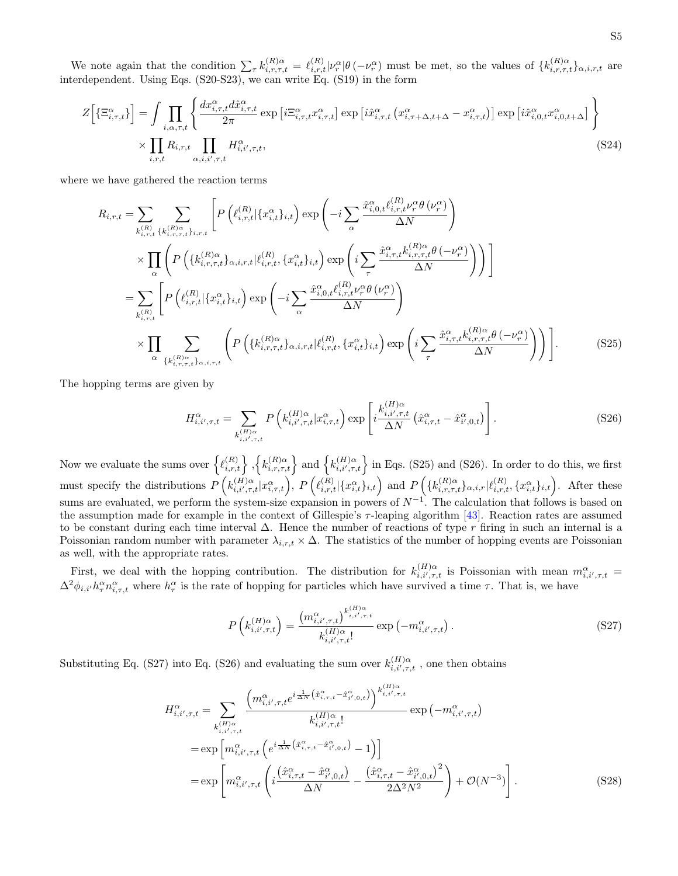We note again that the condition  $\sum_{\tau} k_{i,r,\tau,t}^{(R)\alpha} = \ell_{i,r,t}^{(R)} |\nu_r^{\alpha}| \theta(-\nu_r^{\alpha})$  must be met, so the values of  $\{k_{i,r,\tau,t}^{(R)\alpha}\}_{\alpha,i,r,t}$  are interdependent. Using Eqs. [\(S20-](#page-17-0)[S23\)](#page-17-1), we can write Eq. [\(S19\)](#page-17-2) in the form

$$
Z\Big[\{\Xi_{i,\tau,t}^{\alpha}\}\Big] = \int \prod_{i,\alpha,\tau,t} \left\{ \frac{dx_{i,\tau,t}^{\alpha} d\hat{x}_{i,\tau,t}^{\alpha}}{2\pi} \exp\left[i\Xi_{i,\tau,t}^{\alpha} x_{i,\tau,t}^{\alpha}\right] \exp\left[i\hat{x}_{i,\tau,t}^{\alpha} \left(x_{i,\tau+\Delta,t+\Delta}^{\alpha} - x_{i,\tau,t}^{\alpha}\right)\right] \exp\left[i\hat{x}_{i,0,t}^{\alpha} x_{i,0,t+\Delta}^{\alpha}\right] \right\}
$$

$$
\times \prod_{i,r,t} R_{i,r,t} \prod_{\alpha,i,i',\tau,t} H_{i,i',\tau,t}^{\alpha}, \tag{S24}
$$

where we have gathered the reaction terms

$$
R_{i,r,t} = \sum_{k_{i,r,t}^{(R)} \in \mathcal{V}} \sum_{k_{i,r,t}^{(R)} \in \mathcal{V}} \left[ P\left(\ell_{i,r,t}^{(R)} | \{x_{i,t}^{\alpha}\}_{i,t}\right) \exp\left(-i \sum_{\alpha} \frac{\hat{x}_{i,0,t}^{\alpha} \ell_{i,r,t}^{(R)} \nu_{r}^{\alpha} \theta \left(\nu_{r}^{\alpha}\right)}{\Delta N}\right) \times \prod_{\alpha} \left( P\left(\{k_{i,r,\tau,t}^{(R)}\}_{\alpha,i,r,t} | \ell_{i,r,t}^{(R)}, \{x_{i,t}^{\alpha}\}_{i,t}\right) \exp\left(i \sum_{\tau} \frac{\hat{x}_{i,\tau,t}^{\alpha} k_{i,r,\tau,t}^{(R)} \theta \left(-\nu_{r}^{\alpha}\right)}{\Delta N}\right)\right) \right]
$$
  
\n
$$
= \sum_{k_{i,r,t}^{(R)}} \left[ P\left(\ell_{i,r,t}^{(R)} | \{x_{i,t}^{\alpha}\}_{i,t}\right) \exp\left(-i \sum_{\alpha} \frac{\hat{x}_{i,0,t}^{\alpha} \ell_{i,r,t}^{(R)} \nu_{r}^{\alpha} \theta \left(\nu_{r}^{\alpha}\right)}{\Delta N}\right) \right]
$$
  
\n
$$
\times \prod_{\alpha} \sum_{\{k_{i,r,\tau,t}^{(R)}\}_{\alpha,i,r,t}} \left( P\left(\{k_{i,r,\tau,t}^{(R)}\}_{\alpha,i,r,t} | \ell_{i,r,t}^{(R)}, \{x_{i,t}^{\alpha}\}_{i,t}\right) \exp\left(i \sum_{\tau} \frac{\hat{x}_{i,\tau,t}^{\alpha} k_{i,r,\tau,t}^{(R)} \theta \left(-\nu_{r}^{\alpha}\right)}{\Delta N}\right) \right).
$$
 (S25)

The hopping terms are given by

<span id="page-18-1"></span><span id="page-18-0"></span>
$$
H_{i,i',\tau,t}^{\alpha} = \sum_{\substack{k,(H)\alpha\\i,i',\tau,t}} P\left(k_{i,i',\tau,t}^{(H)\alpha}|x_{i,\tau,t}^{\alpha}\right) \exp\left[i\frac{k_{i,i',\tau,t}^{(H)\alpha}}{\Delta N}\left(\hat{x}_{i,\tau,t}^{\alpha}-\hat{x}_{i',0,t}^{\alpha}\right)\right].
$$
 (S26)

Now we evaluate the sums over  $\{ \ell_{i,r,t}^{(R)} \}, \{ k_{i,r,\tau,t}^{(R)\alpha} \}$  and  $\{ k_{i,i',\tau,t}^{(H)\alpha} \}$  in Eqs. [\(S25\)](#page-18-0) and [\(S26\)](#page-18-1). In order to do this, we first must specify the distributions  $P\left(k_{i,i',\tau,t}^{(H)\alpha}|x_{i,\tau,t}^{\alpha}\right)$ ,  $P\left(\ell_{i,r,t}^{(R)}|\{x_{i,t}^{\alpha}\}_{i,t}\right)$  and  $P\left(\{k_{i,r,\tau,t}^{(R)\alpha}|x_{i,\tau,t}^{\alpha}\}_{i,r,t}^{(R)}\{x_{i,t}^{\alpha}\}_{i,t}\right)$ . After these sums are evaluated, we perform the system-size expansion in powers of  $N^{-1}$ . The calculation that follows is based on the assumption made for example in the context of Gillespie's τ -leaping algorithm [\[43\]](#page-11-24). Reaction rates are assumed to be constant during each time interval ∆. Hence the number of reactions of type r firing in such an internal is a Poissonian random number with parameter  $\lambda_{i,r,t} \times \Delta$ . The statistics of the number of hopping events are Poissonian as well, with the appropriate rates.

First, we deal with the hopping contribution. The distribution for  $k_{i,i',\tau,t}^{(H)\alpha}$  is Poissonian with mean  $m_{i,i',\tau,t}^{\alpha}$  $\Delta^2 \phi_{i,i'} h_\tau^\alpha n_{i,\tau,t}^\alpha$  where  $h_\tau^\alpha$  is the rate of hopping for particles which have survived a time  $\tau$ . That is, we have

<span id="page-18-3"></span><span id="page-18-2"></span>
$$
P\left(k_{i,i',\tau,t}^{(H)\alpha}\right) = \frac{\left(m_{i,i',\tau,t}^{\alpha}\right)^{k_{i,i',\tau,t}^{(H)\alpha}}}{k_{i,i',\tau,t}^{(H)\alpha}} \exp\left(-m_{i,i',\tau,t}^{\alpha}\right). \tag{S27}
$$

Substituting Eq. [\(S27\)](#page-18-2) into Eq. [\(S26\)](#page-18-1) and evaluating the sum over  $k_{i,i',\tau,t}^{(H)\alpha}$ , one then obtains

$$
H_{i,i',\tau,t}^{\alpha} = \sum_{k_{i,i',\tau,t}^{(H)\alpha}} \frac{\left(m_{i,i',\tau,t}^{\alpha} e^{i\frac{1}{\Delta N} \left(\hat{x}_{i,\tau,t}^{\alpha} - \hat{x}_{i',0,t}^{\alpha}\right)}\right)^{k_{i,i',\tau,t}^{(H)\alpha}}}{k_{i,i',\tau,t}^{(H)\alpha}} \exp\left(-m_{i,i',\tau,t}^{\alpha}\right)
$$

$$
= \exp\left[m_{i,i',\tau,t}^{\alpha} \left(e^{i\frac{1}{\Delta N} \left(\hat{x}_{i,\tau,t}^{\alpha} - \hat{x}_{i',0,t}^{\alpha}\right)} - 1\right)\right]
$$

$$
= \exp\left[m_{i,i',\tau,t}^{\alpha} \left(i\frac{\left(\hat{x}_{i,\tau,t}^{\alpha} - \hat{x}_{i',0,t}^{\alpha}\right)}{\Delta N} - \frac{\left(\hat{x}_{i,\tau,t}^{\alpha} - \hat{x}_{i',0,t}^{\alpha}\right)^{2}}{2\Delta^{2}N^{2}}\right) + \mathcal{O}(N^{-3})\right].
$$
(S28)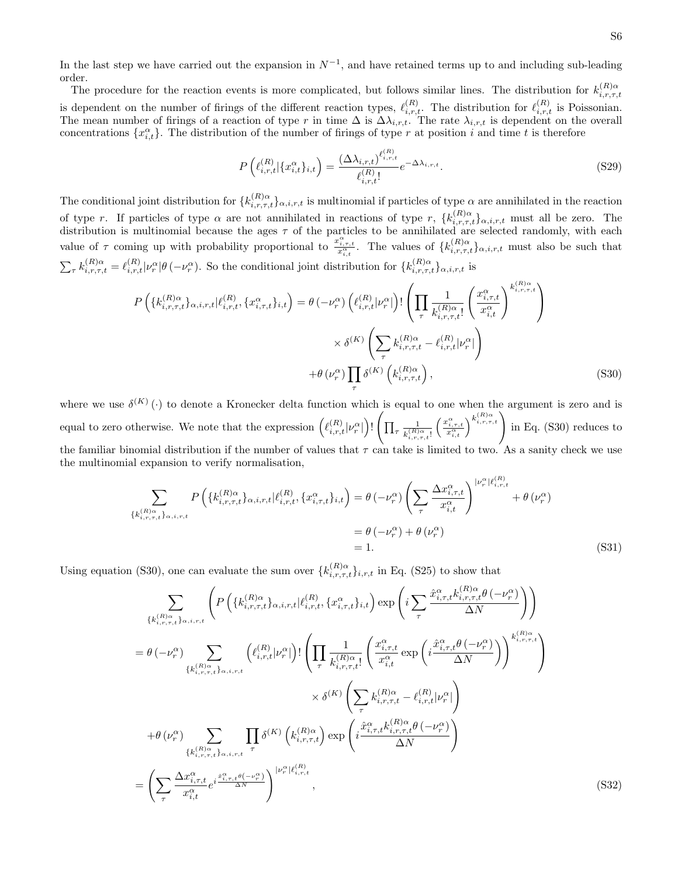In the last step we have carried out the expansion in  $N^{-1}$ , and have retained terms up to and including sub-leading order.

The procedure for the reaction events is more complicated, but follows similar lines. The distribution for  $k_{i,r,\tau,t}^{(R)\alpha}$ is dependent on the number of firings of the different reaction types,  $\ell_{i,r,t}^{(R)}$ . The distribution for  $\ell_{i,r,t}^{(R)}$  is Poissonian. The mean number of firings of a reaction of type r in time  $\Delta$  is  $\Delta \lambda_{i,r,t}$ . The rate  $\lambda_{i,r,t}$  is dependent on the overall concentrations  $\{x_{i,t}^{\alpha}\}$ . The distribution of the number of firings of type r at position i and time t is therefore

<span id="page-19-1"></span>
$$
P\left(\ell_{i,r,t}^{(R)}|\{x_{i,t}^{\alpha}\}_{i,t}\right) = \frac{(\Delta\lambda_{i,r,t})^{\ell_{i,r,t}^{(R)}}}{\ell_{i,r,t}^{(R)}!}e^{-\Delta\lambda_{i,r,t}}.\tag{S29}
$$

The conditional joint distribution for  $\{k_{i,r,\tau,t}^{(R)\alpha}\}_{\alpha,i,r,t}$  is multinomial if particles of type  $\alpha$  are annihilated in the reaction of type r. If particles of type  $\alpha$  are not annihilated in reactions of type r,  $\{k_{i,r,\tau,t}^{(R)\alpha}\}_{\alpha,i,r,t}$  must all be zero. The distribution is multinomial because the ages  $\tau$  of the particles to be annihilated are selected randomly, with each value of  $\tau$  coming up with probability proportional to  $\frac{x_{i,\tau,t}^{\alpha}}{x_{i,t}^{\alpha}}$ . The values of  $\{k_{i,\tau,\tau,t}^{(R)\alpha}\}_{\alpha,i,\tau,t}$  must also be such that  $\sum_{\tau} k_{i,r,\tau,t}^{(R)\alpha} = \ell_{i,r,t}^{(R)} | \nu_r^{\alpha} | \theta \left( -\nu_r^{\alpha} \right)$ . So the conditional joint distribution for  $\{k_{i,r,\tau,t}^{(R)\alpha}\}_{\alpha,i,r,t}$  is

<span id="page-19-0"></span>
$$
P\left(\{k_{i,r,\tau,t}^{(R)}\}_{\alpha,i,r,t}|\ell_{i,r,t}^{(R)},\{x_{i,\tau,t}^{\alpha}\}_{i,t}\right) = \theta\left(-\nu_r^{\alpha}\right)\left(\ell_{i,r,t}^{(R)}|\nu_r^{\alpha}|\right)!\left(\prod_{\tau}\frac{1}{k_{i,r,\tau,t}^{(R)\alpha}}\left(\frac{x_{i,\tau,t}^{\alpha}}{x_{i,t}^{\alpha}}\right)^{k_{i,r,\tau,t}^{(R)\alpha}}\right) \times \delta^{(K)}\left(\sum_{\tau}k_{i,r,\tau,t}^{(R)\alpha}-\ell_{i,r,t}^{(R)}|\nu_r^{\alpha}|\right) \times \theta\left(\nu_r^{\alpha}\right)\prod_{\tau}\delta^{(K)}\left(k_{i,r,\tau,t}^{(R)\alpha}\right),\tag{S30}
$$

where we use  $\delta^{(K)}(\cdot)$  to denote a Kronecker delta function which is equal to one when the argument is zero and is where we use  $\delta^{(K)}(\cdot)$  to denote a Kronecker delta function which is equal to one when the argument is zero and is equal to zero otherwise. We note that the expression  $(\ell_{i,r,t}^{(R)}|\nu_r^{\alpha}|)$ !  $\sqrt{ }$  $\prod_{\tau} \frac{1}{k^{(R)}}$  $k_{i,r,\tau,t}^{(R)\alpha}!$  $\left(\frac{x_{i,\tau,t}^{\alpha}}{x_{i,t}^{\alpha}}\right)^{k_{i,\tau,\tau,t}^{(R)\alpha}}$  in Eq. [\(S30\)](#page-19-0) reduces to the familiar binomial distribution if the number of values that  $\tau$  can take is limited to two. As a sanity check we use the multinomial expansion to verify normalisation,

$$
\sum_{\{k_{i,r,\tau,t}^{(R)}\}_{\alpha,i,r,t}} P\left(\{k_{i,r,\tau,t}^{(R)}\}_{\alpha,i,r,t} | \ell_{i,r,t}^{(R)}, \{x_{i,\tau,t}^{\alpha}\}_{i,t}\right) = \theta\left(-\nu_r^{\alpha}\right) \left(\sum_{\tau} \frac{\Delta x_{i,\tau,t}^{\alpha}}{x_{i,t}^{\alpha}}\right)^{|\nu_r^{\alpha}| \ell_{i,r,t}^{(R)}} + \theta\left(\nu_r^{\alpha}\right)
$$
\n
$$
= \theta\left(-\nu_r^{\alpha}\right) + \theta\left(\nu_r^{\alpha}\right)
$$
\n
$$
= 1. \tag{S31}
$$

Using equation [\(S30\)](#page-19-0), one can evaluate the sum over  $\{k_{i,r,\tau,t}^{(R)\alpha}\}_{i,r,t}$  in Eq. [\(S25\)](#page-18-0) to show that

$$
\sum_{\{k_{i,r,\tau,t}^{(R)}\}_{\alpha,i,r,t}} \left( P\left(\{k_{i,r,\tau,t}^{(R)}\}_{\alpha,i,r,t} | \ell_{i,r,t}^{(R)}, \{x_{i,\tau,t}^{\alpha}\}_{i,t}\right) \exp\left(i \sum_{\tau} \frac{\hat{x}_{i,\tau,t}^{\alpha} k_{i,r,\tau,t}^{(R)\alpha} \theta\left(-\nu_{r}^{\alpha}\right)}{\Delta N}\right) \right)
$$
\n
$$
= \theta\left(-\nu_{r}^{\alpha}\right) \sum_{\{k_{i,r,\tau,t}^{(R)}\}_{\alpha,i,r,t}} \left(\ell_{i,r,t}^{(R)}|\nu_{r}^{\alpha}|\right)! \left(\prod_{\tau} \frac{1}{k_{i,r,\tau,t}^{(R)\alpha}} \left(\frac{x_{i,\tau,t}^{\alpha}}{x_{i,t}^{\alpha}} \exp\left(i \frac{\hat{x}_{i,\tau,t}^{\alpha} \theta\left(-\nu_{r}^{\alpha}\right)}{\Delta N}\right)\right)^{k_{i,r,\tau,t}^{(R)\alpha}}\right)
$$
\n
$$
\times \delta^{(K)}\left(\sum_{\tau} k_{i,r,\tau,t}^{(R)\alpha} - \ell_{i,r,t}^{(R)}|\nu_{r}^{\alpha}|\right)
$$
\n
$$
+ \theta\left(\nu_{r}^{\alpha}\right) \sum_{\{k_{i,r,\tau,t}^{(R)}\}_{\alpha,i,r,t}} \prod_{\tau} \delta^{(K)}\left(k_{i,r,\tau,t}^{(R)\alpha}\right) \exp\left(i \frac{\hat{x}_{i,\tau,t}^{\alpha} k_{i,r,\tau,t}^{(R)\alpha} \theta\left(-\nu_{r}^{\alpha}\right)}{\Delta N}\right)
$$
\n
$$
= \left(\sum_{\tau} \frac{\Delta x_{i,\tau,t}^{\alpha} e^{i \frac{\hat{x}_{i,\tau,t}^{\alpha} \theta\left(-\nu_{r}^{\alpha}\right)}}{x_{i,t}^{\alpha}}\right)^{|\nu_{r}^{\alpha}| \ell_{i,r,t}^{(R)}} , \qquad (S32)
$$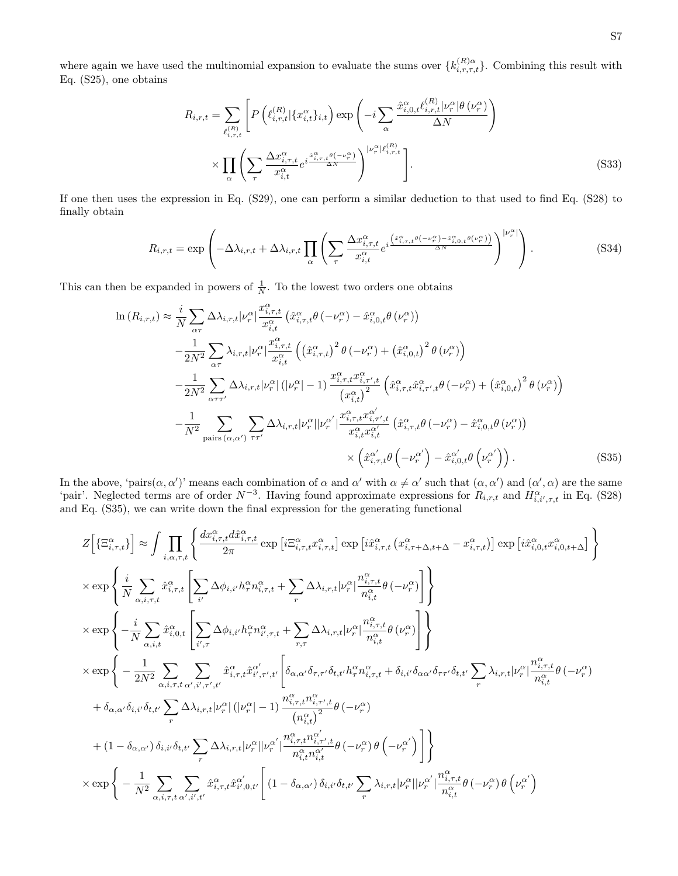where again we have used the multinomial expansion to evaluate the sums over  $\{k_{i,r,\tau,t}^{(R)\alpha}\}$ . Combining this result with Eq. [\(S25\)](#page-18-0), one obtains

$$
R_{i,r,t} = \sum_{\ell_{i,r,t}^{(R)}} \left[ P\left(\ell_{i,r,t}^{(R)} \mid \{x_{i,t}^{\alpha}\}_{i,t}\right) \exp\left(-i \sum_{\alpha} \frac{\hat{x}_{i,0,t}^{\alpha} \ell_{i,r,t}^{(R)} \mid \varphi_r^{\alpha} \mid \theta\left(\nu_r^{\alpha}\right)}{\Delta N}\right) \right]
$$

$$
\times \prod_{\alpha} \left( \sum_{\tau} \frac{\Delta x_{i,\tau,t}^{\alpha} e^{i \frac{\hat{x}_{i,\tau,t}^{\alpha}}{\Delta N}} e^{i \frac{\hat{x}_{i,\tau,t}^{\alpha}}{\Delta N}} \right)^{|\nu_r^{\alpha}| \ell_{i,r,t}^{(R)}} \right].
$$
(S33)

If one then uses the expression in Eq. [\(S29\)](#page-19-1), one can perform a similar deduction to that used to find Eq. [\(S28\)](#page-18-3) to finally obtain

$$
R_{i,r,t} = \exp\left(-\Delta\lambda_{i,r,t} + \Delta\lambda_{i,r,t} \prod_{\alpha} \left(\sum_{\tau} \frac{\Delta x_{i,\tau,t}^{\alpha} e^{i\frac{\left(x_{i,\tau,t}^{\alpha}\theta\left(-\nu_r^{\alpha}\right) - \hat{x}_{i,0,t}^{\alpha}\theta\left(\nu_r^{\alpha}\right)\right)}{\Delta N}}\right)^{|\nu_r^{\alpha}|}\right).
$$
(S34)

This can then be expanded in powers of  $\frac{1}{N}$ . To the lowest two orders one obtains

<span id="page-20-0"></span>
$$
\ln(R_{i,r,t}) \approx \frac{i}{N} \sum_{\alpha\tau} \Delta\lambda_{i,r,t} |\nu_r^{\alpha}| \frac{x_{i,\tau,t}^{\alpha}}{x_{i,t}^{\alpha}} \left(\hat{x}_{i,\tau,t}^{\alpha}\theta\left(-\nu_r^{\alpha}\right) - \hat{x}_{i,0,t}^{\alpha}\theta\left(\nu_r^{\alpha}\right)\right) \n- \frac{1}{2N^2} \sum_{\alpha\tau} \lambda_{i,r,t} |\nu_r^{\alpha}| \frac{x_{i,\tau,t}^{\alpha}}{x_{i,t}^{\alpha}} \left(\left(\hat{x}_{i,\tau,t}^{\alpha}\right)^2 \theta\left(-\nu_r^{\alpha}\right) + \left(\hat{x}_{i,0,t}^{\alpha}\right)^2 \theta\left(\nu_r^{\alpha}\right)\right) \n- \frac{1}{2N^2} \sum_{\alpha\tau\tau'} \Delta\lambda_{i,r,t} |\nu_r^{\alpha}| \left(|\nu_r^{\alpha}| - 1\right) \frac{x_{i,\tau,t}^{\alpha} x_{i,\tau',t}^{\alpha}}{x_{i,t}^{\alpha}} \left(\hat{x}_{i,\tau,t}^{\alpha}\hat{x}_{i,\tau',t}^{\alpha}\theta\left(-\nu_r^{\alpha}\right) + \left(\hat{x}_{i,0,t}^{\alpha}\right)^2 \theta\left(\nu_r^{\alpha}\right)\right) \n- \frac{1}{N^2} \sum_{\text{pairs}\left(\alpha,\alpha'\right)} \sum_{\tau\tau'} \Delta\lambda_{i,r,t} |\nu_r^{\alpha}| |\nu_r^{\alpha'}| \frac{x_{i,\tau,t}^{\alpha} x_{i,\tau',t}^{\alpha'}}{x_{i,t}^{\alpha} x_{i,t}^{\alpha'}} \left(\hat{x}_{i,\tau,t}^{\alpha}\theta\left(-\nu_r^{\alpha}\right) - \hat{x}_{i,0,t}^{\alpha}\theta\left(\nu_r^{\alpha}\right)\right) \n\times \left(\hat{x}_{i,\tau,t}^{\alpha'}\theta\left(-\nu_r^{\alpha'}\right) - \hat{x}_{i,0,t}^{\alpha'}\theta\left(\nu_r^{\alpha'}\right)\right). \tag{S35}
$$

In the above, 'pairs $(\alpha, \alpha')$ ' means each combination of  $\alpha$  and  $\alpha'$  with  $\alpha \neq \alpha'$  such that  $(\alpha, \alpha')$  and  $(\alpha', \alpha)$  are the same 'pair'. Neglected terms are of order  $N^{-3}$ . Having found approximate expressions for  $R_{i,r,t}$  and  $H_{i,i',\tau,t}^{\alpha}$  in Eq. [\(S28\)](#page-18-3) and Eq. [\(S35\)](#page-20-0), we can write down the final expression for the generating functional

$$
\begin{split} &Z\Big[\big\{\Xi_{i,\tau,t}^{\alpha}\big\}\Big] \approx \int \prod_{i,\alpha,\tau,t} \Big\{ \frac{dx_{i,\tau,t}^{\alpha}d\hat{x}_{i,\tau,t}^{\alpha}}{2\pi} \exp\left[i\Xi_{i,\tau,t}^{\alpha}x_{i,\tau,t}^{\alpha}\right] \exp\left[i\hat{x}_{i,\tau,t}^{\alpha}(x_{i,\tau+\Delta,t+\Delta}^{\alpha}-x_{i,\tau,t}^{\alpha})\right] \exp\left[i\hat{x}_{i,0,t}^{\alpha}x_{i,0,t+\Delta}^{\alpha}\right]\Big\} \\ &\times \exp\left\{\frac{i}{N} \sum_{\alpha,i,\tau,t} \hat{x}_{i,\tau,t}^{\alpha}\left[\sum_{i'}\Delta\phi_{i,i'}h_{\tau}^{\alpha}n_{i,\tau,t}^{\alpha}+\sum_{r}\Delta\lambda_{i,r,t}|\nu_{r}^{\alpha}| \frac{n_{i,\tau,t}^{\alpha}}{n_{i,t}^{\alpha}}\theta\left(-\nu_{r}^{\alpha}\right)\right]\right\} \\ &\times \exp\left\{-\frac{i}{N} \sum_{\alpha,i,t} \hat{x}_{i,0,t}^{\alpha}\left[\sum_{i',\tau} \Delta\phi_{i,i'}h_{\tau}^{\alpha}n_{i',\tau,t}^{\alpha}+\sum_{r,\tau} \Delta\lambda_{i,r,t}|\nu_{r}^{\alpha}| \frac{n_{i,\tau,t}^{\alpha}}{n_{i,t}^{\alpha}}\theta\left(\nu_{r}^{\alpha}\right)\right]\right\} \\ &\times \exp\left\{-\frac{1}{2N^{2}} \sum_{\alpha,i,\tau,t} \sum_{\alpha',i',r',t'} \hat{x}_{i,\tau,t}^{\alpha} \hat{x}_{i',\tau',t'}^{\alpha'}\left[\delta_{\alpha,\alpha'}\delta_{\tau,\tau'}\delta_{t,t'}h_{\tau}^{\alpha}n_{i,\tau,t}^{\alpha}+\delta_{i,i'}\delta_{\alpha\alpha'}\delta_{\tau\tau'}\delta_{t,t'}\sum_{r}\lambda_{i,r,t}|\nu_{r}^{\alpha}| \frac{n_{i,\tau,t}^{\alpha}}{n_{i,t}^{\alpha}}\theta\left(-\nu_{r}^{\alpha}\right)\right.\right. \\ &\left. +\delta_{\alpha,\alpha'}\delta_{i,i'}\delta_{t,t'}\sum_{r}\Delta\lambda_{i,r,t}|\nu_{r}^{\alpha}|\left(|\nu_{r}^{\alpha}|-1)\frac{n_{i,\tau,t}^{\alpha}n_{i,\tau',
$$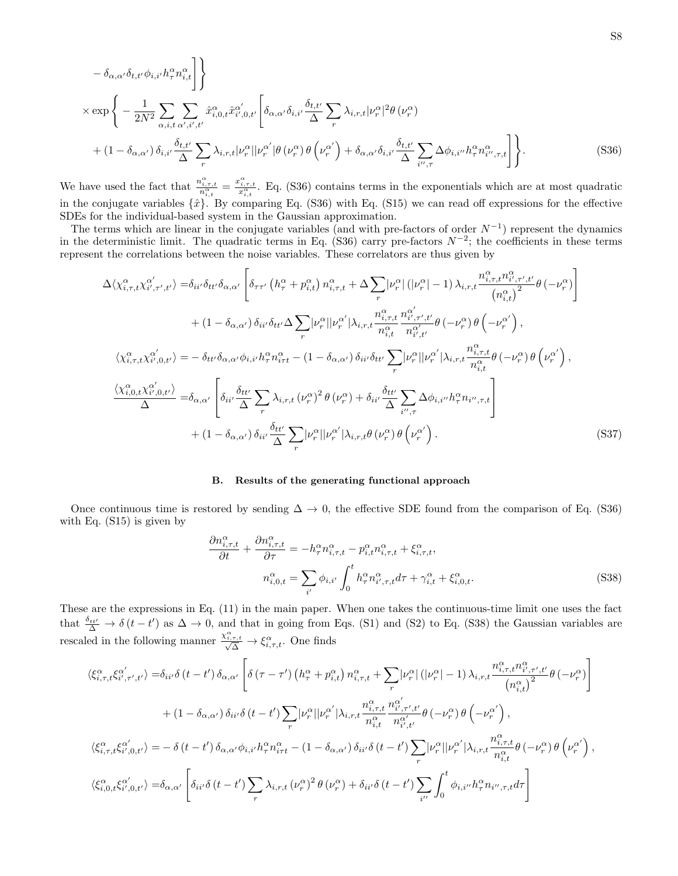$$
- \delta_{\alpha,\alpha'} \delta_{t,t'} \phi_{i,i'} h^{\alpha}_{\tau} n^{\alpha}_{i,t} \Bigg] \Bigg\} \times \exp \Bigg\{ - \frac{1}{2N^2} \sum_{\alpha,i,t} \sum_{\alpha',i',t'} \hat{x}^{\alpha}_{i,0,t} \hat{x}^{\alpha'}_{i',0,t'} \left[ \delta_{\alpha,\alpha'} \delta_{i,i'} \frac{\delta_{t,t'}}{\Delta} \sum_{r} \lambda_{i,r,t} |\nu^{\alpha}_{r}|^2 \theta (\nu^{\alpha}_{r}) \right. \\ \left. + (1 - \delta_{\alpha,\alpha'}) \delta_{i,i'} \frac{\delta_{t,t'}}{\Delta} \sum_{r} \lambda_{i,r,t} |\nu^{\alpha}_{r}| |\nu^{\alpha'}_{r}| \theta (\nu^{\alpha}_{r}) \theta (\nu^{\alpha'}_{r}) + \delta_{\alpha,\alpha'} \delta_{i,i'} \frac{\delta_{t,t'}}{\Delta} \sum_{i'',\tau} \Delta \phi_{i,i''} h^{\alpha}_{\tau} n^{\alpha}_{i',\tau,t} \Bigg] \Bigg\}. \tag{S36}
$$

We have used the fact that  $\frac{n_{i,\tau,t}^{\alpha}}{n_{i,t}^{\alpha}} = \frac{x_{i,\tau,t}^{\alpha}}{x_{i,t}^{\alpha}}$ . Eq. [\(S36\)](#page-21-0) contains terms in the exponentials which are at most quadratic in the conjugate variables  $\{\hat{x}\}$ . By comparing Eq. [\(S36\)](#page-21-0) with Eq. [\(S15\)](#page-16-0) we can read off expressions for the effective SDEs for the individual-based system in the Gaussian approximation.

The terms which are linear in the conjugate variables (and with pre-factors of order  $N^{-1}$ ) represent the dynamics in the deterministic limit. The quadratic terms in Eq. [\(S36\)](#page-21-0) carry pre-factors  $N^{-2}$ ; the coefficients in these terms represent the correlations between the noise variables. These correlators are thus given by

<span id="page-21-0"></span>
$$
\Delta \langle \chi_{i,\tau,t}^{\alpha} \chi_{i',\tau',t'}^{\alpha'} \rangle = \delta_{ii'} \delta_{tt'} \delta_{\alpha,\alpha'} \left[ \delta_{\tau\tau'} \left( h_{\tau}^{\alpha} + p_{i,t}^{\alpha} \right) n_{i,\tau,t}^{\alpha} + \Delta \sum_{r} |\nu_{r}^{\alpha}| \left( |\nu_{r}^{\alpha}| - 1 \right) \lambda_{i,r,t} \frac{n_{i,\tau,t}^{\alpha} n_{i',\tau',t'}^{\alpha}}{\left( n_{i,t}^{\alpha} \right)^{2}} \theta \left( -\nu_{r}^{\alpha} \right) \right] \n+ (1 - \delta_{\alpha,\alpha'}) \delta_{ii'} \delta_{tt'} \Delta \sum_{r} |\nu_{r}^{\alpha}| |\nu_{r}^{\alpha'}| \lambda_{i,r,t} \frac{n_{i,\tau,t}^{\alpha} n_{i',\tau',t'}^{\alpha'}}{n_{i,t}^{\alpha}} \theta \left( -\nu_{r}^{\alpha} \right) \theta \left( -\nu_{r}^{\alpha'} \right), \n\langle \chi_{i,\tau,t}^{\alpha} \chi_{i',0,t'}^{\alpha'} \rangle = - \delta_{tt'} \delta_{\alpha,\alpha'} \phi_{i,i'} h_{\tau}^{\alpha} n_{i\tau t}^{\alpha} - (1 - \delta_{\alpha,\alpha'}) \delta_{ii'} \delta_{tt'} \sum_{r} |\nu_{r}^{\alpha}| |\nu_{r}^{\alpha'}| |\lambda_{i,r,t} \frac{n_{i,\tau,t}^{\alpha}}{n_{i,t}^{\alpha}} \theta \left( -\nu_{r}^{\alpha} \right) \theta \left( \nu_{r}^{\alpha'} \right), \n\frac{\langle \chi_{i,0,t}^{\alpha} \chi_{i',0,t'}^{\alpha'} \rangle}{\Delta} = \delta_{\alpha,\alpha'} \left[ \delta_{ii'} \frac{\delta_{tt'}}{\Delta} \sum_{r} \lambda_{i,r,t} (\nu_{r}^{\alpha})^{2} \theta \left( \nu_{r}^{\alpha} \right) + \delta_{ii'} \frac{\delta_{tt'}}{\Delta} \sum_{i',\tau} \Delta \phi_{i,i'} h_{\tau}^{\alpha} n_{i',\tau,t} \right] \n+ (1 - \delta_{\alpha,\alpha'}) \delta_{ii'} \frac{\delta_{tt'}}{\Delta} \sum_{r} |\nu_{r}^{\alpha}| |\nu_{r}^{\alpha'}| |\lambda_{i,r,t} \theta \left( \nu_{r}^{\alpha} \right) \theta \
$$

### B. Results of the generating functional approach

Once continuous time is restored by sending  $\Delta \to 0$ , the effective SDE found from the comparison of Eq. [\(S36\)](#page-21-0) with Eq. [\(S15\)](#page-16-0) is given by

<span id="page-21-1"></span>
$$
\frac{\partial n_{i,\tau,t}^{\alpha}}{\partial t} + \frac{\partial n_{i,\tau,t}^{\alpha}}{\partial \tau} = -h_{\tau}^{\alpha} n_{i,\tau,t}^{\alpha} - p_{i,t}^{\alpha} n_{i,\tau,t}^{\alpha} + \xi_{i,\tau,t}^{\alpha},
$$
\n
$$
n_{i,0,t}^{\alpha} = \sum_{i'} \phi_{i,i'} \int_{0}^{t} h_{\tau}^{\alpha} n_{i',\tau,t}^{\alpha} d\tau + \gamma_{i,t}^{\alpha} + \xi_{i,0,t}^{\alpha}.
$$
\n
$$
(S38)
$$

These are the expressions in Eq. (11) in the main paper. When one takes the continuous-time limit one uses the fact that  $\frac{\delta_{tt'}}{\Delta} \to \delta(t-t')$  as  $\Delta \to 0$ , and that in going from Eqs. [\(S1\)](#page-14-0) and [\(S2\)](#page-14-1) to Eq. [\(S38\)](#page-21-1) the Gaussian variables are rescaled in the following manner  $\frac{\chi_{i,\tau,t}^{\alpha}}{\sqrt{\Delta}} \to \xi_{i,\tau,t}^{\alpha}$ . One finds

$$
\langle \xi_{i,\tau,t}^{\alpha} \xi_{i',\tau',t'}^{\alpha'} \rangle = \delta_{ii'} \delta(t-t') \delta_{\alpha,\alpha'} \left[ \delta(\tau-\tau') \left( h_{\tau}^{\alpha} + p_{i,t}^{\alpha} \right) n_{i,\tau,t}^{\alpha} + \sum_{r} |\nu_{r}^{\alpha}| \left( |\nu_{r}^{\alpha}| - 1 \right) \lambda_{i,r,t} \frac{n_{i,\tau,t}^{\alpha} n_{i',\tau',t'}^{\alpha}}{\left( n_{i,t}^{\alpha} \right)^{2}} \theta \left( -\nu_{r}^{\alpha} \right) \right] \right.
$$
  
+ 
$$
(1 - \delta_{\alpha,\alpha'}) \delta_{ii'} \delta(t-t') \sum_{r} |\nu_{r}^{\alpha}| |\nu_{r}^{\alpha'}| \lambda_{i,r,t} \frac{n_{i,\tau,t}^{\alpha}}{n_{i,t}^{\alpha}} \frac{n_{i',\tau',t'}^{\alpha'}}{n_{i',t'}^{\alpha'}} \theta \left( -\nu_{r}^{\alpha} \right) \theta \left( -\nu_{r}^{\alpha'} \right),
$$
  

$$
\langle \xi_{i,\tau,t}^{\alpha} \xi_{i',0,t'}^{\alpha'} \rangle = -\delta(t-t') \delta_{\alpha,\alpha'} \phi_{i,i'} h_{\tau}^{\alpha} n_{i\tau t}^{\alpha} - (1 - \delta_{\alpha,\alpha'}) \delta_{ii'} \delta(t-t') \sum_{r} |\nu_{r}^{\alpha}| |\nu_{r}^{\alpha'}| \lambda_{i,r,t} \frac{n_{i,\tau,t}^{\alpha}}{n_{i,t}^{\alpha}} \theta \left( -\nu_{r}^{\alpha} \right) \theta \left( \nu_{r}^{\alpha'} \right),
$$
  

$$
\langle \xi_{i,0,t}^{\alpha} \xi_{i',0,t'}^{\alpha'} \rangle = \delta_{\alpha,\alpha'} \left[ \delta_{ii'} \delta(t-t') \sum_{r} \lambda_{i,r,t} (\nu_{r}^{\alpha})^{2} \theta \left( \nu_{r}^{\alpha} \right) + \delta_{ii'} \delta(t-t') \sum_{i''} \int_{0}^{t} \phi_{i,i''} h_{\tau}^{\alpha} n_{i'',\tau,t} d\tau \right]
$$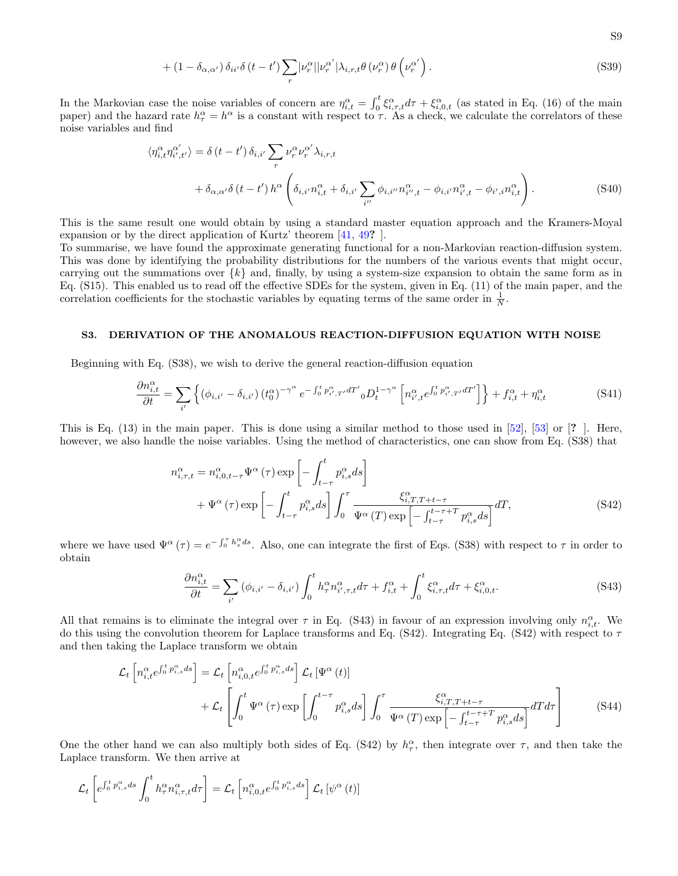<span id="page-22-4"></span>+ 
$$
(1 - \delta_{\alpha,\alpha'}) \delta_{ii'} \delta(t - t') \sum_r |\nu_r^{\alpha}| |\nu_r^{\alpha'}| \lambda_{i,r,t} \theta(\nu_r^{\alpha}) \theta(\nu_r^{\alpha'})
$$
. (S39)

In the Markovian case the noise variables of concern are  $\eta_{i,t}^{\alpha} = \int_0^t \xi_{i,\tau,t}^{\alpha} d\tau + \xi_{i,0,t}^{\alpha}$  (as stated in Eq. (16) of the main paper) and the hazard rate  $h_{\tau}^{\alpha} = h^{\alpha}$  is a constant with respect to  $\tau$ . As a check, we calculate the correlators of these noise variables and find

$$
\langle \eta_{i,t}^{\alpha} \eta_{i',t'}^{\alpha'} \rangle = \delta(t-t') \, \delta_{i,i'} \sum_{r} \nu_r^{\alpha} \nu_r^{\alpha'} \lambda_{i,r,t} + \delta_{\alpha,\alpha'} \delta(t-t') \, h^{\alpha} \left( \delta_{i,i'} n_{i,t}^{\alpha} + \delta_{i,i'} \sum_{i''} \phi_{i,i''} n_{i'',t}^{\alpha} - \phi_{i,i'} n_{i',t}^{\alpha} - \phi_{i',i} n_{i,t}^{\alpha} \right).
$$
 (S40)

This is the same result one would obtain by using a standard master equation approach and the Kramers-Moyal expansion or by the direct application of Kurtz' theorem [\[41,](#page-11-22) [49](#page-11-29)? ].

To summarise, we have found the approximate generating functional for a non-Markovian reaction-diffusion system. This was done by identifying the probability distributions for the numbers of the various events that might occur, carrying out the summations over  $\{k\}$  and, finally, by using a system-size expansion to obtain the same form as in Eq. [\(S15\)](#page-16-0). This enabled us to read off the effective SDEs for the system, given in Eq. (11) of the main paper, and the correlation coefficients for the stochastic variables by equating terms of the same order in  $\frac{1}{N}$ .

## S3. DERIVATION OF THE ANOMALOUS REACTION-DIFFUSION EQUATION WITH NOISE

Beginning with Eq. [\(S38\)](#page-21-1), we wish to derive the general reaction-diffusion equation

<span id="page-22-3"></span>
$$
\frac{\partial n_{i,t}^{\alpha}}{\partial t} = \sum_{i'} \left\{ \left( \phi_{i,i'} - \delta_{i,i'} \right) \left( t_0^{\alpha} \right)^{-\gamma^{\alpha}} e^{-\int_0^t p_{i',T'}^{\alpha} dT'} {}_0 D_t^{1-\gamma^{\alpha}} \left[ n_{i',t}^{\alpha} e^{\int_0^t p_{i',T'}^{\alpha} dT'} \right] \right\} + f_{i,t}^{\alpha} + \eta_{i,t}^{\alpha} \tag{S41}
$$

This is Eq. (13) in the main paper. This is done using a similar method to those used in [\[52\]](#page-11-32), [\[53\]](#page-11-33) or [? ]. Here, however, we also handle the noise variables. Using the method of characteristics, one can show from Eq. [\(S38\)](#page-21-1) that

$$
n_{i,\tau,t}^{\alpha} = n_{i,0,t-\tau}^{\alpha} \Psi^{\alpha}(\tau) \exp\left[-\int_{t-\tau}^{t} p_{i,s}^{\alpha} ds\right]
$$
  
+ 
$$
\Psi^{\alpha}(\tau) \exp\left[-\int_{t-\tau}^{t} p_{i,s}^{\alpha} ds\right] \int_{0}^{\tau} \frac{\xi_{i,T,T+t-\tau}^{\alpha}}{\Psi^{\alpha}(T) \exp\left[-\int_{t-\tau}^{t-\tau+T} p_{i,s}^{\alpha} ds\right]} dT,
$$
 (S42)

where we have used  $\Psi^{\alpha}(\tau) = e^{-\int_0^{\tau} h_s^{\alpha} ds}$ . Also, one can integrate the first of Eqs. [\(S38\)](#page-21-1) with respect to  $\tau$  in order to obtain

<span id="page-22-2"></span><span id="page-22-1"></span><span id="page-22-0"></span>
$$
\frac{\partial n_{i,t}^{\alpha}}{\partial t} = \sum_{i'} \left( \phi_{i,i'} - \delta_{i,i'} \right) \int_0^t h_\tau^{\alpha} n_{i',\tau,t}^{\alpha} d\tau + f_{i,t}^{\alpha} + \int_0^t \xi_{i,\tau,t}^{\alpha} d\tau + \xi_{i,0,t}^{\alpha}.
$$
 (S43)

All that remains is to eliminate the integral over  $\tau$  in Eq. [\(S43\)](#page-22-0) in favour of an expression involving only  $n_{i,t}^{\alpha}$ . We do this using the convolution theorem for Laplace transforms and Eq. [\(S42\)](#page-22-1). Integrating Eq. (S42) with respect to  $\tau$ and then taking the Laplace transform we obtain

$$
\mathcal{L}_{t}\left[n_{i,t}^{\alpha}e^{\int_{0}^{t}p_{i,s}^{\alpha}ds}\right] = \mathcal{L}_{t}\left[n_{i,0,t}^{\alpha}e^{\int_{0}^{t}p_{i,s}^{\alpha}ds}\right]\mathcal{L}_{t}\left[\Psi^{\alpha}\left(t\right)\right]
$$
\n
$$
+\mathcal{L}_{t}\left[\int_{0}^{t}\Psi^{\alpha}\left(\tau\right)\exp\left[\int_{0}^{t-\tau}p_{i,s}^{\alpha}ds\right]\int_{0}^{\tau}\frac{\xi_{i,T,T+t-\tau}^{\alpha}}{\Psi^{\alpha}\left(T\right)\exp\left[-\int_{t-\tau}^{t-\tau+T}p_{i,s}^{\alpha}ds\right]}dTd\tau\right]
$$
\n(S44)

One the other hand we can also multiply both sides of Eq. [\(S42\)](#page-22-1) by  $h_{\tau}^{\alpha}$ , then integrate over  $\tau$ , and then take the Laplace transform. We then arrive at

$$
\mathcal{L}_t\left[e^{\int_0^t p_{i,s}^{\alpha}ds} \int_0^t h_{\tau}^{\alpha} n_{i,\tau,t}^{\alpha} d\tau\right] = \mathcal{L}_t\left[n_{i,0,t}^{\alpha} e^{\int_0^t p_{i,s}^{\alpha}ds}\right] \mathcal{L}_t\left[\psi^{\alpha}\left(t\right)\right]
$$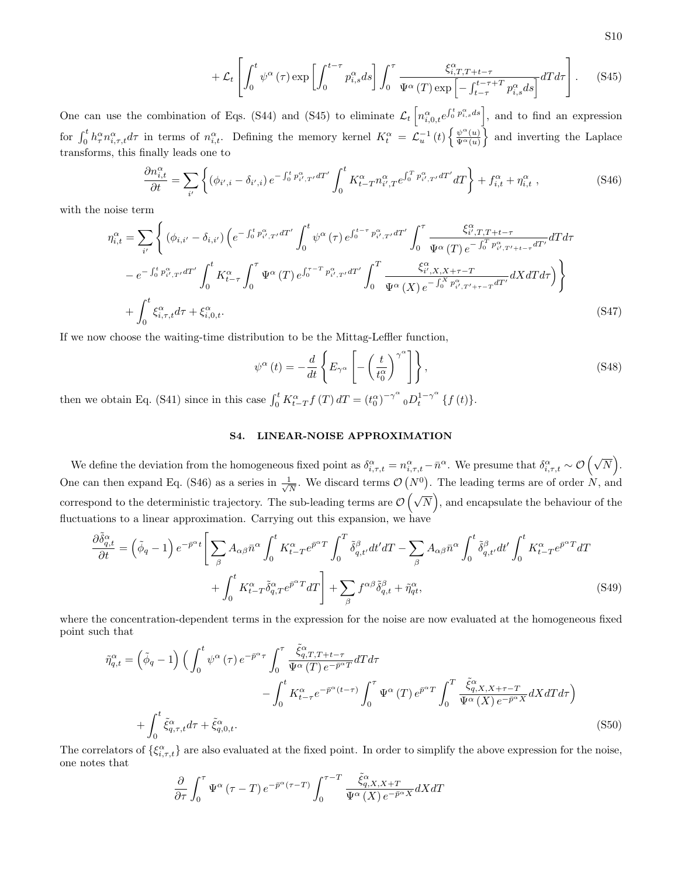<span id="page-23-0"></span>
$$
+\mathcal{L}_{t}\left[\int_{0}^{t}\psi^{\alpha}(\tau)\exp\left[\int_{0}^{t-\tau}p_{i,s}^{\alpha}ds\right]\int_{0}^{\tau}\frac{\xi_{i,T,T+t-\tau}^{\alpha}}{\Psi^{\alpha}(T)\exp\left[-\int_{t-\tau}^{t-\tau+T}p_{i,s}^{\alpha}ds\right]}dT d\tau\right].
$$
 (S45)

One can use the combination of Eqs. [\(S44\)](#page-22-2) and [\(S45\)](#page-23-0) to eliminate  $\mathcal{L}_t\left[n_{i,0,t}^{\alpha}e^{\int_0^t p_{i,s}^{\alpha}ds}\right]$ , and to find an expression for  $\int_0^t h_{\tau}^{\alpha} n_{i,\tau,t}^{\alpha} d\tau$  in terms of  $n_{i,t}^{\alpha}$ . Defining the memory kernel  $K_t^{\alpha} = \mathcal{L}_u^{-1}(t) \left\{ \frac{\psi^{\alpha}(u)}{\Psi^{\alpha}(u)} \right\}$  $\frac{\psi^{\alpha}(u)}{\Psi^{\alpha}(u)}\}$  and inverting the Laplace transforms, this finally leads one to

$$
\frac{\partial n_{i,t}^{\alpha}}{\partial t} = \sum_{i'} \left\{ (\phi_{i',i} - \delta_{i',i}) e^{-\int_0^t p_{i',T'}^{\alpha} dT'} \int_0^t K_{t-T}^{\alpha} n_{i',T}^{\alpha} e^{\int_0^T p_{i',T'}^{\alpha} dT'} dT \right\} + f_{i,t}^{\alpha} + \eta_{i,t}^{\alpha} , \qquad (S46)
$$

with the noise term

$$
\eta_{i,t}^{\alpha} = \sum_{i'} \left\{ (\phi_{i,i'} - \delta_{i,i'}) \left( e^{-\int_0^t p_{i',T'}^{\alpha} dT'} \int_0^t \psi^{\alpha}(\tau) e^{\int_0^{t-\tau} p_{i',T'}^{\alpha} dT'} \int_0^{\tau} \frac{\xi_{i',T,T+t-\tau}^{\alpha}}{\Psi^{\alpha}(T) e^{-\int_0^T p_{i',T'+t-\tau}^{\alpha} dT'}} dT d\tau \right. \\
\left. - e^{-\int_0^t p_{i',T'}^{\alpha} dT'} \int_0^t K_{t-\tau}^{\alpha} \int_0^{\tau} \Psi^{\alpha}(T) e^{\int_0^{\tau-T} p_{i',T'}^{\alpha} dT'} \int_0^T \frac{\xi_{i',X,X+\tau-T}^{\alpha}}{\Psi^{\alpha}(X) e^{-\int_0^X p_{i',T'+\tau-T}^{\alpha} dT'}} dX dT d\tau \right) \right\} \\
+ \int_0^t \xi_{i,\tau,t}^{\alpha} d\tau + \xi_{i,0,t}^{\alpha}.
$$
\n(S47)

If we now choose the waiting-time distribution to be the Mittag-Leffler function,

<span id="page-23-1"></span>
$$
\psi^{\alpha}(t) = -\frac{d}{dt} \left\{ E_{\gamma^{\alpha}} \left[ -\left(\frac{t}{t_0^{\alpha}}\right)^{\gamma^{\alpha}} \right] \right\},\tag{S48}
$$

then we obtain Eq. [\(S41\)](#page-22-3) since in this case  $\int_0^t K_{t-T}^{\alpha} f(T) dT = (t_0^{\alpha})^{-\gamma^{\alpha}} {}_0D_t^{1-\gamma^{\alpha}} \{f(t)\}.$ 

## <span id="page-23-3"></span>S4. LINEAR-NOISE APPROXIMATION

We define the deviation from the homogeneous fixed point as  $\delta_{i,\tau,t}^{\alpha} = n_{i,\tau,t}^{\alpha} - \bar{n}^{\alpha}$ . We presume that  $\delta_{i,\tau,t}^{\alpha} \sim \mathcal{O}\left(\sqrt{N}\right)$ . One can then expand Eq. [\(S46\)](#page-23-1) as a series in  $\frac{1}{\sqrt{2}}$  $\frac{1}{N}$ . We discard terms  $\mathcal{O}(N^0)$ . The leading terms are of order N, and correspond to the deterministic trajectory. The sub-leading terms are  $\mathcal{O}(\sqrt{N})$ , and encapsulate the behaviour of the fluctuations to a linear approximation. Carrying out this expansion, we have

$$
\frac{\partial \tilde{\delta}^{\alpha}_{q,t}}{\partial t} = \left(\tilde{\phi}_q - 1\right) e^{-\bar{p}^{\alpha}t} \Bigg[ \sum_{\beta} A_{\alpha\beta} \bar{n}^{\alpha} \int_0^t K_{t-T}^{\alpha} e^{\bar{p}^{\alpha}T} \int_0^T \tilde{\delta}^{\beta}_{q,t'} dt' dT - \sum_{\beta} A_{\alpha\beta} \bar{n}^{\alpha} \int_0^t \tilde{\delta}^{\beta}_{q,t'} dt' \int_0^t K_{t-T}^{\alpha} e^{\bar{p}^{\alpha}T} dT + \int_0^t K_{t-T}^{\alpha} \tilde{\delta}^{\alpha}_{q,T} e^{\bar{p}^{\alpha}T} dT \Bigg] + \sum_{\beta} f^{\alpha\beta} \tilde{\delta}^{\beta}_{q,t} + \tilde{\eta}^{\alpha}_{qt}, \tag{S49}
$$

where the concentration-dependent terms in the expression for the noise are now evaluated at the homogeneous fixed point such that

<span id="page-23-2"></span>
$$
\tilde{\eta}_{q,t}^{\alpha} = \left(\tilde{\phi}_q - 1\right) \left(\int_0^t \psi^{\alpha} \left(\tau\right) e^{-\bar{p}^{\alpha} \tau} \int_0^{\tau} \frac{\tilde{\xi}_{q,T,T+t-\tau}^{\alpha}}{\Psi^{\alpha} \left(T\right) e^{-\bar{p}^{\alpha} T}} dT d\tau \n- \int_0^t K_{t-\tau}^{\alpha} e^{-\bar{p}^{\alpha}(t-\tau)} \int_0^{\tau} \Psi^{\alpha} \left(T\right) e^{\bar{p}^{\alpha} T} \int_0^T \frac{\tilde{\xi}_{q,X,X+\tau-T}^{\alpha}}{\Psi^{\alpha} \left(X\right) e^{-\bar{p}^{\alpha} X}} dX dT d\tau \right) \n+ \int_0^t \tilde{\xi}_{q,\tau,t}^{\alpha} d\tau + \tilde{\xi}_{q,0,t}^{\alpha}.
$$
\n
$$
(S50)
$$

The correlators of  $\{\xi_{i,\tau,t}^{\alpha}\}\)$  are also evaluated at the fixed point. In order to simplify the above expression for the noise, one notes that

$$
\frac{\partial}{\partial \tau} \int_0^{\tau} \Psi^{\alpha} (\tau - T) e^{-\bar{p}^{\alpha} (\tau - T)} \int_0^{\tau - T} \frac{\tilde{\xi}^{\alpha}_{q, X, X + T}}{\Psi^{\alpha} (X) e^{-\bar{p}^{\alpha} X}} dX dT
$$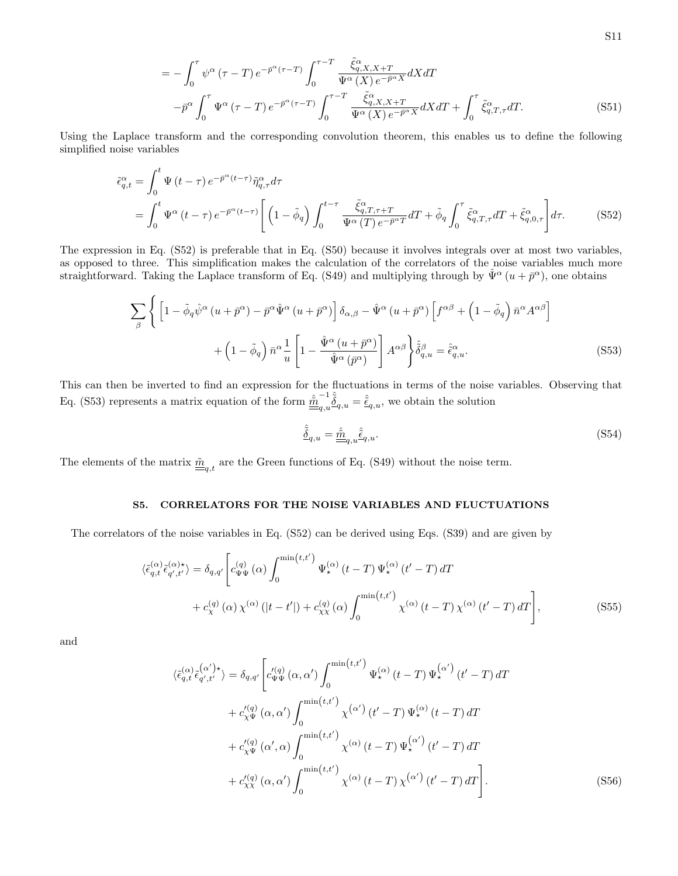$$
= -\int_0^{\tau} \psi^{\alpha} (\tau - T) e^{-\bar{p}^{\alpha} (\tau - T)} \int_0^{\tau - T} \frac{\tilde{\xi}_{q,X,X+T}^{\alpha}}{\Psi^{\alpha} (X) e^{-\bar{p}^{\alpha} X}} dX dT - \bar{p}^{\alpha} \int_0^{\tau} \Psi^{\alpha} (\tau - T) e^{-\bar{p}^{\alpha} (\tau - T)} \int_0^{\tau - T} \frac{\tilde{\xi}_{q,X,X+T}^{\alpha}}{\Psi^{\alpha} (X) e^{-\bar{p}^{\alpha} X}} dX dT + \int_0^{\tau} \tilde{\xi}_{q,T,\tau}^{\alpha} dT.
$$
(S51)

Using the Laplace transform and the corresponding convolution theorem, this enables us to define the following simplified noise variables

$$
\tilde{\epsilon}_{q,t}^{\alpha} = \int_{0}^{t} \Psi(t-\tau) e^{-\bar{p}^{\alpha}(t-\tau)} \tilde{\eta}_{q,\tau}^{\alpha} d\tau
$$
\n
$$
= \int_{0}^{t} \Psi^{\alpha}(t-\tau) e^{-\bar{p}^{\alpha}(t-\tau)} \left[ \left(1-\tilde{\phi}_{q}\right) \int_{0}^{t-\tau} \frac{\tilde{\xi}_{q,T,\tau+T}^{\alpha}}{\Psi^{\alpha}(T) e^{-\bar{p}^{\alpha}T}} dT + \tilde{\phi}_{q} \int_{0}^{\tau} \tilde{\xi}_{q,T,\tau}^{\alpha} dT + \tilde{\xi}_{q,0,\tau}^{\alpha} \right] d\tau. \tag{S52}
$$

The expression in Eq. [\(S52\)](#page-24-0) is preferable that in Eq. [\(S50\)](#page-23-2) because it involves integrals over at most two variables, as opposed to three. This simplification makes the calculation of the correlators of the noise variables much more straightforward. Taking the Laplace transform of Eq. [\(S49\)](#page-23-3) and multiplying through by  $\hat{\Psi}^{\alpha}(u+\bar{p}^{\alpha})$ , one obtains

$$
\sum_{\beta} \left\{ \left[ 1 - \tilde{\phi}_q \hat{\psi}^{\alpha} \left( u + \bar{p}^{\alpha} \right) - \bar{p}^{\alpha} \hat{\Psi}^{\alpha} \left( u + \bar{p}^{\alpha} \right) \right] \delta_{\alpha,\beta} - \hat{\Psi}^{\alpha} \left( u + \bar{p}^{\alpha} \right) \left[ f^{\alpha\beta} + \left( 1 - \tilde{\phi}_q \right) \bar{n}^{\alpha} A^{\alpha\beta} \right] \right. \\ \left. + \left( 1 - \tilde{\phi}_q \right) \bar{n}^{\alpha} \frac{1}{u} \left[ 1 - \frac{\hat{\Psi}^{\alpha} \left( u + \bar{p}^{\alpha} \right)}{\hat{\Psi}^{\alpha} \left( \bar{p}^{\alpha} \right)} \right] A^{\alpha\beta} \right\} \hat{\delta}_{q,u}^{\beta} = \hat{\epsilon}_{q,u}^{\alpha} . \tag{S53}
$$

This can then be inverted to find an expression for the fluctuations in terms of the noise variables. Observing that Eq. [\(S53\)](#page-24-1) represents a matrix equation of the form  $\hat{m}^{-1}$  $\hat{\tilde{Q}}_{q,u} = \hat{\tilde{\epsilon}}_{q,u}$ , we obtain the solution

<span id="page-24-4"></span><span id="page-24-2"></span><span id="page-24-1"></span><span id="page-24-0"></span>
$$
\hat{\tilde{\delta}}_{q,u} = \hat{\underline{\tilde{m}}}_{q,u}\hat{\tilde{\epsilon}}_{q,u}.
$$
\n(S54)

The elements of the matrix  $\underline{\tilde{m}}_{q,t}$  are the Green functions of Eq. [\(S49\)](#page-23-3) without the noise term.

## S5. CORRELATORS FOR THE NOISE VARIABLES AND FLUCTUATIONS

The correlators of the noise variables in Eq. [\(S52\)](#page-24-0) can be derived using Eqs. [\(S39\)](#page-22-4) and are given by

$$
\langle \tilde{\epsilon}_{q,t}^{(\alpha)} \tilde{\epsilon}_{q',t'}^{(\alpha)\star} \rangle = \delta_{q,q'} \Bigg[ c_{\Psi\Psi}^{(q)}(\alpha) \int_0^{\min(t,t')} \Psi_{\star}^{(\alpha)}(t-T) \Psi_{\star}^{(\alpha)}(t'-T) dT + c_{\chi}^{(q)}(\alpha) \chi^{(\alpha)}(|t-t'|) + c_{\chi\chi}^{(q)}(\alpha) \int_0^{\min(t,t')} \chi^{(\alpha)}(t-T) \chi^{(\alpha)}(t'-T) dT \Bigg],
$$
\n(S55)

and

<span id="page-24-3"></span>
$$
\langle \tilde{\epsilon}_{q,t}^{(\alpha)} \tilde{\epsilon}_{q',t'}^{(\alpha')\star} \rangle = \delta_{q,q'} \left[ c_{\Psi\Psi}^{\prime(q)}(\alpha,\alpha') \int_0^{\min(t,t')} \Psi_{\star}^{(\alpha)}(t-T) \Psi_{\star}^{(\alpha')} (t'-T) dT + c_{\chi\Psi}^{\prime(q)}(\alpha,\alpha') \int_0^{\min(t,t')} \chi^{(\alpha')} (t'-T) \Psi_{\star}^{(\alpha)}(t-T) dT + c_{\chi\Psi}^{\prime(q)}(\alpha',\alpha) \int_0^{\min(t,t')} \chi^{(\alpha)}(t-T) \Psi_{\star}^{(\alpha')} (t'-T) dT + c_{\chi\chi}^{\prime(q)}(\alpha,\alpha') \int_0^{\min(t,t')} \chi^{(\alpha)}(t-T) \chi^{(\alpha')} (t'-T) dT \right].
$$
\n(S56)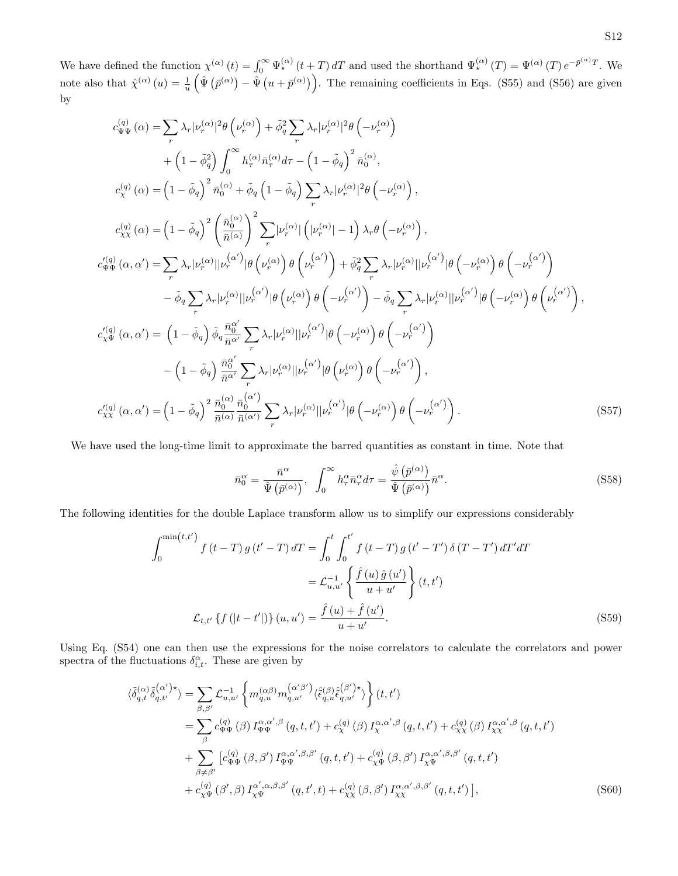We have defined the function  $\chi^{(\alpha)}(t) = \int_0^\infty \Psi_{\star}^{(\alpha)}(t+T) dT$  and used the shorthand  $\Psi_{\star}^{(\alpha)}(T) = \Psi^{(\alpha)}(T) e^{-\bar{p}^{(\alpha)}T}$ . We note also that  $\hat{\chi}^{(\alpha)}(u) = \frac{1}{u} \left( \hat{\Psi}(\bar{p}^{(\alpha)}) - \hat{\Psi}(u + \bar{p}^{(\alpha)}) \right)$ . The remaining coefficients in Eqs. [\(S55\)](#page-24-2) and [\(S56\)](#page-24-3) are given by

$$
c_{\Psi\Psi}^{(q)}(\alpha) = \sum_{r} \lambda_{r} |\nu_{r}^{(\alpha)}|^{2} \theta (\nu_{r}^{(\alpha)}) + \tilde{\phi}_{q}^{2} \sum_{r} \lambda_{r} |\nu_{r}^{(\alpha)}|^{2} \theta (-\nu_{r}^{(\alpha)})
$$
  
+ 
$$
(1 - \tilde{\phi}_{q}^{2}) \int_{0}^{\infty} h_{r}^{(\alpha)} \bar{n}_{r}^{(\alpha)} d\tau - (1 - \tilde{\phi}_{q})^{2} \bar{n}_{0}^{(\alpha)},
$$
  

$$
c_{\chi}^{(q)}(\alpha) = (1 - \tilde{\phi}_{q})^{2} \bar{n}_{0}^{(\alpha)} + \tilde{\phi}_{q} (1 - \tilde{\phi}_{q}) \sum_{r} \lambda_{r} |\nu_{r}^{(\alpha)}|^{2} \theta (-\nu_{r}^{(\alpha)}),
$$
  

$$
c_{\chi\chi}^{(q)}(\alpha) = (1 - \tilde{\phi}_{q})^{2} \left(\frac{\bar{n}_{0}^{(\alpha)}}{\bar{n}^{(\alpha)}}\right)^{2} \sum_{r} |\nu_{r}^{(\alpha)}| (\nu_{r}^{(\alpha)} - 1) \lambda_{r} \theta (-\nu_{r}^{(\alpha)}),
$$
  

$$
c_{\Psi\Psi}^{(q)}(\alpha, \alpha') = \sum_{r} \lambda_{r} |\nu_{r}^{(\alpha)}| |\nu_{r}^{(\alpha')}| \theta (\nu_{r}^{(\alpha)}) \theta (\nu_{r}^{(\alpha')}) + \tilde{\phi}_{q}^{2} \sum_{r} \lambda_{r} |\nu_{r}^{(\alpha)}| |\nu_{r}^{(\alpha')}| \theta (-\nu_{r}^{(\alpha)}) \theta (-\nu_{r}^{(\alpha)})
$$
  

$$
- \tilde{\phi}_{q} \sum_{r} \lambda_{r} |\nu_{r}^{(\alpha)}| |\nu_{r}^{(\alpha')}| \theta (\nu_{r}^{(\alpha)}) \theta (-\nu_{r}^{(\alpha')}) - \tilde{\phi}_{q} \sum_{r} \lambda_{r} |\nu_{r}^{(\alpha)}| |\nu_{r}^{(\alpha')}| \theta (-\nu_{r}^{(\alpha)}) \theta (\nu_{r}^{(\alpha)}) ,
$$
  

$$
c_{\chi\Psi}^{(q)}(\alpha, \alpha') = (1 - \tilde{\phi}_{q}) \tilde{\phi}_{q} \frac{\bar{n}_{0}^{\alpha'}}{\bar{n}^{\alpha'}} \sum_{r} \lambda_{r} |\nu_{r}^{(\
$$

We have used the long-time limit to approximate the barred quantities as constant in time. Note that

$$
\bar{n}_0^{\alpha} = \frac{\bar{n}^{\alpha}}{\hat{\Psi}\left(\bar{p}^{(\alpha)}\right)}, \quad \int_0^{\infty} h_{\tau}^{\alpha} \bar{n}_{\tau}^{\alpha} d\tau = \frac{\hat{\psi}\left(\bar{p}^{(\alpha)}\right)}{\hat{\Psi}\left(\bar{p}^{(\alpha)}\right)} \bar{n}^{\alpha}.
$$
\n(S58)

The following identities for the double Laplace transform allow us to simplify our expressions considerably

$$
\int_{0}^{\min(t,t')} f(t-T) g(t'-T) dT = \int_{0}^{t} \int_{0}^{t'} f(t-T) g(t'-T') \delta(T-T') dT' dT
$$

$$
= \mathcal{L}_{u,u'}^{-1} \left\{ \frac{\hat{f}(u) \hat{g}(u')}{u+u'} \right\}(t,t')
$$

$$
\mathcal{L}_{t,t'} \left\{ f(|t-t'|) \right\}(u,u') = \frac{\hat{f}(u) + \hat{f}(u')}{u+u'}.
$$
(S59)

Using Eq. [\(S54\)](#page-24-4) one can then use the expressions for the noise correlators to calculate the correlators and power spectra of the fluctuations  $\delta_{i,t}^{\alpha}$ . These are given by

$$
\langle \tilde{\delta}_{q,t}^{(\alpha)} \tilde{\delta}_{q,t'}^{(\alpha')\star} \rangle = \sum_{\beta,\beta'} \mathcal{L}_{u,u'}^{-1} \left\{ m_{q,u}^{(\alpha\beta)} m_{q,u'}^{(\alpha'\beta')} \langle \hat{\epsilon}_{q,u}^{(\beta)} \hat{\epsilon}_{q,u'}^{(\beta')\star} \rangle \right\} (t,t')
$$
  
\n
$$
= \sum_{\beta} c_{\Psi\Psi}^{(q)}(\beta) I_{\Psi\Psi}^{\alpha,\alpha',\beta} (q,t,t') + c_{\chi}^{(q)}(\beta) I_{\chi}^{\alpha,\alpha',\beta} (q,t,t') + c_{\chi\chi}^{(q)}(\beta) I_{\chi\chi}^{\alpha,\alpha',\beta} (q,t,t')
$$
  
\n
$$
+ \sum_{\beta \neq \beta'} \left[ c_{\Psi\Psi}^{(q)}(\beta,\beta') I_{\Psi\Psi}^{\alpha,\alpha',\beta,\beta'} (q,t,t') + c_{\chi\Psi}^{(q)}(\beta,\beta') I_{\chi\Psi}^{\alpha,\alpha',\beta,\beta'} (q,t,t')
$$
  
\n
$$
+ c_{\chi\Psi}^{(q)}(\beta',\beta) I_{\chi\Psi}^{\alpha',\alpha,\beta,\beta'} (q,t',t) + c_{\chi\chi}^{(q)}(\beta,\beta') I_{\chi\chi}^{\alpha,\alpha',\beta,\beta'} (q,t,t') \right], \tag{S60}
$$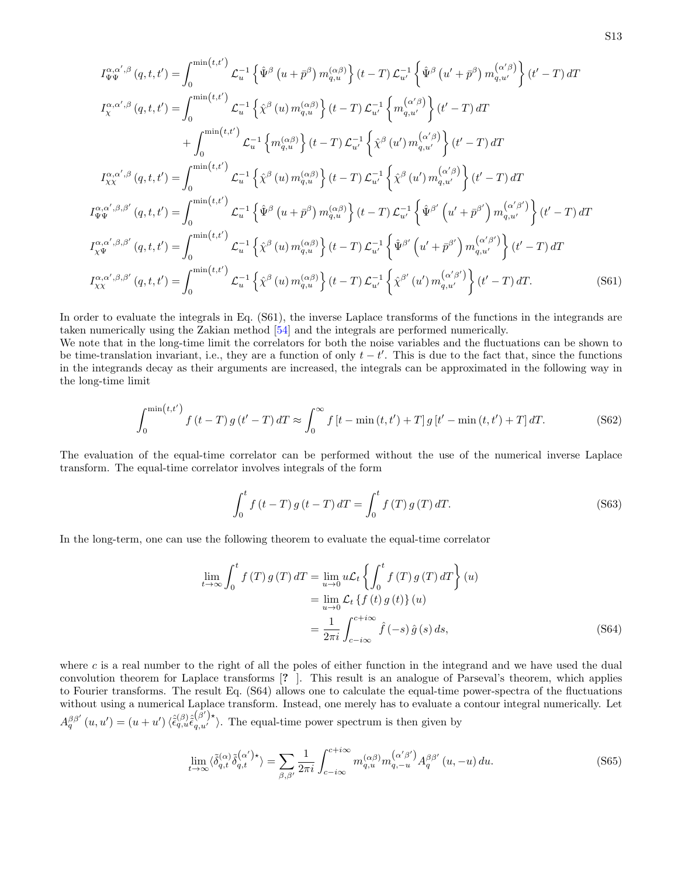$$
I_{\Psi\Psi}^{\alpha,\alpha',\beta}(q,t,t') = \int_0^{\min(t,t')} \mathcal{L}_u^{-1} \left\{ \hat{\Psi}^{\beta}(u+\bar{p}^{\beta}) m_{q,u}^{(\alpha\beta)} \right\} (t-T) \mathcal{L}_{u'}^{-1} \left\{ \hat{\Psi}^{\beta}(u'+\bar{p}^{\beta}) m_{q,u'}^{(\alpha'\beta)} \right\} (t'-T) dT
$$
  
\n
$$
I_{\chi}^{\alpha,\alpha',\beta}(q,t,t') = \int_0^{\min(t,t')} \mathcal{L}_u^{-1} \left\{ \hat{\chi}^{\beta}(u) m_{q,u}^{(\alpha\beta)} \right\} (t-T) \mathcal{L}_{u'}^{-1} \left\{ m_{q,u'}^{(\alpha'\beta)} \right\} (t'-T) dT
$$
  
\n
$$
+ \int_0^{\min(t,t')} \mathcal{L}_u^{-1} \left\{ m_{q,u}^{(\alpha\beta)} \right\} (t-T) \mathcal{L}_{u'}^{-1} \left\{ \hat{\chi}^{\beta}(u') m_{q,u'}^{(\alpha'\beta)} \right\} (t'-T) dT
$$
  
\n
$$
I_{\chi\chi}^{\alpha,\alpha',\beta}(q,t,t') = \int_0^{\min(t,t')} \mathcal{L}_u^{-1} \left\{ \hat{\chi}^{\beta}(u) m_{q,u}^{(\alpha\beta)} \right\} (t-T) \mathcal{L}_{u'}^{-1} \left\{ \hat{\chi}^{\beta}(u') m_{q,u'}^{(\alpha'\beta)} \right\} (t'-T) dT
$$
  
\n
$$
I_{\Psi\Psi}^{\alpha,\alpha',\beta,\beta'}(q,t,t') = \int_0^{\min(t,t')} \mathcal{L}_u^{-1} \left\{ \hat{\Psi}^{\beta}(u+\bar{p}^{\beta}) m_{q,u}^{(\alpha\beta)} \right\} (t-T) \mathcal{L}_{u'}^{-1} \left\{ \hat{\Psi}^{\beta'}(u'+\bar{p}^{\beta'}) m_{q,u'}^{(\alpha'\beta')} \right\} (t'-T) dT
$$
  
\n
$$
I_{\chi\Psi}^{\alpha,\alpha',\beta,\beta'}(q,t,t') = \int_0^{\min(t,t')} \mathcal{L}_u^{-1} \left\{ \hat{\chi}^{\beta}(u) m_{q,u}^{(\alpha\beta)} \right\} (t-T) \mathcal{L}_{u'}^{-1} \
$$

In order to evaluate the integrals in Eq. [\(S61\)](#page-26-0), the inverse Laplace transforms of the functions in the integrands are taken numerically using the Zakian method [\[54\]](#page-11-34) and the integrals are performed numerically.

We note that in the long-time limit the correlators for both the noise variables and the fluctuations can be shown to be time-translation invariant, i.e., they are a function of only  $t - t'$ . This is due to the fact that, since the functions in the integrands decay as their arguments are increased, the integrals can be approximated in the following way in the long-time limit

$$
\int_0^{\min(t,t')} f(t-T) g(t'-T) dT \approx \int_0^\infty f[t-\min(t,t')+T] g[t'-\min(t,t')+T] dT.
$$
 (S62)

The evaluation of the equal-time correlator can be performed without the use of the numerical inverse Laplace transform. The equal-time correlator involves integrals of the form

<span id="page-26-0"></span>
$$
\int_{0}^{t} f(t-T) g(t-T) dT = \int_{0}^{t} f(T) g(T) dT.
$$
 (S63)

In the long-term, one can use the following theorem to evaluate the equal-time correlator

<span id="page-26-1"></span>
$$
\lim_{t \to \infty} \int_0^t f(T) g(T) dT = \lim_{u \to 0} u \mathcal{L}_t \left\{ \int_0^t f(T) g(T) dT \right\}(u)
$$

$$
= \lim_{u \to 0} \mathcal{L}_t \left\{ f(t) g(t) \right\}(u)
$$

$$
= \frac{1}{2\pi i} \int_{c-i\infty}^{c+i\infty} \hat{f}(-s) \hat{g}(s) ds,
$$
(S64)

where c is a real number to the right of all the poles of either function in the integrand and we have used the dual convolution theorem for Laplace transforms [? ]. This result is an analogue of Parseval's theorem, which applies to Fourier transforms. The result Eq. [\(S64\)](#page-26-1) allows one to calculate the equal-time power-spectra of the fluctuations without using a numerical Laplace transform. Instead, one merely has to evaluate a contour integral numerically. Let  $A_q^{\beta\beta'}(u, u') = (u + u') \langle \hat{\epsilon}_{q,u}^{(\beta)} \hat{\epsilon}_{q,u'}^{(\beta')\star} \rangle$ . The equal-time power spectrum is then given by

$$
\lim_{t \to \infty} \langle \tilde{\delta}_{q,t}^{(\alpha)} \tilde{\delta}_{q,t}^{(\alpha')} \rangle = \sum_{\beta, \beta'} \frac{1}{2\pi i} \int_{c-i\infty}^{c+i\infty} m_{q,u}^{(\alpha\beta)} m_{q,-u}^{(\alpha'\beta')} A_q^{\beta\beta'}(u, -u) du.
$$
 (S65)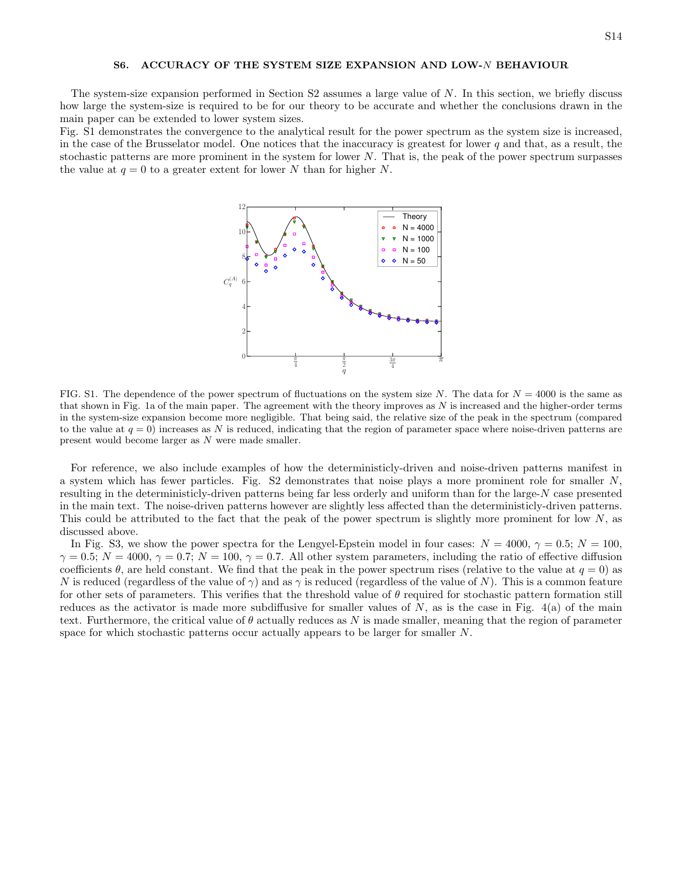## S6. ACCURACY OF THE SYSTEM SIZE EXPANSION AND LOW-N BEHAVIOUR

The system-size expansion performed in Section [S2](#page-16-1) assumes a large value of N. In this section, we briefly discuss how large the system-size is required to be for our theory to be accurate and whether the conclusions drawn in the main paper can be extended to lower system sizes.

Fig. [S1](#page-6-0) demonstrates the convergence to the analytical result for the power spectrum as the system size is increased, in the case of the Brusselator model. One notices that the inaccuracy is greatest for lower  $q$  and that, as a result, the stochastic patterns are more prominent in the system for lower N. That is, the peak of the power spectrum surpasses the value at  $q = 0$  to a greater extent for lower N than for higher N.



FIG. S1. The dependence of the power spectrum of fluctuations on the system size N. The data for  $N = 4000$  is the same as that shown in Fig. 1a of the main paper. The agreement with the theory improves as  $N$  is increased and the higher-order terms in the system-size expansion become more negligible. That being said, the relative size of the peak in the spectrum (compared to the value at  $q = 0$ ) increases as N is reduced, indicating that the region of parameter space where noise-driven patterns are present would become larger as N were made smaller.

For reference, we also include examples of how the deterministicly-driven and noise-driven patterns manifest in a system which has fewer particles. Fig. [S2](#page-7-1) demonstrates that noise plays a more prominent role for smaller N, resulting in the deterministicly-driven patterns being far less orderly and uniform than for the large- $N$  case presented in the main text. The noise-driven patterns however are slightly less affected than the deterministicly-driven patterns. This could be attributed to the fact that the peak of the power spectrum is slightly more prominent for low  $N$ , as discussed above.

In Fig. [S3,](#page-8-2) we show the power spectra for the Lengyel-Epstein model in four cases:  $N = 4000$ ,  $\gamma = 0.5$ ;  $N = 100$ ,  $\gamma = 0.5$ ;  $N = 4000$ ,  $\gamma = 0.7$ ;  $N = 100$ ,  $\gamma = 0.7$ . All other system parameters, including the ratio of effective diffusion coefficients  $\theta$ , are held constant. We find that the peak in the power spectrum rises (relative to the value at  $q = 0$ ) as N is reduced (regardless of the value of  $\gamma$ ) and as  $\gamma$  is reduced (regardless of the value of N). This is a common feature for other sets of parameters. This verifies that the threshold value of  $\theta$  required for stochastic pattern formation still reduces as the activator is made more subdiffusive for smaller values of  $N$ , as is the case in Fig.  $4(a)$  of the main text. Furthermore, the critical value of  $\theta$  actually reduces as N is made smaller, meaning that the region of parameter space for which stochastic patterns occur actually appears to be larger for smaller N.